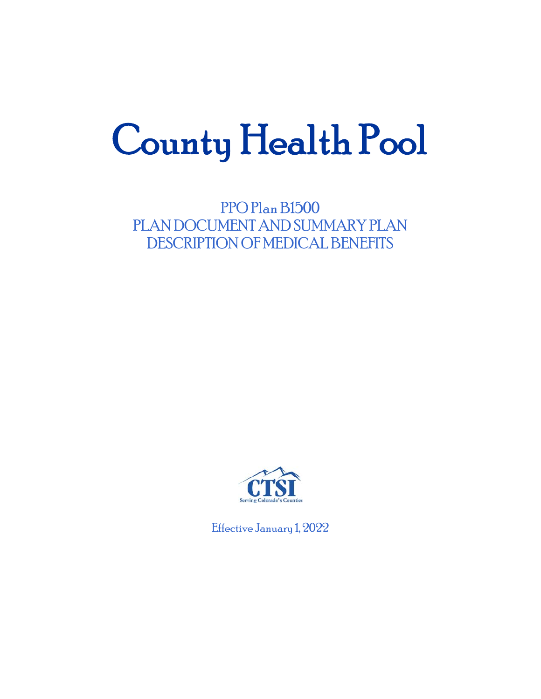# County Health Pool

PPO Plan B1500 PLAN DOCUMENT AND SUMMARY PLAN DESCRIPTION OF MEDICAL BENEFITS



Effective January 1, 2022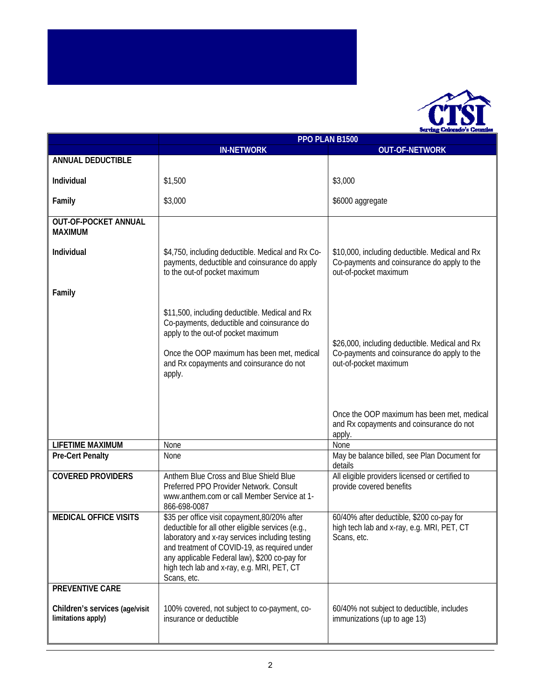

|                                                                         | PPO PLAN B1500                                                                                                                                                                                                                                                                                                      |                                                                                                                        |
|-------------------------------------------------------------------------|---------------------------------------------------------------------------------------------------------------------------------------------------------------------------------------------------------------------------------------------------------------------------------------------------------------------|------------------------------------------------------------------------------------------------------------------------|
|                                                                         | <b>IN-NETWORK</b>                                                                                                                                                                                                                                                                                                   | <b>OUT-OF-NETWORK</b>                                                                                                  |
| ANNUAL DEDUCTIBLE                                                       |                                                                                                                                                                                                                                                                                                                     |                                                                                                                        |
| Individual                                                              | \$1,500                                                                                                                                                                                                                                                                                                             | \$3,000                                                                                                                |
| Family                                                                  | \$3,000                                                                                                                                                                                                                                                                                                             | \$6000 aggregate                                                                                                       |
| <b>OUT-OF-POCKET ANNUAL</b><br><b>MAXIMUM</b>                           |                                                                                                                                                                                                                                                                                                                     |                                                                                                                        |
| Individual                                                              | \$4,750, including deductible. Medical and Rx Co-<br>payments, deductible and coinsurance do apply<br>to the out-of pocket maximum                                                                                                                                                                                  | \$10,000, including deductible. Medical and Rx<br>Co-payments and coinsurance do apply to the<br>out-of-pocket maximum |
| Family                                                                  |                                                                                                                                                                                                                                                                                                                     |                                                                                                                        |
|                                                                         | \$11,500, including deductible. Medical and Rx<br>Co-payments, deductible and coinsurance do<br>apply to the out-of pocket maximum<br>Once the OOP maximum has been met, medical<br>and Rx copayments and coinsurance do not<br>apply.                                                                              | \$26,000, including deductible. Medical and Rx<br>Co-payments and coinsurance do apply to the<br>out-of-pocket maximum |
|                                                                         |                                                                                                                                                                                                                                                                                                                     | Once the OOP maximum has been met, medical<br>and Rx copayments and coinsurance do not<br>apply.                       |
| <b>LIFETIME MAXIMUM</b>                                                 | None                                                                                                                                                                                                                                                                                                                | None                                                                                                                   |
| <b>Pre-Cert Penalty</b>                                                 | None                                                                                                                                                                                                                                                                                                                | May be balance billed, see Plan Document for<br>details                                                                |
| <b>COVERED PROVIDERS</b>                                                | Anthem Blue Cross and Blue Shield Blue<br>Preferred PPO Provider Network. Consult<br>www.anthem.com or call Member Service at 1-<br>866-698-0087                                                                                                                                                                    | All eligible providers licensed or certified to<br>provide covered benefits                                            |
| <b>MEDICAL OFFICE VISITS</b>                                            | \$35 per office visit copayment, 80/20% after<br>deductible for all other eligible services (e.g.,<br>laboratory and x-ray services including testing<br>and treatment of COVID-19, as required under<br>any applicable Federal law), \$200 co-pay for<br>high tech lab and x-ray, e.g. MRI, PET, CT<br>Scans, etc. | 60/40% after deductible, \$200 co-pay for<br>high tech lab and x-ray, e.g. MRI, PET, CT<br>Scans, etc.                 |
| PREVENTIVE CARE<br>Children's services (age/visit<br>limitations apply) | 100% covered, not subject to co-payment, co-<br>insurance or deductible                                                                                                                                                                                                                                             | 60/40% not subject to deductible, includes<br>immunizations (up to age 13)                                             |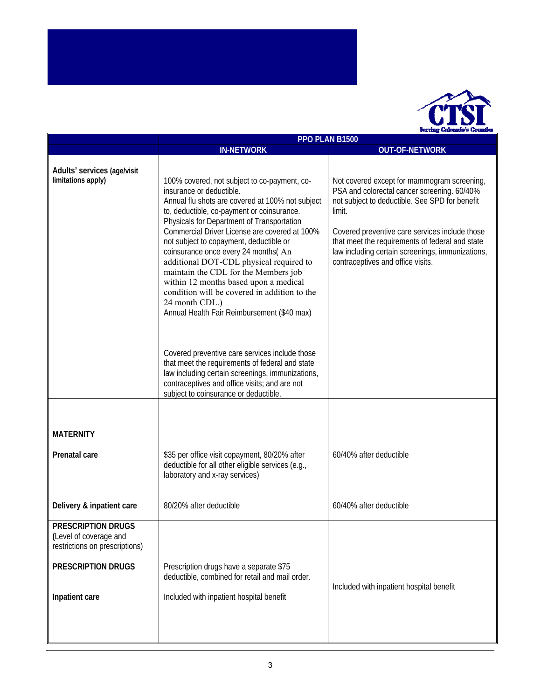

|                                                                                | PPO PLAN B1500                                                                                                                                                                                                                                                                                                                                                                                                                                                                                                                                                                                           |                                                                                                                                                                                                                                                                                                                                                      |
|--------------------------------------------------------------------------------|----------------------------------------------------------------------------------------------------------------------------------------------------------------------------------------------------------------------------------------------------------------------------------------------------------------------------------------------------------------------------------------------------------------------------------------------------------------------------------------------------------------------------------------------------------------------------------------------------------|------------------------------------------------------------------------------------------------------------------------------------------------------------------------------------------------------------------------------------------------------------------------------------------------------------------------------------------------------|
|                                                                                | <b>IN-NETWORK</b>                                                                                                                                                                                                                                                                                                                                                                                                                                                                                                                                                                                        | <b>OUT-OF-NETWORK</b>                                                                                                                                                                                                                                                                                                                                |
| Adults' services (age/visit<br>limitations apply)                              | 100% covered, not subject to co-payment, co-<br>insurance or deductible.<br>Annual flu shots are covered at 100% not subject<br>to, deductible, co-payment or coinsurance.<br>Physicals for Department of Transportation<br>Commercial Driver License are covered at 100%<br>not subject to copayment, deductible or<br>coinsurance once every 24 months(An<br>additional DOT-CDL physical required to<br>maintain the CDL for the Members job<br>within 12 months based upon a medical<br>condition will be covered in addition to the<br>24 month CDL.)<br>Annual Health Fair Reimbursement (\$40 max) | Not covered except for mammogram screening,<br>PSA and colorectal cancer screening. 60/40%<br>not subject to deductible. See SPD for benefit<br>limit.<br>Covered preventive care services include those<br>that meet the requirements of federal and state<br>law including certain screenings, immunizations,<br>contraceptives and office visits. |
|                                                                                | Covered preventive care services include those<br>that meet the requirements of federal and state<br>law including certain screenings, immunizations,<br>contraceptives and office visits; and are not<br>subject to coinsurance or deductible.                                                                                                                                                                                                                                                                                                                                                          |                                                                                                                                                                                                                                                                                                                                                      |
|                                                                                |                                                                                                                                                                                                                                                                                                                                                                                                                                                                                                                                                                                                          |                                                                                                                                                                                                                                                                                                                                                      |
| <b>MATERNITY</b>                                                               |                                                                                                                                                                                                                                                                                                                                                                                                                                                                                                                                                                                                          |                                                                                                                                                                                                                                                                                                                                                      |
| Prenatal care                                                                  | \$35 per office visit copayment, 80/20% after<br>60/40% after deductible<br>deductible for all other eligible services (e.g.,<br>laboratory and x-ray services)                                                                                                                                                                                                                                                                                                                                                                                                                                          |                                                                                                                                                                                                                                                                                                                                                      |
| Delivery & inpatient care                                                      | 80/20% after deductible<br>60/40% after deductible                                                                                                                                                                                                                                                                                                                                                                                                                                                                                                                                                       |                                                                                                                                                                                                                                                                                                                                                      |
| PRESCRIPTION DRUGS<br>(Level of coverage and<br>restrictions on prescriptions) |                                                                                                                                                                                                                                                                                                                                                                                                                                                                                                                                                                                                          |                                                                                                                                                                                                                                                                                                                                                      |
| <b>PRESCRIPTION DRUGS</b>                                                      | Prescription drugs have a separate \$75<br>deductible, combined for retail and mail order.                                                                                                                                                                                                                                                                                                                                                                                                                                                                                                               | Included with inpatient hospital benefit                                                                                                                                                                                                                                                                                                             |
| Inpatient care                                                                 | Included with inpatient hospital benefit                                                                                                                                                                                                                                                                                                                                                                                                                                                                                                                                                                 |                                                                                                                                                                                                                                                                                                                                                      |
|                                                                                |                                                                                                                                                                                                                                                                                                                                                                                                                                                                                                                                                                                                          |                                                                                                                                                                                                                                                                                                                                                      |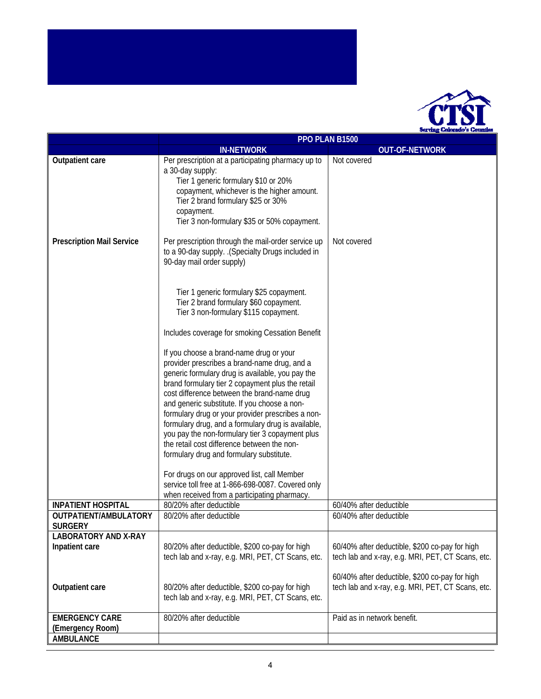

|                                               | PPO PLAN B1500                                                                                                                                                                                                                                                                                                                                       |                                                                                                                                                       |
|-----------------------------------------------|------------------------------------------------------------------------------------------------------------------------------------------------------------------------------------------------------------------------------------------------------------------------------------------------------------------------------------------------------|-------------------------------------------------------------------------------------------------------------------------------------------------------|
|                                               | <b>IN-NETWORK</b>                                                                                                                                                                                                                                                                                                                                    | <b>OUT-OF-NETWORK</b>                                                                                                                                 |
| Outpatient care                               | Per prescription at a participating pharmacy up to<br>a 30-day supply:<br>Tier 1 generic formulary \$10 or 20%<br>copayment, whichever is the higher amount.<br>Tier 2 brand formulary \$25 or 30%<br>copayment.<br>Tier 3 non-formulary \$35 or 50% copayment.                                                                                      | Not covered                                                                                                                                           |
| <b>Prescription Mail Service</b>              | Per prescription through the mail-order service up<br>to a 90-day supply. . (Specialty Drugs included in<br>90-day mail order supply)<br>Tier 1 generic formulary \$25 copayment.<br>Tier 2 brand formulary \$60 copayment.                                                                                                                          | Not covered                                                                                                                                           |
|                                               | Tier 3 non-formulary \$115 copayment.<br>Includes coverage for smoking Cessation Benefit<br>If you choose a brand-name drug or your<br>provider prescribes a brand-name drug, and a<br>generic formulary drug is available, you pay the<br>brand formulary tier 2 copayment plus the retail                                                          |                                                                                                                                                       |
|                                               | cost difference between the brand-name drug<br>and generic substitute. If you choose a non-<br>formulary drug or your provider prescribes a non-<br>formulary drug, and a formulary drug is available,<br>you pay the non-formulary tier 3 copayment plus<br>the retail cost difference between the non-<br>formulary drug and formulary substitute. |                                                                                                                                                       |
|                                               | For drugs on our approved list, call Member<br>service toll free at 1-866-698-0087. Covered only<br>when received from a participating pharmacy.                                                                                                                                                                                                     |                                                                                                                                                       |
| <b>INPATIENT HOSPITAL</b>                     | 80/20% after deductible                                                                                                                                                                                                                                                                                                                              | 60/40% after deductible                                                                                                                               |
| OUTPATIENT/AMBULATORY<br><b>SURGERY</b>       | 80/20% after deductible                                                                                                                                                                                                                                                                                                                              | 60/40% after deductible                                                                                                                               |
| <b>LABORATORY AND X-RAY</b><br>Inpatient care | 80/20% after deductible, \$200 co-pay for high<br>tech lab and x-ray, e.g. MRI, PET, CT Scans, etc.                                                                                                                                                                                                                                                  | 60/40% after deductible, \$200 co-pay for high<br>tech lab and x-ray, e.g. MRI, PET, CT Scans, etc.<br>60/40% after deductible, \$200 co-pay for high |
| Outpatient care                               | 80/20% after deductible, \$200 co-pay for high<br>tech lab and x-ray, e.g. MRI, PET, CT Scans, etc.                                                                                                                                                                                                                                                  | tech lab and x-ray, e.g. MRI, PET, CT Scans, etc.                                                                                                     |
| <b>EMERGENCY CARE</b>                         | 80/20% after deductible                                                                                                                                                                                                                                                                                                                              | Paid as in network benefit.                                                                                                                           |
| (Emergency Room)<br><b>AMBULANCE</b>          |                                                                                                                                                                                                                                                                                                                                                      |                                                                                                                                                       |
|                                               |                                                                                                                                                                                                                                                                                                                                                      |                                                                                                                                                       |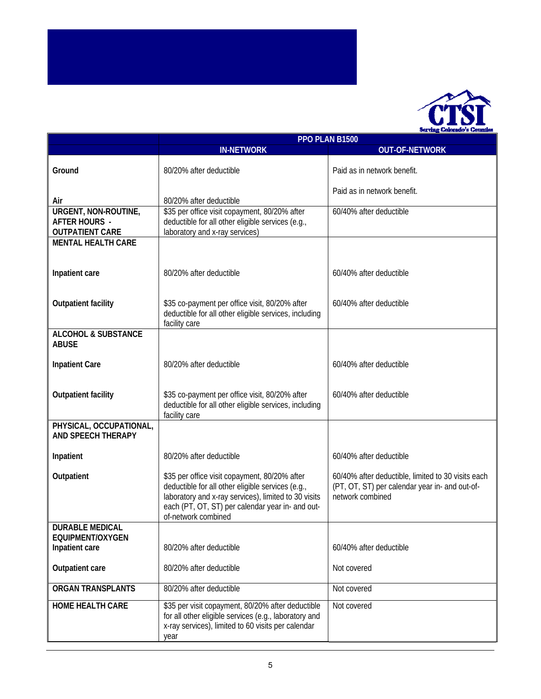

|                                                                        | PPO PLAN B1500                                                                                                                                                                                                                                                                                                                                                    |                             |
|------------------------------------------------------------------------|-------------------------------------------------------------------------------------------------------------------------------------------------------------------------------------------------------------------------------------------------------------------------------------------------------------------------------------------------------------------|-----------------------------|
|                                                                        | <b>IN-NETWORK</b>                                                                                                                                                                                                                                                                                                                                                 | <b>OUT-OF-NETWORK</b>       |
| Ground                                                                 | 80/20% after deductible                                                                                                                                                                                                                                                                                                                                           | Paid as in network benefit. |
| Air                                                                    | 80/20% after deductible                                                                                                                                                                                                                                                                                                                                           | Paid as in network benefit. |
| URGENT, NON-ROUTINE,<br><b>AFTER HOURS -</b><br><b>OUTPATIENT CARE</b> | \$35 per office visit copayment, 80/20% after<br>deductible for all other eligible services (e.g.,<br>laboratory and x-ray services)                                                                                                                                                                                                                              | 60/40% after deductible     |
| <b>MENTAL HEALTH CARE</b>                                              |                                                                                                                                                                                                                                                                                                                                                                   |                             |
|                                                                        |                                                                                                                                                                                                                                                                                                                                                                   |                             |
| Inpatient care                                                         | 80/20% after deductible                                                                                                                                                                                                                                                                                                                                           | 60/40% after deductible     |
| <b>Outpatient facility</b>                                             | \$35 co-payment per office visit, 80/20% after<br>deductible for all other eligible services, including<br>facility care                                                                                                                                                                                                                                          | 60/40% after deductible     |
| <b>ALCOHOL &amp; SUBSTANCE</b><br><b>ABUSE</b>                         |                                                                                                                                                                                                                                                                                                                                                                   |                             |
| <b>Inpatient Care</b>                                                  | 80/20% after deductible                                                                                                                                                                                                                                                                                                                                           | 60/40% after deductible     |
| <b>Outpatient facility</b>                                             | \$35 co-payment per office visit, 80/20% after<br>deductible for all other eligible services, including<br>facility care                                                                                                                                                                                                                                          | 60/40% after deductible     |
| PHYSICAL, OCCUPATIONAL,<br><b>AND SPEECH THERAPY</b>                   |                                                                                                                                                                                                                                                                                                                                                                   |                             |
| Inpatient                                                              | 80/20% after deductible                                                                                                                                                                                                                                                                                                                                           | 60/40% after deductible     |
| Outpatient                                                             | \$35 per office visit copayment, 80/20% after<br>60/40% after deductible, limited to 30 visits each<br>deductible for all other eligible services (e.g.,<br>(PT, OT, ST) per calendar year in- and out-of-<br>laboratory and x-ray services), limited to 30 visits<br>network combined<br>each (PT, OT, ST) per calendar year in- and out-<br>of-network combined |                             |
| <b>DURABLE MEDICAL</b>                                                 |                                                                                                                                                                                                                                                                                                                                                                   |                             |
| EQUIPMENT/OXYGEN                                                       |                                                                                                                                                                                                                                                                                                                                                                   |                             |
| Inpatient care                                                         | 80/20% after deductible                                                                                                                                                                                                                                                                                                                                           | 60/40% after deductible     |
| Outpatient care                                                        | 80/20% after deductible                                                                                                                                                                                                                                                                                                                                           | Not covered                 |
| <b>ORGAN TRANSPLANTS</b>                                               | 80/20% after deductible                                                                                                                                                                                                                                                                                                                                           | Not covered                 |
| <b>HOME HEALTH CARE</b>                                                | \$35 per visit copayment, 80/20% after deductible<br>for all other eligible services (e.g., laboratory and<br>x-ray services), limited to 60 visits per calendar<br>year                                                                                                                                                                                          | Not covered                 |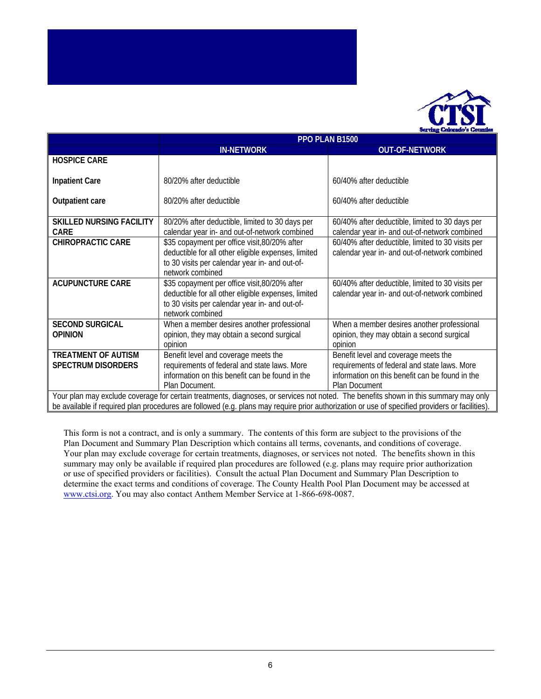

|                                 | PPO PLAN B1500                                                                                                                       |                                                   |
|---------------------------------|--------------------------------------------------------------------------------------------------------------------------------------|---------------------------------------------------|
|                                 | <b>IN-NETWORK</b>                                                                                                                    | <b>OUT-OF-NETWORK</b>                             |
| <b>HOSPICE CARE</b>             |                                                                                                                                      |                                                   |
|                                 |                                                                                                                                      |                                                   |
| <b>Inpatient Care</b>           | 80/20% after deductible                                                                                                              | 60/40% after deductible                           |
|                                 |                                                                                                                                      |                                                   |
| Outpatient care                 | 80/20% after deductible                                                                                                              | 60/40% after deductible                           |
|                                 |                                                                                                                                      |                                                   |
| <b>SKILLED NURSING FACILITY</b> | 80/20% after deductible, limited to 30 days per                                                                                      | 60/40% after deductible, limited to 30 days per   |
| <b>CARE</b>                     | calendar year in- and out-of-network combined                                                                                        | calendar year in- and out-of-network combined     |
| <b>CHIROPRACTIC CARE</b>        | \$35 copayment per office visit, 80/20% after                                                                                        | 60/40% after deductible, limited to 30 visits per |
|                                 | deductible for all other eligible expenses, limited                                                                                  | calendar year in- and out-of-network combined     |
|                                 | to 30 visits per calendar year in- and out-of-                                                                                       |                                                   |
|                                 | network combined                                                                                                                     |                                                   |
| <b>ACUPUNCTURE CARE</b>         | \$35 copayment per office visit, 80/20% after                                                                                        | 60/40% after deductible, limited to 30 visits per |
|                                 | deductible for all other eligible expenses, limited                                                                                  | calendar year in- and out-of-network combined     |
|                                 | to 30 visits per calendar year in- and out-of-                                                                                       |                                                   |
|                                 | network combined                                                                                                                     |                                                   |
| <b>SECOND SURGICAL</b>          | When a member desires another professional                                                                                           | When a member desires another professional        |
| <b>OPINION</b>                  | opinion, they may obtain a second surgical                                                                                           | opinion, they may obtain a second surgical        |
|                                 |                                                                                                                                      |                                                   |
|                                 | opinion                                                                                                                              | opinion                                           |
| <b>TREATMENT OF AUTISM</b>      | Benefit level and coverage meets the                                                                                                 | Benefit level and coverage meets the              |
| <b>SPECTRUM DISORDERS</b>       | requirements of federal and state laws. More                                                                                         | requirements of federal and state laws. More      |
|                                 | information on this benefit can be found in the                                                                                      | information on this benefit can be found in the   |
|                                 | Plan Document.                                                                                                                       | <b>Plan Document</b>                              |
|                                 | Your plan may exclude coverage for certain treatments, diagnoses, or services not noted. The benefits shown in this summary may only |                                                   |

coverage for certain treatments, diagnoses, or services not noted. The benefits shown in this summ be available if required plan procedures are followed (e.g. plans may require prior authorization or use of specified providers or facilities).

This form is not a contract, and is only a summary. The contents of this form are subject to the provisions of the Plan Document and Summary Plan Description which contains all terms, covenants, and conditions of coverage. Your plan may exclude coverage for certain treatments, diagnoses, or services not noted. The benefits shown in this summary may only be available if required plan procedures are followed (e.g. plans may require prior authorization or use of specified providers or facilities). Consult the actual Plan Document and Summary Plan Description to determine the exact terms and conditions of coverage. The County Health Pool Plan Document may be accessed at www.ctsi.org. You may also contact Anthem Member Service at 1-866-698-0087.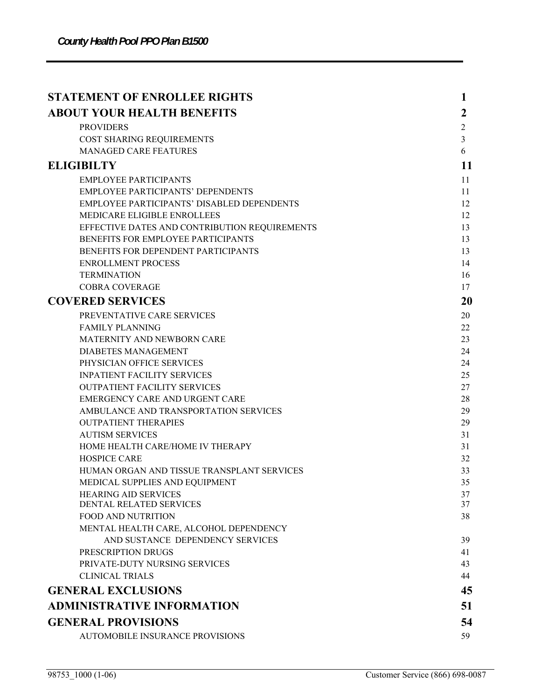| <b>ABOUT YOUR HEALTH BENEFITS</b><br>2<br><b>PROVIDERS</b><br>$\overline{c}$<br>$\overline{3}$<br>COST SHARING REQUIREMENTS<br><b>MANAGED CARE FEATURES</b><br>6<br><b>ELIGIBILTY</b><br>11<br><b>EMPLOYEE PARTICIPANTS</b><br>11<br><b>EMPLOYEE PARTICIPANTS' DEPENDENTS</b><br>11<br>EMPLOYEE PARTICIPANTS' DISABLED DEPENDENTS<br>12<br>MEDICARE ELIGIBLE ENROLLEES<br>12<br>EFFECTIVE DATES AND CONTRIBUTION REQUIREMENTS<br>13<br>BENEFITS FOR EMPLOYEE PARTICIPANTS<br>13<br>BENEFITS FOR DEPENDENT PARTICIPANTS<br>13<br><b>ENROLLMENT PROCESS</b><br>14<br><b>TERMINATION</b><br>16 |
|---------------------------------------------------------------------------------------------------------------------------------------------------------------------------------------------------------------------------------------------------------------------------------------------------------------------------------------------------------------------------------------------------------------------------------------------------------------------------------------------------------------------------------------------------------------------------------------------|
|                                                                                                                                                                                                                                                                                                                                                                                                                                                                                                                                                                                             |
|                                                                                                                                                                                                                                                                                                                                                                                                                                                                                                                                                                                             |
|                                                                                                                                                                                                                                                                                                                                                                                                                                                                                                                                                                                             |
|                                                                                                                                                                                                                                                                                                                                                                                                                                                                                                                                                                                             |
|                                                                                                                                                                                                                                                                                                                                                                                                                                                                                                                                                                                             |
|                                                                                                                                                                                                                                                                                                                                                                                                                                                                                                                                                                                             |
|                                                                                                                                                                                                                                                                                                                                                                                                                                                                                                                                                                                             |
|                                                                                                                                                                                                                                                                                                                                                                                                                                                                                                                                                                                             |
|                                                                                                                                                                                                                                                                                                                                                                                                                                                                                                                                                                                             |
|                                                                                                                                                                                                                                                                                                                                                                                                                                                                                                                                                                                             |
|                                                                                                                                                                                                                                                                                                                                                                                                                                                                                                                                                                                             |
|                                                                                                                                                                                                                                                                                                                                                                                                                                                                                                                                                                                             |
|                                                                                                                                                                                                                                                                                                                                                                                                                                                                                                                                                                                             |
|                                                                                                                                                                                                                                                                                                                                                                                                                                                                                                                                                                                             |
| <b>COBRA COVERAGE</b><br>17                                                                                                                                                                                                                                                                                                                                                                                                                                                                                                                                                                 |
| <b>COVERED SERVICES</b><br>20                                                                                                                                                                                                                                                                                                                                                                                                                                                                                                                                                               |
| PREVENTATIVE CARE SERVICES<br>20                                                                                                                                                                                                                                                                                                                                                                                                                                                                                                                                                            |
| <b>FAMILY PLANNING</b><br>22                                                                                                                                                                                                                                                                                                                                                                                                                                                                                                                                                                |
| MATERNITY AND NEWBORN CARE<br>23                                                                                                                                                                                                                                                                                                                                                                                                                                                                                                                                                            |
| <b>DIABETES MANAGEMENT</b><br>24                                                                                                                                                                                                                                                                                                                                                                                                                                                                                                                                                            |
| PHYSICIAN OFFICE SERVICES<br>24                                                                                                                                                                                                                                                                                                                                                                                                                                                                                                                                                             |
| <b>INPATIENT FACILITY SERVICES</b><br>25                                                                                                                                                                                                                                                                                                                                                                                                                                                                                                                                                    |
| <b>OUTPATIENT FACILITY SERVICES</b><br>27                                                                                                                                                                                                                                                                                                                                                                                                                                                                                                                                                   |
| EMERGENCY CARE AND URGENT CARE<br>28                                                                                                                                                                                                                                                                                                                                                                                                                                                                                                                                                        |
| AMBULANCE AND TRANSPORTATION SERVICES<br>29                                                                                                                                                                                                                                                                                                                                                                                                                                                                                                                                                 |
| <b>OUTPATIENT THERAPIES</b><br>29                                                                                                                                                                                                                                                                                                                                                                                                                                                                                                                                                           |
| <b>AUTISM SERVICES</b><br>31                                                                                                                                                                                                                                                                                                                                                                                                                                                                                                                                                                |
| HOME HEALTH CARE/HOME IV THERAPY<br>31                                                                                                                                                                                                                                                                                                                                                                                                                                                                                                                                                      |
| <b>HOSPICE CARE</b><br>32                                                                                                                                                                                                                                                                                                                                                                                                                                                                                                                                                                   |
| HUMAN ORGAN AND TISSUE TRANSPLANT SERVICES<br>33<br>35                                                                                                                                                                                                                                                                                                                                                                                                                                                                                                                                      |
| MEDICAL SUPPLIES AND EQUIPMENT<br><b>HEARING AID SERVICES</b><br>37                                                                                                                                                                                                                                                                                                                                                                                                                                                                                                                         |
| DENTAL RELATED SERVICES<br>37                                                                                                                                                                                                                                                                                                                                                                                                                                                                                                                                                               |
| <b>FOOD AND NUTRITION</b><br>38                                                                                                                                                                                                                                                                                                                                                                                                                                                                                                                                                             |
| MENTAL HEALTH CARE, ALCOHOL DEPENDENCY                                                                                                                                                                                                                                                                                                                                                                                                                                                                                                                                                      |
| AND SUSTANCE DEPENDENCY SERVICES<br>39                                                                                                                                                                                                                                                                                                                                                                                                                                                                                                                                                      |
| PRESCRIPTION DRUGS<br>41                                                                                                                                                                                                                                                                                                                                                                                                                                                                                                                                                                    |
| PRIVATE-DUTY NURSING SERVICES<br>43                                                                                                                                                                                                                                                                                                                                                                                                                                                                                                                                                         |
| <b>CLINICAL TRIALS</b><br>44                                                                                                                                                                                                                                                                                                                                                                                                                                                                                                                                                                |
| <b>GENERAL EXCLUSIONS</b><br>45                                                                                                                                                                                                                                                                                                                                                                                                                                                                                                                                                             |
| <b>ADMINISTRATIVE INFORMATION</b><br>51                                                                                                                                                                                                                                                                                                                                                                                                                                                                                                                                                     |
| <b>GENERAL PROVISIONS</b><br>54                                                                                                                                                                                                                                                                                                                                                                                                                                                                                                                                                             |
| AUTOMOBILE INSURANCE PROVISIONS<br>59                                                                                                                                                                                                                                                                                                                                                                                                                                                                                                                                                       |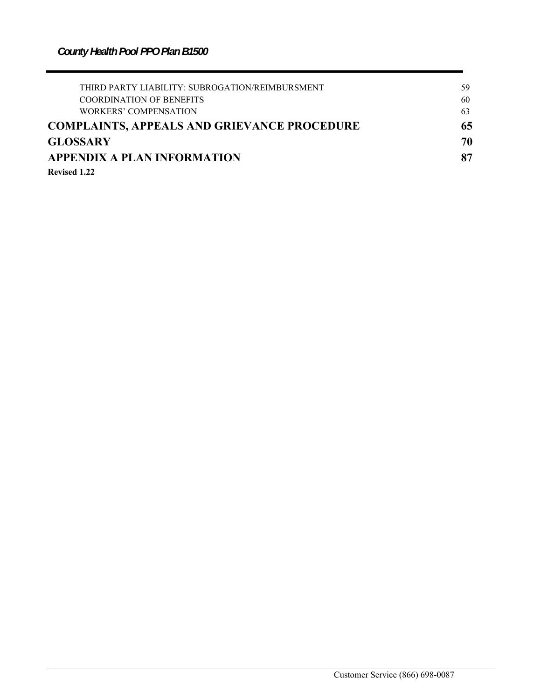| THIRD PARTY LIABILITY: SUBROGATION/REIMBURSMENT    | 59 |
|----------------------------------------------------|----|
| <b>COORDINATION OF BENEFITS</b>                    | 60 |
| WORKERS' COMPENSATION                              | 63 |
| <b>COMPLAINTS, APPEALS AND GRIEVANCE PROCEDURE</b> | 65 |
| <b>GLOSSARY</b>                                    | 70 |
| <b>APPENDIX A PLAN INFORMATION</b>                 | 87 |
| <b>Revised 1.22</b>                                |    |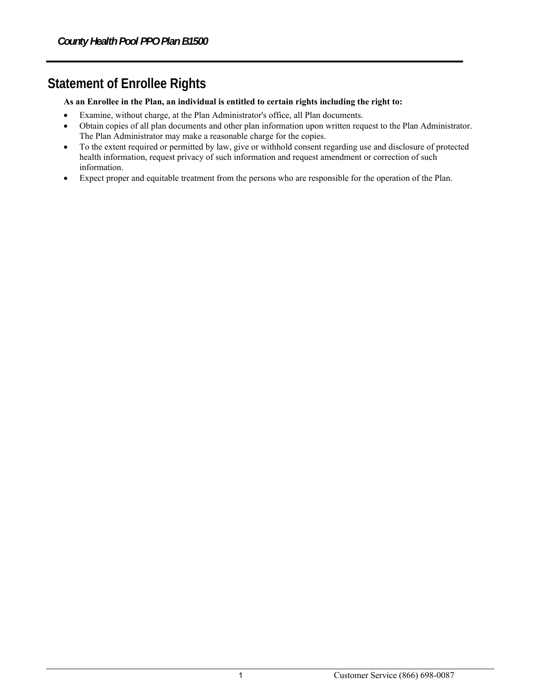# **Statement of Enrollee Rights**

#### **As an Enrollee in the Plan, an individual is entitled to certain rights including the right to:**

- Examine, without charge, at the Plan Administrator's office, all Plan documents.
- Obtain copies of all plan documents and other plan information upon written request to the Plan Administrator. The Plan Administrator may make a reasonable charge for the copies.
- To the extent required or permitted by law, give or withhold consent regarding use and disclosure of protected health information, request privacy of such information and request amendment or correction of such information.
- Expect proper and equitable treatment from the persons who are responsible for the operation of the Plan.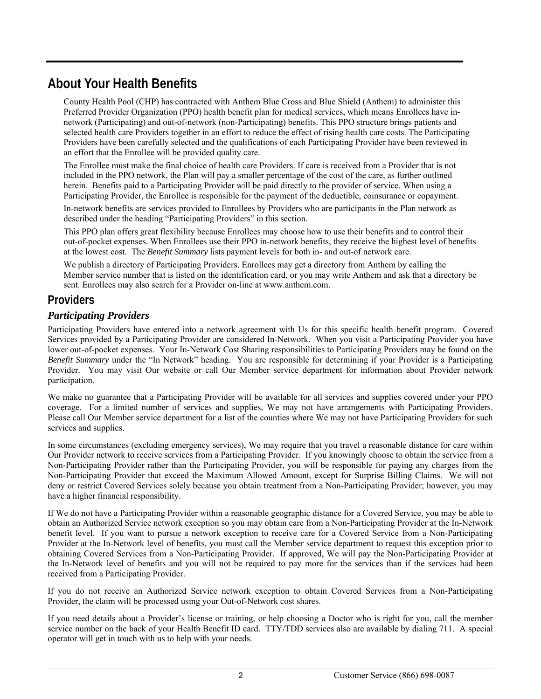# **About Your Health Benefits**

County Health Pool (CHP) has contracted with Anthem Blue Cross and Blue Shield (Anthem) to administer this Preferred Provider Organization (PPO) health benefit plan for medical services, which means Enrollees have innetwork (Participating) and out-of-network (non-Participating) benefits. This PPO structure brings patients and selected health care Providers together in an effort to reduce the effect of rising health care costs. The Participating Providers have been carefully selected and the qualifications of each Participating Provider have been reviewed in an effort that the Enrollee will be provided quality care.

The Enrollee must make the final choice of health care Providers. If care is received from a Provider that is not included in the PPO network, the Plan will pay a smaller percentage of the cost of the care, as further outlined herein. Benefits paid to a Participating Provider will be paid directly to the provider of service. When using a Participating Provider, the Enrollee is responsible for the payment of the deductible, coinsurance or copayment.

In-network benefits are services provided to Enrollees by Providers who are participants in the Plan network as described under the heading "Participating Providers" in this section.

This PPO plan offers great flexibility because Enrollees may choose how to use their benefits and to control their out-of-pocket expenses. When Enrollees use their PPO in-network benefits, they receive the highest level of benefits at the lowest cost. The *Benefit Summary* lists payment levels for both in- and out-of network care.

We publish a directory of Participating Providers. Enrollees may get a directory from Anthem by calling the Member service number that is listed on the identification card, or you may write Anthem and ask that a directory be sent. Enrollees may also search for a Provider on-line at www.anthem.com.

# **Providers**

# *Participating Providers*

Participating Providers have entered into a network agreement with Us for this specific health benefit program. Covered Services provided by a Participating Provider are considered In-Network. When you visit a Participating Provider you have lower out-of-pocket expenses. Your In-Network Cost Sharing responsibilities to Participating Providers may be found on the *Benefit Summary* under the "In Network" heading. You are responsible for determining if your Provider is a Participating Provider. You may visit Our website or call Our Member service department for information about Provider network participation.

We make no guarantee that a Participating Provider will be available for all services and supplies covered under your PPO coverage. For a limited number of services and supplies, We may not have arrangements with Participating Providers. Please call Our Member service department for a list of the counties where We may not have Participating Providers for such services and supplies.

In some circumstances (excluding emergency services), We may require that you travel a reasonable distance for care within Our Provider network to receive services from a Participating Provider. If you knowingly choose to obtain the service from a Non-Participating Provider rather than the Participating Provider, you will be responsible for paying any charges from the Non-Participating Provider that exceed the Maximum Allowed Amount, except for Surprise Billing Claims. We will not deny or restrict Covered Services solely because you obtain treatment from a Non-Participating Provider; however, you may have a higher financial responsibility.

If We do not have a Participating Provider within a reasonable geographic distance for a Covered Service, you may be able to obtain an Authorized Service network exception so you may obtain care from a Non-Participating Provider at the In-Network benefit level. If you want to pursue a network exception to receive care for a Covered Service from a Non-Participating Provider at the In-Network level of benefits, you must call the Member service department to request this exception prior to obtaining Covered Services from a Non-Participating Provider. If approved, We will pay the Non-Participating Provider at the In-Network level of benefits and you will not be required to pay more for the services than if the services had been received from a Participating Provider.

If you do not receive an Authorized Service network exception to obtain Covered Services from a Non-Participating Provider, the claim will be processed using your Out-of-Network cost shares.

If you need details about a Provider's license or training, or help choosing a Doctor who is right for you, call the member service number on the back of your Health Benefit ID card. TTY/TDD services also are available by dialing 711. A special operator will get in touch with us to help with your needs.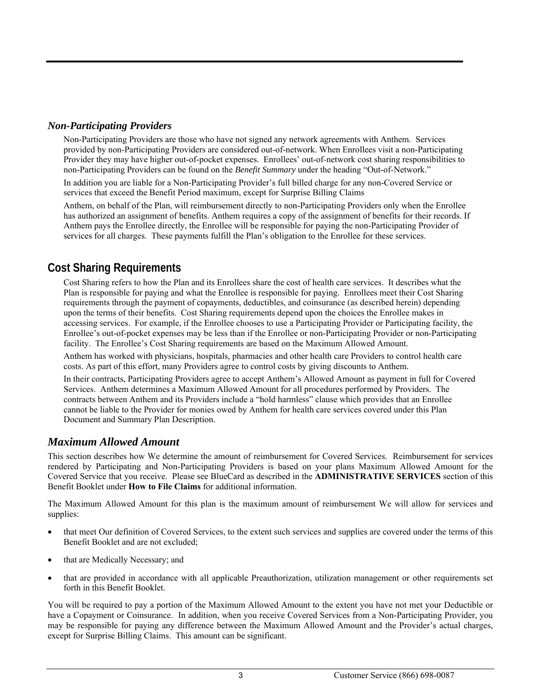## *Non-Participating Providers*

Non-Participating Providers are those who have not signed any network agreements with Anthem. Services provided by non-Participating Providers are considered out-of-network. When Enrollees visit a non-Participating Provider they may have higher out-of-pocket expenses. Enrollees' out-of-network cost sharing responsibilities to non-Participating Providers can be found on the *Benefit Summary* under the heading "Out-of-Network."

In addition you are liable for a Non-Participating Provider's full billed charge for any non-Covered Service or services that exceed the Benefit Period maximum, except for Surprise Billing Claims

Anthem, on behalf of the Plan, will reimbursement directly to non-Participating Providers only when the Enrollee has authorized an assignment of benefits. Anthem requires a copy of the assignment of benefits for their records. If Anthem pays the Enrollee directly, the Enrollee will be responsible for paying the non-Participating Provider of services for all charges. These payments fulfill the Plan's obligation to the Enrollee for these services.

# **Cost Sharing Requirements**

Cost Sharing refers to how the Plan and its Enrollees share the cost of health care services. It describes what the Plan is responsible for paying and what the Enrollee is responsible for paying. Enrollees meet their Cost Sharing requirements through the payment of copayments, deductibles, and coinsurance (as described herein) depending upon the terms of their benefits. Cost Sharing requirements depend upon the choices the Enrollee makes in accessing services. For example, if the Enrollee chooses to use a Participating Provider or Participating facility, the Enrollee's out-of-pocket expenses may be less than if the Enrollee or non-Participating Provider or non-Participating facility. The Enrollee's Cost Sharing requirements are based on the Maximum Allowed Amount.

Anthem has worked with physicians, hospitals, pharmacies and other health care Providers to control health care costs. As part of this effort, many Providers agree to control costs by giving discounts to Anthem.

In their contracts, Participating Providers agree to accept Anthem's Allowed Amount as payment in full for Covered Services. Anthem determines a Maximum Allowed Amount for all procedures performed by Providers. The contracts between Anthem and its Providers include a "hold harmless" clause which provides that an Enrollee cannot be liable to the Provider for monies owed by Anthem for health care services covered under this Plan Document and Summary Plan Description.

## *Maximum Allowed Amount*

This section describes how We determine the amount of reimbursement for Covered Services. Reimbursement for services rendered by Participating and Non-Participating Providers is based on your plans Maximum Allowed Amount for the Covered Service that you receive. Please see BlueCard as described in the **ADMINISTRATIVE SERVICES** section of this Benefit Booklet under **How to File Claims** for additional information.

The Maximum Allowed Amount for this plan is the maximum amount of reimbursement We will allow for services and supplies:

- that meet Our definition of Covered Services, to the extent such services and supplies are covered under the terms of this Benefit Booklet and are not excluded;
- that are Medically Necessary; and
- that are provided in accordance with all applicable Preauthorization, utilization management or other requirements set forth in this Benefit Booklet.

You will be required to pay a portion of the Maximum Allowed Amount to the extent you have not met your Deductible or have a Copayment or Coinsurance. In addition, when you receive Covered Services from a Non-Participating Provider, you may be responsible for paying any difference between the Maximum Allowed Amount and the Provider's actual charges, except for Surprise Billing Claims. This amount can be significant.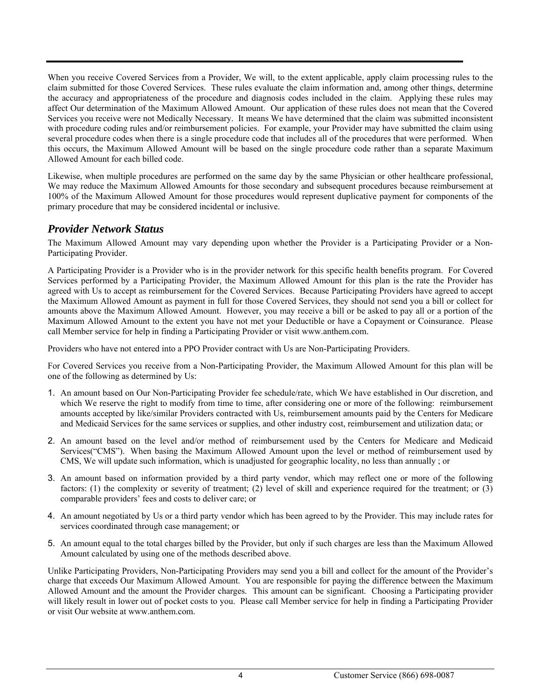When you receive Covered Services from a Provider, We will, to the extent applicable, apply claim processing rules to the claim submitted for those Covered Services. These rules evaluate the claim information and, among other things, determine the accuracy and appropriateness of the procedure and diagnosis codes included in the claim. Applying these rules may affect Our determination of the Maximum Allowed Amount. Our application of these rules does not mean that the Covered Services you receive were not Medically Necessary. It means We have determined that the claim was submitted inconsistent with procedure coding rules and/or reimbursement policies. For example, your Provider may have submitted the claim using several procedure codes when there is a single procedure code that includes all of the procedures that were performed. When this occurs, the Maximum Allowed Amount will be based on the single procedure code rather than a separate Maximum Allowed Amount for each billed code.

Likewise, when multiple procedures are performed on the same day by the same Physician or other healthcare professional, We may reduce the Maximum Allowed Amounts for those secondary and subsequent procedures because reimbursement at 100% of the Maximum Allowed Amount for those procedures would represent duplicative payment for components of the primary procedure that may be considered incidental or inclusive.

# *Provider Network Status*

The Maximum Allowed Amount may vary depending upon whether the Provider is a Participating Provider or a Non-Participating Provider.

A Participating Provider is a Provider who is in the provider network for this specific health benefits program. For Covered Services performed by a Participating Provider, the Maximum Allowed Amount for this plan is the rate the Provider has agreed with Us to accept as reimbursement for the Covered Services. Because Participating Providers have agreed to accept the Maximum Allowed Amount as payment in full for those Covered Services, they should not send you a bill or collect for amounts above the Maximum Allowed Amount. However, you may receive a bill or be asked to pay all or a portion of the Maximum Allowed Amount to the extent you have not met your Deductible or have a Copayment or Coinsurance. Please call Member service for help in finding a Participating Provider or visit www.anthem.com.

Providers who have not entered into a PPO Provider contract with Us are Non-Participating Providers.

For Covered Services you receive from a Non-Participating Provider, the Maximum Allowed Amount for this plan will be one of the following as determined by Us:

- 1. An amount based on Our Non-Participating Provider fee schedule/rate, which We have established in Our discretion, and which We reserve the right to modify from time to time, after considering one or more of the following: reimbursement amounts accepted by like/similar Providers contracted with Us, reimbursement amounts paid by the Centers for Medicare and Medicaid Services for the same services or supplies, and other industry cost, reimbursement and utilization data; or
- 2. An amount based on the level and/or method of reimbursement used by the Centers for Medicare and Medicaid Services("CMS"). When basing the Maximum Allowed Amount upon the level or method of reimbursement used by CMS, We will update such information, which is unadjusted for geographic locality, no less than annually ; or
- 3. An amount based on information provided by a third party vendor, which may reflect one or more of the following factors: (1) the complexity or severity of treatment; (2) level of skill and experience required for the treatment; or (3) comparable providers' fees and costs to deliver care; or
- 4. An amount negotiated by Us or a third party vendor which has been agreed to by the Provider. This may include rates for services coordinated through case management; or
- 5. An amount equal to the total charges billed by the Provider, but only if such charges are less than the Maximum Allowed Amount calculated by using one of the methods described above.

Unlike Participating Providers, Non-Participating Providers may send you a bill and collect for the amount of the Provider's charge that exceeds Our Maximum Allowed Amount. You are responsible for paying the difference between the Maximum Allowed Amount and the amount the Provider charges. This amount can be significant. Choosing a Participating provider will likely result in lower out of pocket costs to you. Please call Member service for help in finding a Participating Provider or visit Our website at www.anthem.com.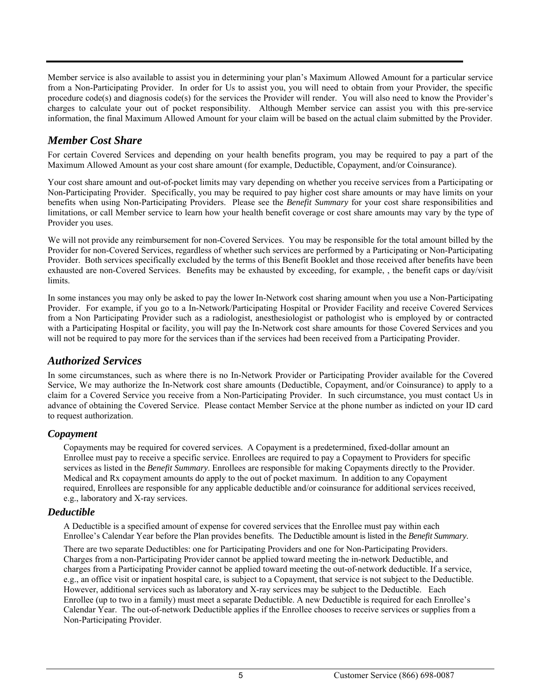Member service is also available to assist you in determining your plan's Maximum Allowed Amount for a particular service from a Non-Participating Provider. In order for Us to assist you, you will need to obtain from your Provider, the specific procedure code(s) and diagnosis code(s) for the services the Provider will render. You will also need to know the Provider's charges to calculate your out of pocket responsibility. Although Member service can assist you with this pre-service information, the final Maximum Allowed Amount for your claim will be based on the actual claim submitted by the Provider.

# *Member Cost Share*

For certain Covered Services and depending on your health benefits program, you may be required to pay a part of the Maximum Allowed Amount as your cost share amount (for example, Deductible, Copayment, and/or Coinsurance).

Your cost share amount and out-of-pocket limits may vary depending on whether you receive services from a Participating or Non-Participating Provider. Specifically, you may be required to pay higher cost share amounts or may have limits on your benefits when using Non-Participating Providers. Please see the *Benefit Summary* for your cost share responsibilities and limitations, or call Member service to learn how your health benefit coverage or cost share amounts may vary by the type of Provider you uses.

We will not provide any reimbursement for non-Covered Services. You may be responsible for the total amount billed by the Provider for non-Covered Services, regardless of whether such services are performed by a Participating or Non-Participating Provider. Both services specifically excluded by the terms of this Benefit Booklet and those received after benefits have been exhausted are non-Covered Services. Benefits may be exhausted by exceeding, for example, , the benefit caps or day/visit limits.

In some instances you may only be asked to pay the lower In-Network cost sharing amount when you use a Non-Participating Provider. For example, if you go to a In-Network/Participating Hospital or Provider Facility and receive Covered Services from a Non Participating Provider such as a radiologist, anesthesiologist or pathologist who is employed by or contracted with a Participating Hospital or facility, you will pay the In-Network cost share amounts for those Covered Services and you will not be required to pay more for the services than if the services had been received from a Participating Provider.

## *Authorized Services*

In some circumstances, such as where there is no In-Network Provider or Participating Provider available for the Covered Service, We may authorize the In-Network cost share amounts (Deductible, Copayment, and/or Coinsurance) to apply to a claim for a Covered Service you receive from a Non-Participating Provider. In such circumstance, you must contact Us in advance of obtaining the Covered Service. Please contact Member Service at the phone number as indicted on your ID card to request authorization.

#### *Copayment*

Copayments may be required for covered services. A Copayment is a predetermined, fixed-dollar amount an Enrollee must pay to receive a specific service. Enrollees are required to pay a Copayment to Providers for specific services as listed in the *Benefit Summary*. Enrollees are responsible for making Copayments directly to the Provider. Medical and Rx copayment amounts do apply to the out of pocket maximum. In addition to any Copayment required, Enrollees are responsible for any applicable deductible and/or coinsurance for additional services received, e.g., laboratory and X-ray services.

#### *Deductible*

A Deductible is a specified amount of expense for covered services that the Enrollee must pay within each Enrollee's Calendar Year before the Plan provides benefits. The Deductible amount is listed in the *Benefit Summary*.

There are two separate Deductibles: one for Participating Providers and one for Non-Participating Providers. Charges from a non-Participating Provider cannot be applied toward meeting the in-network Deductible, and charges from a Participating Provider cannot be applied toward meeting the out-of-network deductible. If a service, e.g., an office visit or inpatient hospital care, is subject to a Copayment, that service is not subject to the Deductible. However, additional services such as laboratory and X-ray services may be subject to the Deductible. Each Enrollee (up to two in a family) must meet a separate Deductible. A new Deductible is required for each Enrollee's Calendar Year. The out-of-network Deductible applies if the Enrollee chooses to receive services or supplies from a Non-Participating Provider.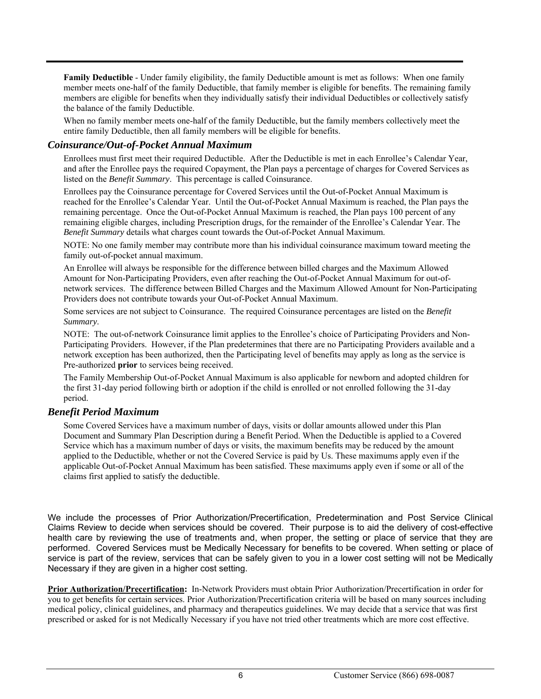**Family Deductible** - Under family eligibility, the family Deductible amount is met as follows: When one family member meets one-half of the family Deductible, that family member is eligible for benefits. The remaining family members are eligible for benefits when they individually satisfy their individual Deductibles or collectively satisfy the balance of the family Deductible.

When no family member meets one-half of the family Deductible, but the family members collectively meet the entire family Deductible, then all family members will be eligible for benefits.

#### *Coinsurance/Out-of-Pocket Annual Maximum*

Enrollees must first meet their required Deductible. After the Deductible is met in each Enrollee's Calendar Year, and after the Enrollee pays the required Copayment, the Plan pays a percentage of charges for Covered Services as listed on the *Benefit Summary*. This percentage is called Coinsurance.

Enrollees pay the Coinsurance percentage for Covered Services until the Out-of-Pocket Annual Maximum is reached for the Enrollee's Calendar Year. Until the Out-of-Pocket Annual Maximum is reached, the Plan pays the remaining percentage. Once the Out-of-Pocket Annual Maximum is reached, the Plan pays 100 percent of any remaining eligible charges, including Prescription drugs, for the remainder of the Enrollee's Calendar Year. The *Benefit Summary* details what charges count towards the Out-of-Pocket Annual Maximum.

NOTE: No one family member may contribute more than his individual coinsurance maximum toward meeting the family out-of-pocket annual maximum.

An Enrollee will always be responsible for the difference between billed charges and the Maximum Allowed Amount for Non-Participating Providers, even after reaching the Out-of-Pocket Annual Maximum for out-ofnetwork services. The difference between Billed Charges and the Maximum Allowed Amount for Non-Participating Providers does not contribute towards your Out-of-Pocket Annual Maximum.

Some services are not subject to Coinsurance. The required Coinsurance percentages are listed on the *Benefit Summary*.

NOTE: The out-of-network Coinsurance limit applies to the Enrollee's choice of Participating Providers and Non-Participating Providers. However, if the Plan predetermines that there are no Participating Providers available and a network exception has been authorized, then the Participating level of benefits may apply as long as the service is Pre-authorized **prior** to services being received.

The Family Membership Out-of-Pocket Annual Maximum is also applicable for newborn and adopted children for the first 31-day period following birth or adoption if the child is enrolled or not enrolled following the 31-day period.

#### *Benefit Period Maximum*

Some Covered Services have a maximum number of days, visits or dollar amounts allowed under this Plan Document and Summary Plan Description during a Benefit Period. When the Deductible is applied to a Covered Service which has a maximum number of days or visits, the maximum benefits may be reduced by the amount applied to the Deductible, whether or not the Covered Service is paid by Us. These maximums apply even if the applicable Out-of-Pocket Annual Maximum has been satisfied. These maximums apply even if some or all of the claims first applied to satisfy the deductible.

We include the processes of Prior Authorization/Precertification, Predetermination and Post Service Clinical Claims Review to decide when services should be covered. Their purpose is to aid the delivery of cost-effective health care by reviewing the use of treatments and, when proper, the setting or place of service that they are performed. Covered Services must be Medically Necessary for benefits to be covered. When setting or place of service is part of the review, services that can be safely given to you in a lower cost setting will not be Medically Necessary if they are given in a higher cost setting.

**Prior Authorization/Precertification:** In-Network Providers must obtain Prior Authorization/Precertification in order for you to get benefits for certain services. Prior Authorization/Precertification criteria will be based on many sources including medical policy, clinical guidelines, and pharmacy and therapeutics guidelines. We may decide that a service that was first prescribed or asked for is not Medically Necessary if you have not tried other treatments which are more cost effective.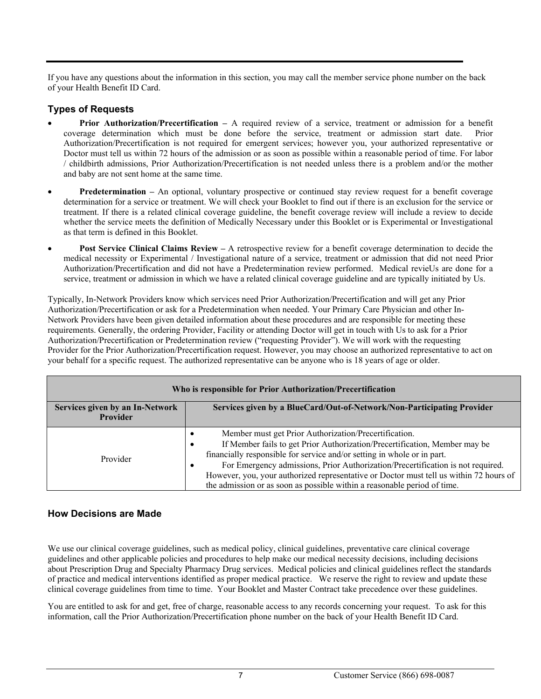If you have any questions about the information in this section, you may call the member service phone number on the back of your Health Benefit ID Card.

# **Types of Requests**

- **Prior Authorization/Precertification** A required review of a service, treatment or admission for a benefit coverage determination which must be done before the service, treatment or admission start date. Prior Authorization/Precertification is not required for emergent services; however you, your authorized representative or Doctor must tell us within 72 hours of the admission or as soon as possible within a reasonable period of time. For labor / childbirth admissions, Prior Authorization/Precertification is not needed unless there is a problem and/or the mother and baby are not sent home at the same time.
- **Predetermination** An optional, voluntary prospective or continued stay review request for a benefit coverage determination for a service or treatment. We will check your Booklet to find out if there is an exclusion for the service or treatment. If there is a related clinical coverage guideline, the benefit coverage review will include a review to decide whether the service meets the definition of Medically Necessary under this Booklet or is Experimental or Investigational as that term is defined in this Booklet.
- **Post Service Clinical Claims Review** A retrospective review for a benefit coverage determination to decide the medical necessity or Experimental / Investigational nature of a service, treatment or admission that did not need Prior Authorization/Precertification and did not have a Predetermination review performed. Medical revieUs are done for a service, treatment or admission in which we have a related clinical coverage guideline and are typically initiated by Us.

Typically, In-Network Providers know which services need Prior Authorization/Precertification and will get any Prior Authorization/Precertification or ask for a Predetermination when needed. Your Primary Care Physician and other In-Network Providers have been given detailed information about these procedures and are responsible for meeting these requirements. Generally, the ordering Provider, Facility or attending Doctor will get in touch with Us to ask for a Prior Authorization/Precertification or Predetermination review ("requesting Provider"). We will work with the requesting Provider for the Prior Authorization/Precertification request. However, you may choose an authorized representative to act on your behalf for a specific request. The authorized representative can be anyone who is 18 years of age or older.

| Who is responsible for Prior Authorization/Precertification                                                                  |                                                                                                                                                                                                                                                                                                                                                                                                                                                                                                        |  |
|------------------------------------------------------------------------------------------------------------------------------|--------------------------------------------------------------------------------------------------------------------------------------------------------------------------------------------------------------------------------------------------------------------------------------------------------------------------------------------------------------------------------------------------------------------------------------------------------------------------------------------------------|--|
| Services given by a BlueCard/Out-of-Network/Non-Participating Provider<br>Services given by an In-Network<br><b>Provider</b> |                                                                                                                                                                                                                                                                                                                                                                                                                                                                                                        |  |
| Provider                                                                                                                     | Member must get Prior Authorization/Precertification.<br>$\bullet$<br>If Member fails to get Prior Authorization/Precertification, Member may be<br>٠<br>financially responsible for service and/or setting in whole or in part.<br>For Emergency admissions, Prior Authorization/Precertification is not required.<br>$\bullet$<br>However, you, your authorized representative or Doctor must tell us within 72 hours of<br>the admission or as soon as possible within a reasonable period of time. |  |

## **How Decisions are Made**

We use our clinical coverage guidelines, such as medical policy, clinical guidelines, preventative care clinical coverage guidelines and other applicable policies and procedures to help make our medical necessity decisions, including decisions about Prescription Drug and Specialty Pharmacy Drug services. Medical policies and clinical guidelines reflect the standards of practice and medical interventions identified as proper medical practice. We reserve the right to review and update these clinical coverage guidelines from time to time. Your Booklet and Master Contract take precedence over these guidelines.

You are entitled to ask for and get, free of charge, reasonable access to any records concerning your request. To ask for this information, call the Prior Authorization/Precertification phone number on the back of your Health Benefit ID Card.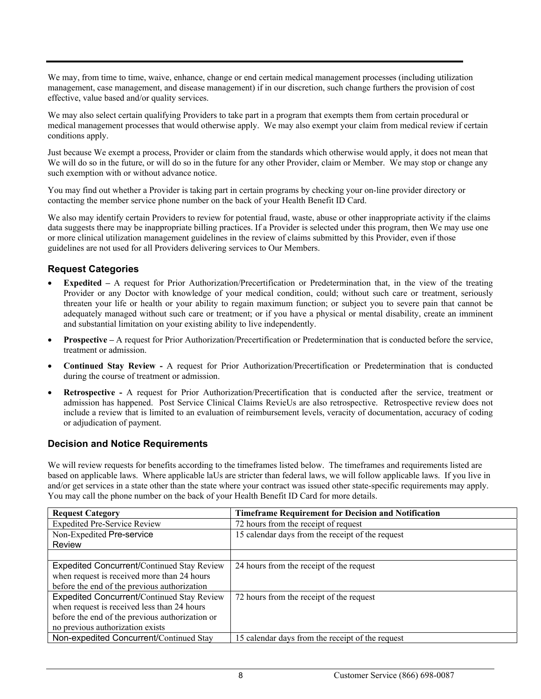We may, from time to time, waive, enhance, change or end certain medical management processes (including utilization management, case management, and disease management) if in our discretion, such change furthers the provision of cost effective, value based and/or quality services.

We may also select certain qualifying Providers to take part in a program that exempts them from certain procedural or medical management processes that would otherwise apply. We may also exempt your claim from medical review if certain conditions apply.

Just because We exempt a process, Provider or claim from the standards which otherwise would apply, it does not mean that We will do so in the future, or will do so in the future for any other Provider, claim or Member. We may stop or change any such exemption with or without advance notice.

You may find out whether a Provider is taking part in certain programs by checking your on-line provider directory or contacting the member service phone number on the back of your Health Benefit ID Card.

We also may identify certain Providers to review for potential fraud, waste, abuse or other inappropriate activity if the claims data suggests there may be inappropriate billing practices. If a Provider is selected under this program, then We may use one or more clinical utilization management guidelines in the review of claims submitted by this Provider, even if those guidelines are not used for all Providers delivering services to Our Members.

#### **Request Categories**

- **Expedited** A request for Prior Authorization/Precertification or Predetermination that, in the view of the treating Provider or any Doctor with knowledge of your medical condition, could; without such care or treatment, seriously threaten your life or health or your ability to regain maximum function; or subject you to severe pain that cannot be adequately managed without such care or treatment; or if you have a physical or mental disability, create an imminent and substantial limitation on your existing ability to live independently.
- **Prospective** A request for Prior Authorization/Precertification or Predetermination that is conducted before the service, treatment or admission.
- **Continued Stay Review** A request for Prior Authorization/Precertification or Predetermination that is conducted during the course of treatment or admission.
- **Retrospective** A request for Prior Authorization/Precertification that is conducted after the service, treatment or admission has happened. Post Service Clinical Claims RevieUs are also retrospective. Retrospective review does not include a review that is limited to an evaluation of reimbursement levels, veracity of documentation, accuracy of coding or adjudication of payment.

#### **Decision and Notice Requirements**

We will review requests for benefits according to the timeframes listed below. The timeframes and requirements listed are based on applicable laws. Where applicable laUs are stricter than federal laws, we will follow applicable laws. If you live in and/or get services in a state other than the state where your contract was issued other state-specific requirements may apply. You may call the phone number on the back of your Health Benefit ID Card for more details.

| <b>Request Category</b>                           | <b>Timeframe Requirement for Decision and Notification</b> |
|---------------------------------------------------|------------------------------------------------------------|
| <b>Expedited Pre-Service Review</b>               | 72 hours from the receipt of request                       |
| Non-Expedited Pre-service                         | 15 calendar days from the receipt of the request           |
| Review                                            |                                                            |
|                                                   |                                                            |
| <b>Expedited Concurrent/Continued Stay Review</b> | 24 hours from the receipt of the request                   |
| when request is received more than 24 hours       |                                                            |
| before the end of the previous authorization      |                                                            |
| <b>Expedited Concurrent/Continued Stay Review</b> | 72 hours from the receipt of the request                   |
| when request is received less than 24 hours       |                                                            |
| before the end of the previous authorization or   |                                                            |
| no previous authorization exists                  |                                                            |
| Non-expedited Concurrent/Continued Stay           | 15 calendar days from the receipt of the request           |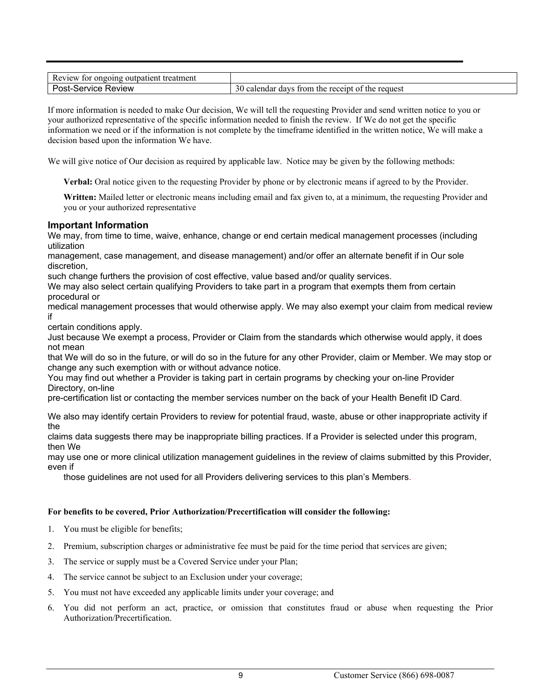| treatment<br>Review<br>ongoing<br>patient<br>011T<br>tor |                                                                       |
|----------------------------------------------------------|-----------------------------------------------------------------------|
| Service<br>∢eview                                        | 30<br>receipt<br>trom<br>calendar<br>the request<br>davs<br>оt<br>the |

If more information is needed to make Our decision, We will tell the requesting Provider and send written notice to you or your authorized representative of the specific information needed to finish the review. If We do not get the specific information we need or if the information is not complete by the timeframe identified in the written notice, We will make a decision based upon the information We have.

We will give notice of Our decision as required by applicable law. Notice may be given by the following methods:

**Verbal:** Oral notice given to the requesting Provider by phone or by electronic means if agreed to by the Provider.

**Written:** Mailed letter or electronic means including email and fax given to, at a minimum, the requesting Provider and you or your authorized representative

#### **Important Information**

We may, from time to time, waive, enhance, change or end certain medical management processes (including utilization

management, case management, and disease management) and/or offer an alternate benefit if in Our sole discretion,

such change furthers the provision of cost effective, value based and/or quality services.

We may also select certain qualifying Providers to take part in a program that exempts them from certain procedural or

medical management processes that would otherwise apply. We may also exempt your claim from medical review if

certain conditions apply.

Just because We exempt a process, Provider or Claim from the standards which otherwise would apply, it does not mean

that We will do so in the future, or will do so in the future for any other Provider, claim or Member. We may stop or change any such exemption with or without advance notice.

You may find out whether a Provider is taking part in certain programs by checking your on-line Provider Directory, on-line

pre-certification list or contacting the member services number on the back of your Health Benefit ID Card.

We also may identify certain Providers to review for potential fraud, waste, abuse or other inappropriate activity if the

claims data suggests there may be inappropriate billing practices. If a Provider is selected under this program, then We

may use one or more clinical utilization management guidelines in the review of claims submitted by this Provider, even if

those guidelines are not used for all Providers delivering services to this plan's Members.

#### **For benefits to be covered, Prior Authorization/Precertification will consider the following:**

- 1. You must be eligible for benefits;
- 2. Premium, subscription charges or administrative fee must be paid for the time period that services are given;
- 3. The service or supply must be a Covered Service under your Plan;
- 4. The service cannot be subject to an Exclusion under your coverage;
- 5. You must not have exceeded any applicable limits under your coverage; and
- 6. You did not perform an act, practice, or omission that constitutes fraud or abuse when requesting the Prior Authorization/Precertification.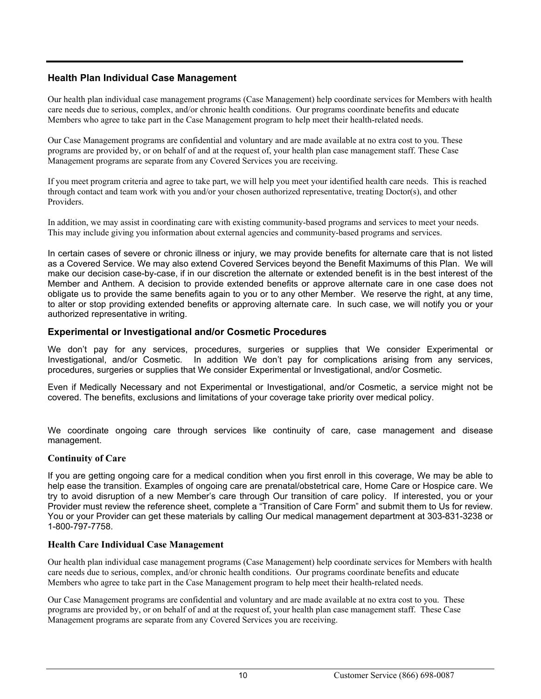## **Health Plan Individual Case Management**

Our health plan individual case management programs (Case Management) help coordinate services for Members with health care needs due to serious, complex, and/or chronic health conditions. Our programs coordinate benefits and educate Members who agree to take part in the Case Management program to help meet their health-related needs.

Our Case Management programs are confidential and voluntary and are made available at no extra cost to you. These programs are provided by, or on behalf of and at the request of, your health plan case management staff. These Case Management programs are separate from any Covered Services you are receiving.

If you meet program criteria and agree to take part, we will help you meet your identified health care needs. This is reached through contact and team work with you and/or your chosen authorized representative, treating Doctor(s), and other Providers.

In addition, we may assist in coordinating care with existing community-based programs and services to meet your needs. This may include giving you information about external agencies and community-based programs and services.

In certain cases of severe or chronic illness or injury, we may provide benefits for alternate care that is not listed as a Covered Service. We may also extend Covered Services beyond the Benefit Maximums of this Plan. We will make our decision case-by-case, if in our discretion the alternate or extended benefit is in the best interest of the Member and Anthem. A decision to provide extended benefits or approve alternate care in one case does not obligate us to provide the same benefits again to you or to any other Member. We reserve the right, at any time, to alter or stop providing extended benefits or approving alternate care. In such case, we will notify you or your authorized representative in writing.

#### **Experimental or Investigational and/or Cosmetic Procedures**

We don't pay for any services, procedures, surgeries or supplies that We consider Experimental or Investigational, and/or Cosmetic. In addition We don't pay for complications arising from any services, procedures, surgeries or supplies that We consider Experimental or Investigational, and/or Cosmetic.

Even if Medically Necessary and not Experimental or Investigational, and/or Cosmetic, a service might not be covered. The benefits, exclusions and limitations of your coverage take priority over medical policy.

We coordinate ongoing care through services like continuity of care, case management and disease management.

#### **Continuity of Care**

If you are getting ongoing care for a medical condition when you first enroll in this coverage, We may be able to help ease the transition. Examples of ongoing care are prenatal/obstetrical care, Home Care or Hospice care. We try to avoid disruption of a new Member's care through Our transition of care policy. If interested, you or your Provider must review the reference sheet, complete a "Transition of Care Form" and submit them to Us for review. You or your Provider can get these materials by calling Our medical management department at 303-831-3238 or 1-800-797-7758.

#### **Health Care Individual Case Management**

Our health plan individual case management programs (Case Management) help coordinate services for Members with health care needs due to serious, complex, and/or chronic health conditions. Our programs coordinate benefits and educate Members who agree to take part in the Case Management program to help meet their health-related needs.

Our Case Management programs are confidential and voluntary and are made available at no extra cost to you. These programs are provided by, or on behalf of and at the request of, your health plan case management staff. These Case Management programs are separate from any Covered Services you are receiving.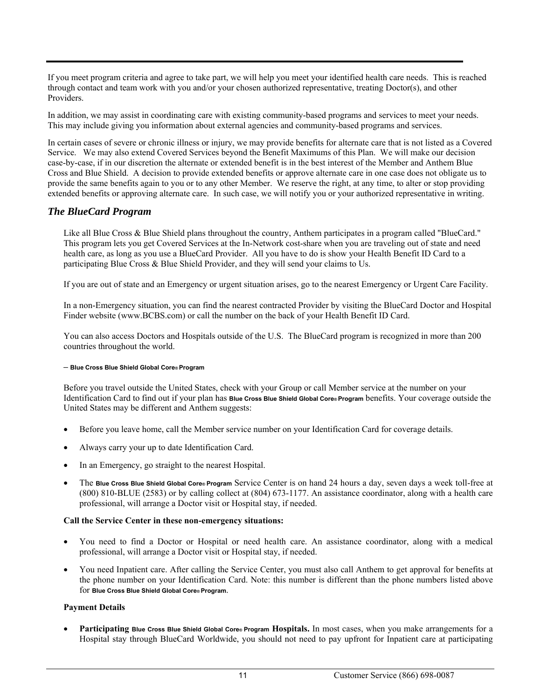If you meet program criteria and agree to take part, we will help you meet your identified health care needs. This is reached through contact and team work with you and/or your chosen authorized representative, treating Doctor(s), and other Providers.

In addition, we may assist in coordinating care with existing community-based programs and services to meet your needs. This may include giving you information about external agencies and community-based programs and services.

In certain cases of severe or chronic illness or injury, we may provide benefits for alternate care that is not listed as a Covered Service. We may also extend Covered Services beyond the Benefit Maximums of this Plan. We will make our decision case-by-case, if in our discretion the alternate or extended benefit is in the best interest of the Member and Anthem Blue Cross and Blue Shield. A decision to provide extended benefits or approve alternate care in one case does not obligate us to provide the same benefits again to you or to any other Member. We reserve the right, at any time, to alter or stop providing extended benefits or approving alternate care. In such case, we will notify you or your authorized representative in writing.

#### *The BlueCard Program*

Like all Blue Cross & Blue Shield plans throughout the country, Anthem participates in a program called "BlueCard." This program lets you get Covered Services at the In-Network cost-share when you are traveling out of state and need health care, as long as you use a BlueCard Provider. All you have to do is show your Health Benefit ID Card to a participating Blue Cross & Blue Shield Provider, and they will send your claims to Us.

If you are out of state and an Emergency or urgent situation arises, go to the nearest Emergency or Urgent Care Facility.

In a non-Emergency situation, you can find the nearest contracted Provider by visiting the BlueCard Doctor and Hospital Finder website (www.BCBS.com) or call the number on the back of your Health Benefit ID Card.

You can also access Doctors and Hospitals outside of the U.S. The BlueCard program is recognized in more than 200 countries throughout the world.

#### **– Blue Cross Blue Shield Global Core® Program**

Before you travel outside the United States, check with your Group or call Member service at the number on your Identification Card to find out if your plan has **Blue Cross Blue Shield Global Core® Program** benefits. Your coverage outside the United States may be different and Anthem suggests:

- Before you leave home, call the Member service number on your Identification Card for coverage details.
- Always carry your up to date Identification Card.
- In an Emergency, go straight to the nearest Hospital.
- The **Blue Cross Blue Shield Global Core® Program** Service Center is on hand 24 hours a day, seven days a week toll-free at (800) 810-BLUE (2583) or by calling collect at (804) 673-1177. An assistance coordinator, along with a health care professional, will arrange a Doctor visit or Hospital stay, if needed.

#### **Call the Service Center in these non-emergency situations:**

- You need to find a Doctor or Hospital or need health care. An assistance coordinator, along with a medical professional, will arrange a Doctor visit or Hospital stay, if needed.
- You need Inpatient care. After calling the Service Center, you must also call Anthem to get approval for benefits at the phone number on your Identification Card. Note: this number is different than the phone numbers listed above for **Blue Cross Blue Shield Global Core® Program**.

#### **Payment Details**

 **Participating Blue Cross Blue Shield Global Core® Program Hospitals.** In most cases, when you make arrangements for a Hospital stay through BlueCard Worldwide, you should not need to pay upfront for Inpatient care at participating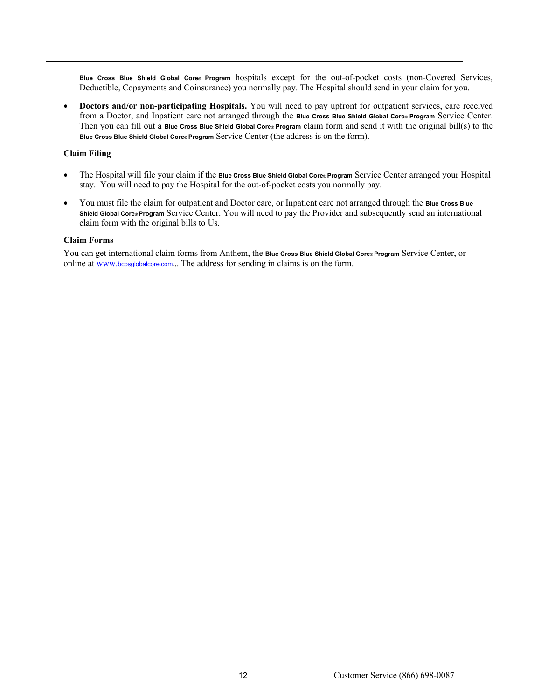**Blue Cross Blue Shield Global Core® Program** hospitals except for the out-of-pocket costs (non-Covered Services, Deductible, Copayments and Coinsurance) you normally pay. The Hospital should send in your claim for you.

 **Doctors and/or non-participating Hospitals.** You will need to pay upfront for outpatient services, care received from a Doctor, and Inpatient care not arranged through the **Blue Cross Blue Shield Global Core® Program** Service Center. Then you can fill out a **Blue Cross Blue Shield Global Core® Program** claim form and send it with the original bill(s) to the **Blue Cross Blue Shield Global Core® Program** Service Center (the address is on the form).

#### **Claim Filing**

- The Hospital will file your claim if the **Blue Cross Blue Shield Global Core® Program** Service Center arranged your Hospital stay. You will need to pay the Hospital for the out-of-pocket costs you normally pay.
- You must file the claim for outpatient and Doctor care, or Inpatient care not arranged through the **Blue Cross Blue Shield Global Core® Program** Service Center. You will need to pay the Provider and subsequently send an international claim form with the original bills to Us.

#### **Claim Forms**

You can get international claim forms from Anthem, the **Blue Cross Blue Shield Global Core® Program** Service Center, or online at www.bcbsglobalcore.com... The address for sending in claims is on the form.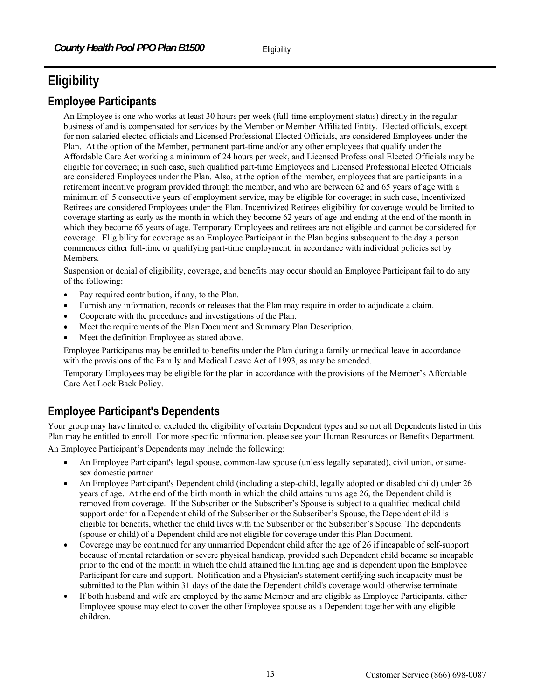# **Eligibility**

# **Employee Participants**

An Employee is one who works at least 30 hours per week (full-time employment status) directly in the regular business of and is compensated for services by the Member or Member Affiliated Entity. Elected officials, except for non-salaried elected officials and Licensed Professional Elected Officials, are considered Employees under the Plan. At the option of the Member, permanent part-time and/or any other employees that qualify under the Affordable Care Act working a minimum of 24 hours per week, and Licensed Professional Elected Officials may be eligible for coverage; in such case, such qualified part-time Employees and Licensed Professional Elected Officials are considered Employees under the Plan. Also, at the option of the member, employees that are participants in a retirement incentive program provided through the member, and who are between 62 and 65 years of age with a minimum of 5 consecutive years of employment service, may be eligible for coverage; in such case, Incentivized Retirees are considered Employees under the Plan. Incentivized Retirees eligibility for coverage would be limited to coverage starting as early as the month in which they become 62 years of age and ending at the end of the month in which they become 65 years of age. Temporary Employees and retirees are not eligible and cannot be considered for coverage. Eligibility for coverage as an Employee Participant in the Plan begins subsequent to the day a person commences either full-time or qualifying part-time employment, in accordance with individual policies set by Members.

Suspension or denial of eligibility, coverage, and benefits may occur should an Employee Participant fail to do any of the following:

- Pay required contribution, if any, to the Plan.
- Furnish any information, records or releases that the Plan may require in order to adjudicate a claim.
- Cooperate with the procedures and investigations of the Plan.
- Meet the requirements of the Plan Document and Summary Plan Description.
- Meet the definition Employee as stated above.

Employee Participants may be entitled to benefits under the Plan during a family or medical leave in accordance with the provisions of the Family and Medical Leave Act of 1993, as may be amended.

Temporary Employees may be eligible for the plan in accordance with the provisions of the Member's Affordable Care Act Look Back Policy.

# **Employee Participant's Dependents**

Your group may have limited or excluded the eligibility of certain Dependent types and so not all Dependents listed in this Plan may be entitled to enroll. For more specific information, please see your Human Resources or Benefits Department.

An Employee Participant's Dependents may include the following:

- An Employee Participant's legal spouse, common-law spouse (unless legally separated), civil union, or samesex domestic partner
- An Employee Participant's Dependent child (including a step-child, legally adopted or disabled child) under 26 years of age. At the end of the birth month in which the child attains turns age 26, the Dependent child is removed from coverage. If the Subscriber or the Subscriber's Spouse is subject to a qualified medical child support order for a Dependent child of the Subscriber or the Subscriber's Spouse, the Dependent child is eligible for benefits, whether the child lives with the Subscriber or the Subscriber's Spouse. The dependents (spouse or child) of a Dependent child are not eligible for coverage under this Plan Document.
- Coverage may be continued for any unmarried Dependent child after the age of 26 if incapable of self-support because of mental retardation or severe physical handicap, provided such Dependent child became so incapable prior to the end of the month in which the child attained the limiting age and is dependent upon the Employee Participant for care and support. Notification and a Physician's statement certifying such incapacity must be submitted to the Plan within 31 days of the date the Dependent child's coverage would otherwise terminate.
- If both husband and wife are employed by the same Member and are eligible as Employee Participants, either Employee spouse may elect to cover the other Employee spouse as a Dependent together with any eligible children.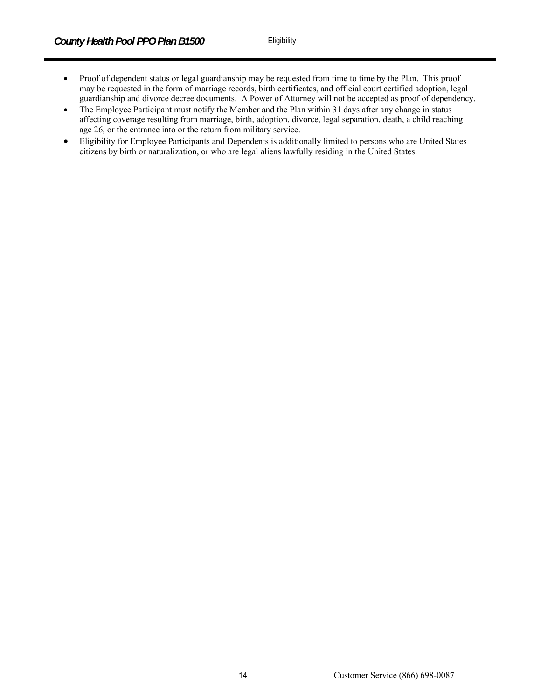- Proof of dependent status or legal guardianship may be requested from time to time by the Plan. This proof may be requested in the form of marriage records, birth certificates, and official court certified adoption, legal guardianship and divorce decree documents. A Power of Attorney will not be accepted as proof of dependency.
- The Employee Participant must notify the Member and the Plan within 31 days after any change in status affecting coverage resulting from marriage, birth, adoption, divorce, legal separation, death, a child reaching age 26, or the entrance into or the return from military service.
- Eligibility for Employee Participants and Dependents is additionally limited to persons who are United States citizens by birth or naturalization, or who are legal aliens lawfully residing in the United States.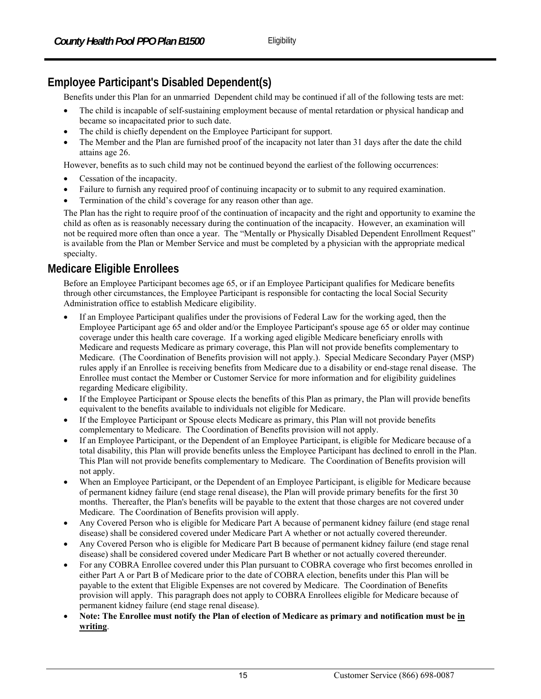# **Employee Participant's Disabled Dependent(s)**

Benefits under this Plan for an unmarried Dependent child may be continued if all of the following tests are met:

- The child is incapable of self-sustaining employment because of mental retardation or physical handicap and became so incapacitated prior to such date.
- The child is chiefly dependent on the Employee Participant for support.
- The Member and the Plan are furnished proof of the incapacity not later than 31 days after the date the child attains age 26.

However, benefits as to such child may not be continued beyond the earliest of the following occurrences:

- Cessation of the incapacity.
- Failure to furnish any required proof of continuing incapacity or to submit to any required examination.
- Termination of the child's coverage for any reason other than age.

The Plan has the right to require proof of the continuation of incapacity and the right and opportunity to examine the child as often as is reasonably necessary during the continuation of the incapacity. However, an examination will not be required more often than once a year. The "Mentally or Physically Disabled Dependent Enrollment Request" is available from the Plan or Member Service and must be completed by a physician with the appropriate medical specialty.

# **Medicare Eligible Enrollees**

Before an Employee Participant becomes age 65, or if an Employee Participant qualifies for Medicare benefits through other circumstances, the Employee Participant is responsible for contacting the local Social Security Administration office to establish Medicare eligibility.

- If an Employee Participant qualifies under the provisions of Federal Law for the working aged, then the Employee Participant age 65 and older and/or the Employee Participant's spouse age 65 or older may continue coverage under this health care coverage. If a working aged eligible Medicare beneficiary enrolls with Medicare and requests Medicare as primary coverage, this Plan will not provide benefits complementary to Medicare. (The Coordination of Benefits provision will not apply.). Special Medicare Secondary Payer (MSP) rules apply if an Enrollee is receiving benefits from Medicare due to a disability or end-stage renal disease. The Enrollee must contact the Member or Customer Service for more information and for eligibility guidelines regarding Medicare eligibility.
- If the Employee Participant or Spouse elects the benefits of this Plan as primary, the Plan will provide benefits equivalent to the benefits available to individuals not eligible for Medicare.
- If the Employee Participant or Spouse elects Medicare as primary, this Plan will not provide benefits complementary to Medicare. The Coordination of Benefits provision will not apply.
- If an Employee Participant, or the Dependent of an Employee Participant, is eligible for Medicare because of a total disability, this Plan will provide benefits unless the Employee Participant has declined to enroll in the Plan. This Plan will not provide benefits complementary to Medicare. The Coordination of Benefits provision will not apply.
- When an Employee Participant, or the Dependent of an Employee Participant, is eligible for Medicare because of permanent kidney failure (end stage renal disease), the Plan will provide primary benefits for the first 30 months. Thereafter, the Plan's benefits will be payable to the extent that those charges are not covered under Medicare. The Coordination of Benefits provision will apply.
- Any Covered Person who is eligible for Medicare Part A because of permanent kidney failure (end stage renal disease) shall be considered covered under Medicare Part A whether or not actually covered thereunder.
- Any Covered Person who is eligible for Medicare Part B because of permanent kidney failure (end stage renal disease) shall be considered covered under Medicare Part B whether or not actually covered thereunder.
- For any COBRA Enrollee covered under this Plan pursuant to COBRA coverage who first becomes enrolled in either Part A or Part B of Medicare prior to the date of COBRA election, benefits under this Plan will be payable to the extent that Eligible Expenses are not covered by Medicare. The Coordination of Benefits provision will apply. This paragraph does not apply to COBRA Enrollees eligible for Medicare because of permanent kidney failure (end stage renal disease).
- **Note: The Enrollee must notify the Plan of election of Medicare as primary and notification must be in writing**.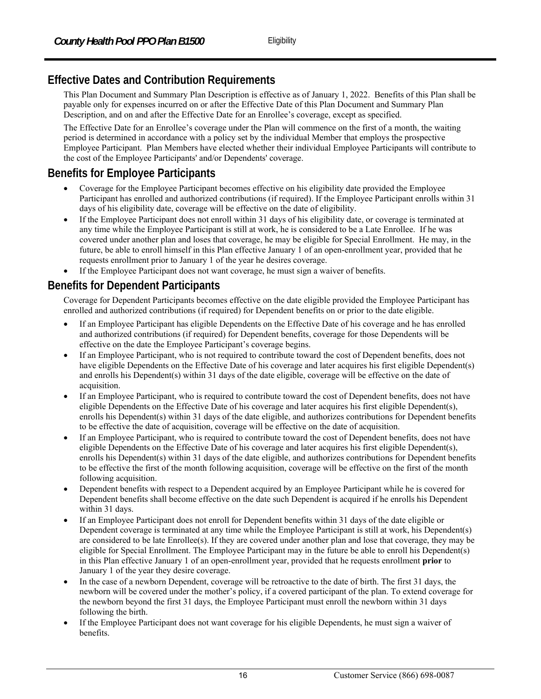# **Effective Dates and Contribution Requirements**

This Plan Document and Summary Plan Description is effective as of January 1, 2022. Benefits of this Plan shall be payable only for expenses incurred on or after the Effective Date of this Plan Document and Summary Plan Description, and on and after the Effective Date for an Enrollee's coverage, except as specified.

The Effective Date for an Enrollee's coverage under the Plan will commence on the first of a month, the waiting period is determined in accordance with a policy set by the individual Member that employs the prospective Employee Participant. Plan Members have elected whether their individual Employee Participants will contribute to the cost of the Employee Participants' and/or Dependents' coverage.

# **Benefits for Employee Participants**

- Coverage for the Employee Participant becomes effective on his eligibility date provided the Employee Participant has enrolled and authorized contributions (if required). If the Employee Participant enrolls within 31 days of his eligibility date, coverage will be effective on the date of eligibility.
- If the Employee Participant does not enroll within 31 days of his eligibility date, or coverage is terminated at any time while the Employee Participant is still at work, he is considered to be a Late Enrollee. If he was covered under another plan and loses that coverage, he may be eligible for Special Enrollment. He may, in the future, be able to enroll himself in this Plan effective January 1 of an open-enrollment year, provided that he requests enrollment prior to January 1 of the year he desires coverage.
- If the Employee Participant does not want coverage, he must sign a waiver of benefits.

# **Benefits for Dependent Participants**

Coverage for Dependent Participants becomes effective on the date eligible provided the Employee Participant has enrolled and authorized contributions (if required) for Dependent benefits on or prior to the date eligible.

- If an Employee Participant has eligible Dependents on the Effective Date of his coverage and he has enrolled and authorized contributions (if required) for Dependent benefits, coverage for those Dependents will be effective on the date the Employee Participant's coverage begins.
- If an Employee Participant, who is not required to contribute toward the cost of Dependent benefits, does not have eligible Dependents on the Effective Date of his coverage and later acquires his first eligible Dependent(s) and enrolls his Dependent(s) within 31 days of the date eligible, coverage will be effective on the date of acquisition.
- If an Employee Participant, who is required to contribute toward the cost of Dependent benefits, does not have eligible Dependents on the Effective Date of his coverage and later acquires his first eligible Dependent(s), enrolls his Dependent(s) within 31 days of the date eligible, and authorizes contributions for Dependent benefits to be effective the date of acquisition, coverage will be effective on the date of acquisition.
- If an Employee Participant, who is required to contribute toward the cost of Dependent benefits, does not have eligible Dependents on the Effective Date of his coverage and later acquires his first eligible Dependent(s), enrolls his Dependent(s) within 31 days of the date eligible, and authorizes contributions for Dependent benefits to be effective the first of the month following acquisition, coverage will be effective on the first of the month following acquisition.
- Dependent benefits with respect to a Dependent acquired by an Employee Participant while he is covered for Dependent benefits shall become effective on the date such Dependent is acquired if he enrolls his Dependent within 31 days.
- If an Employee Participant does not enroll for Dependent benefits within 31 days of the date eligible or Dependent coverage is terminated at any time while the Employee Participant is still at work, his Dependent(s) are considered to be late Enrollee(s). If they are covered under another plan and lose that coverage, they may be eligible for Special Enrollment. The Employee Participant may in the future be able to enroll his Dependent(s) in this Plan effective January 1 of an open-enrollment year, provided that he requests enrollment **prior** to January 1 of the year they desire coverage.
- In the case of a newborn Dependent, coverage will be retroactive to the date of birth. The first 31 days, the newborn will be covered under the mother's policy, if a covered participant of the plan. To extend coverage for the newborn beyond the first 31 days, the Employee Participant must enroll the newborn within 31 days following the birth.
- If the Employee Participant does not want coverage for his eligible Dependents, he must sign a waiver of benefits.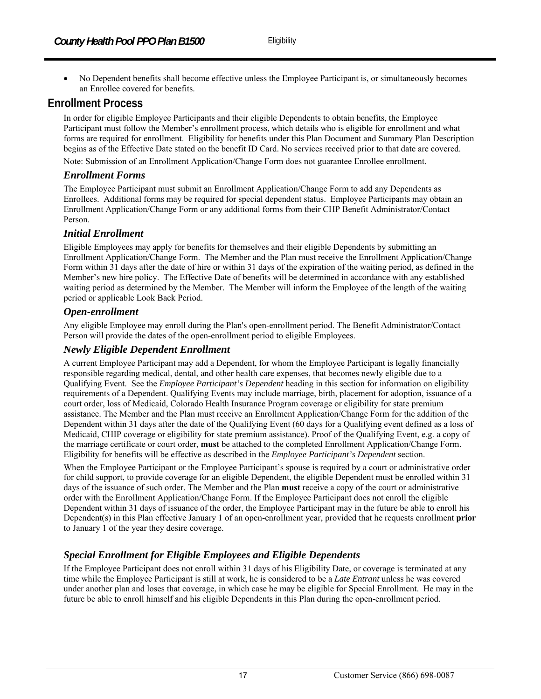No Dependent benefits shall become effective unless the Employee Participant is, or simultaneously becomes an Enrollee covered for benefits.

# **Enrollment Process**

In order for eligible Employee Participants and their eligible Dependents to obtain benefits, the Employee Participant must follow the Member's enrollment process, which details who is eligible for enrollment and what forms are required for enrollment. Eligibility for benefits under this Plan Document and Summary Plan Description begins as of the Effective Date stated on the benefit ID Card. No services received prior to that date are covered.

Note: Submission of an Enrollment Application/Change Form does not guarantee Enrollee enrollment.

#### *Enrollment Forms*

The Employee Participant must submit an Enrollment Application/Change Form to add any Dependents as Enrollees. Additional forms may be required for special dependent status. Employee Participants may obtain an Enrollment Application/Change Form or any additional forms from their CHP Benefit Administrator/Contact Person.

#### *Initial Enrollment*

Eligible Employees may apply for benefits for themselves and their eligible Dependents by submitting an Enrollment Application/Change Form. The Member and the Plan must receive the Enrollment Application/Change Form within 31 days after the date of hire or within 31 days of the expiration of the waiting period, as defined in the Member's new hire policy. The Effective Date of benefits will be determined in accordance with any established waiting period as determined by the Member. The Member will inform the Employee of the length of the waiting period or applicable Look Back Period.

#### *Open-enrollment*

Any eligible Employee may enroll during the Plan's open-enrollment period. The Benefit Administrator/Contact Person will provide the dates of the open-enrollment period to eligible Employees.

#### *Newly Eligible Dependent Enrollment*

A current Employee Participant may add a Dependent, for whom the Employee Participant is legally financially responsible regarding medical, dental, and other health care expenses, that becomes newly eligible due to a Qualifying Event. See the *Employee Participant's Dependent* heading in this section for information on eligibility requirements of a Dependent. Qualifying Events may include marriage, birth, placement for adoption, issuance of a court order, loss of Medicaid, Colorado Health Insurance Program coverage or eligibility for state premium assistance. The Member and the Plan must receive an Enrollment Application/Change Form for the addition of the Dependent within 31 days after the date of the Qualifying Event (60 days for a Qualifying event defined as a loss of Medicaid, CHIP coverage or eligibility for state premium assistance). Proof of the Qualifying Event, e.g. a copy of the marriage certificate or court order, **must** be attached to the completed Enrollment Application/Change Form. Eligibility for benefits will be effective as described in the *Employee Participant's Dependent* section.

When the Employee Participant or the Employee Participant's spouse is required by a court or administrative order for child support, to provide coverage for an eligible Dependent, the eligible Dependent must be enrolled within 31 days of the issuance of such order. The Member and the Plan **must** receive a copy of the court or administrative order with the Enrollment Application/Change Form. If the Employee Participant does not enroll the eligible Dependent within 31 days of issuance of the order, the Employee Participant may in the future be able to enroll his Dependent(s) in this Plan effective January 1 of an open-enrollment year, provided that he requests enrollment **prior** to January 1 of the year they desire coverage.

## *Special Enrollment for Eligible Employees and Eligible Dependents*

If the Employee Participant does not enroll within 31 days of his Eligibility Date, or coverage is terminated at any time while the Employee Participant is still at work, he is considered to be a *Late Entrant* unless he was covered under another plan and loses that coverage, in which case he may be eligible for Special Enrollment. He may in the future be able to enroll himself and his eligible Dependents in this Plan during the open-enrollment period.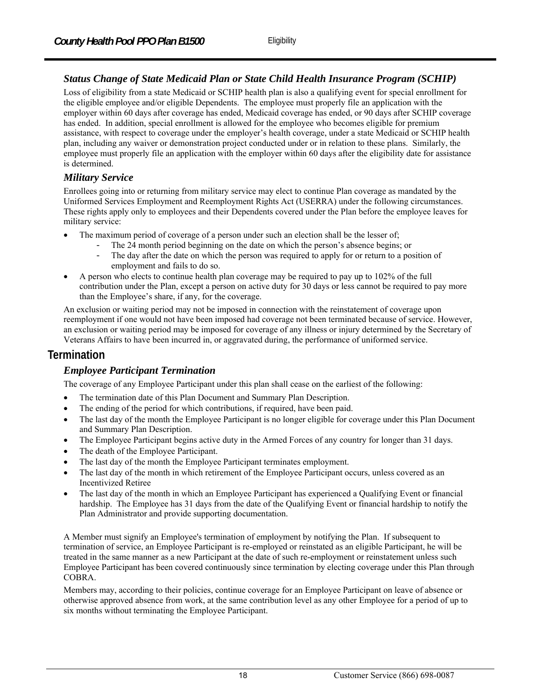# *Status Change of State Medicaid Plan or State Child Health Insurance Program (SCHIP)*

Loss of eligibility from a state Medicaid or SCHIP health plan is also a qualifying event for special enrollment for the eligible employee and/or eligible Dependents. The employee must properly file an application with the employer within 60 days after coverage has ended, Medicaid coverage has ended, or 90 days after SCHIP coverage has ended. In addition, special enrollment is allowed for the employee who becomes eligible for premium assistance, with respect to coverage under the employer's health coverage, under a state Medicaid or SCHIP health plan, including any waiver or demonstration project conducted under or in relation to these plans. Similarly, the employee must properly file an application with the employer within 60 days after the eligibility date for assistance is determined.

#### *Military Service*

Enrollees going into or returning from military service may elect to continue Plan coverage as mandated by the Uniformed Services Employment and Reemployment Rights Act (USERRA) under the following circumstances. These rights apply only to employees and their Dependents covered under the Plan before the employee leaves for military service:

- The maximum period of coverage of a person under such an election shall be the lesser of;
	- The 24 month period beginning on the date on which the person's absence begins; or<br>- The day after the date on which the person was required to apply for or return to a pos
	- The day after the date on which the person was required to apply for or return to a position of employment and fails to do so.
- A person who elects to continue health plan coverage may be required to pay up to 102% of the full contribution under the Plan, except a person on active duty for 30 days or less cannot be required to pay more than the Employee's share, if any, for the coverage.

An exclusion or waiting period may not be imposed in connection with the reinstatement of coverage upon reemployment if one would not have been imposed had coverage not been terminated because of service. However, an exclusion or waiting period may be imposed for coverage of any illness or injury determined by the Secretary of Veterans Affairs to have been incurred in, or aggravated during, the performance of uniformed service.

# **Termination**

## *Employee Participant Termination*

The coverage of any Employee Participant under this plan shall cease on the earliest of the following:

- The termination date of this Plan Document and Summary Plan Description.
- The ending of the period for which contributions, if required, have been paid.
- The last day of the month the Employee Participant is no longer eligible for coverage under this Plan Document and Summary Plan Description.
- The Employee Participant begins active duty in the Armed Forces of any country for longer than 31 days.
- The death of the Employee Participant.
- The last day of the month the Employee Participant terminates employment.
- The last day of the month in which retirement of the Employee Participant occurs, unless covered as an Incentivized Retiree
- The last day of the month in which an Employee Participant has experienced a Qualifying Event or financial hardship. The Employee has 31 days from the date of the Qualifying Event or financial hardship to notify the Plan Administrator and provide supporting documentation.

A Member must signify an Employee's termination of employment by notifying the Plan. If subsequent to termination of service, an Employee Participant is re-employed or reinstated as an eligible Participant, he will be treated in the same manner as a new Participant at the date of such re-employment or reinstatement unless such Employee Participant has been covered continuously since termination by electing coverage under this Plan through COBRA.

Members may, according to their policies, continue coverage for an Employee Participant on leave of absence or otherwise approved absence from work, at the same contribution level as any other Employee for a period of up to six months without terminating the Employee Participant.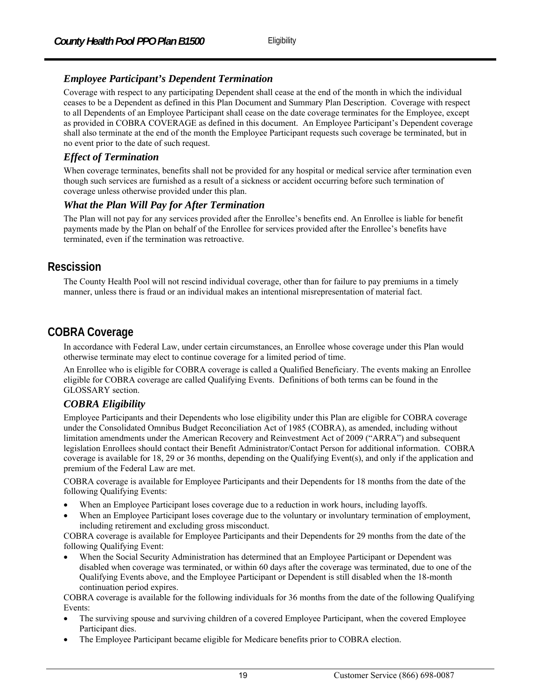## *Employee Participant's Dependent Termination*

Coverage with respect to any participating Dependent shall cease at the end of the month in which the individual ceases to be a Dependent as defined in this Plan Document and Summary Plan Description. Coverage with respect to all Dependents of an Employee Participant shall cease on the date coverage terminates for the Employee, except as provided in COBRA COVERAGE as defined in this document. An Employee Participant's Dependent coverage shall also terminate at the end of the month the Employee Participant requests such coverage be terminated, but in no event prior to the date of such request.

### *Effect of Termination*

When coverage terminates, benefits shall not be provided for any hospital or medical service after termination even though such services are furnished as a result of a sickness or accident occurring before such termination of coverage unless otherwise provided under this plan.

#### *What the Plan Will Pay for After Termination*

The Plan will not pay for any services provided after the Enrollee's benefits end. An Enrollee is liable for benefit payments made by the Plan on behalf of the Enrollee for services provided after the Enrollee's benefits have terminated, even if the termination was retroactive.

# **Rescission**

The County Health Pool will not rescind individual coverage, other than for failure to pay premiums in a timely manner, unless there is fraud or an individual makes an intentional misrepresentation of material fact.

# **COBRA Coverage**

In accordance with Federal Law, under certain circumstances, an Enrollee whose coverage under this Plan would otherwise terminate may elect to continue coverage for a limited period of time.

An Enrollee who is eligible for COBRA coverage is called a Qualified Beneficiary. The events making an Enrollee eligible for COBRA coverage are called Qualifying Events. Definitions of both terms can be found in the GLOSSARY section.

## *COBRA Eligibility*

Employee Participants and their Dependents who lose eligibility under this Plan are eligible for COBRA coverage under the Consolidated Omnibus Budget Reconciliation Act of 1985 (COBRA), as amended, including without limitation amendments under the American Recovery and Reinvestment Act of 2009 ("ARRA") and subsequent legislation Enrollees should contact their Benefit Administrator/Contact Person for additional information. COBRA coverage is available for 18, 29 or 36 months, depending on the Qualifying Event(s), and only if the application and premium of the Federal Law are met.

COBRA coverage is available for Employee Participants and their Dependents for 18 months from the date of the following Qualifying Events:

- When an Employee Participant loses coverage due to a reduction in work hours, including layoffs.
- When an Employee Participant loses coverage due to the voluntary or involuntary termination of employment, including retirement and excluding gross misconduct.

COBRA coverage is available for Employee Participants and their Dependents for 29 months from the date of the following Qualifying Event:

 When the Social Security Administration has determined that an Employee Participant or Dependent was disabled when coverage was terminated, or within 60 days after the coverage was terminated, due to one of the Qualifying Events above, and the Employee Participant or Dependent is still disabled when the 18-month continuation period expires.

COBRA coverage is available for the following individuals for 36 months from the date of the following Qualifying Events:

- The surviving spouse and surviving children of a covered Employee Participant, when the covered Employee Participant dies.
- The Employee Participant became eligible for Medicare benefits prior to COBRA election.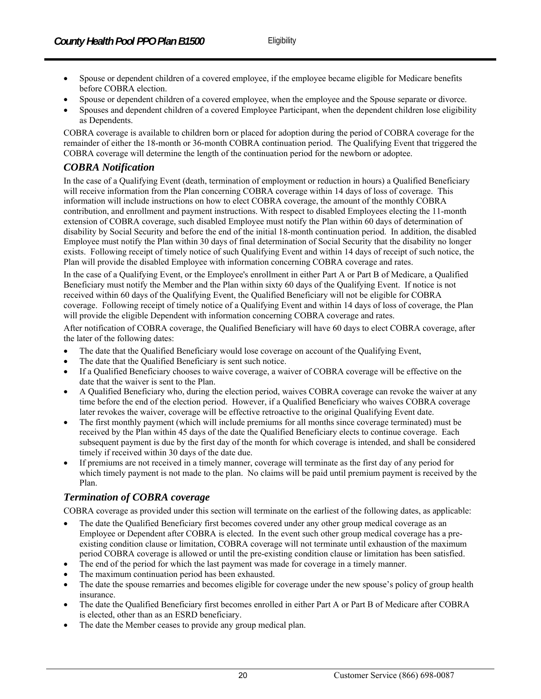- Spouse or dependent children of a covered employee, if the employee became eligible for Medicare benefits before COBRA election.
- Spouse or dependent children of a covered employee, when the employee and the Spouse separate or divorce.
- Spouses and dependent children of a covered Employee Participant, when the dependent children lose eligibility as Dependents.

COBRA coverage is available to children born or placed for adoption during the period of COBRA coverage for the remainder of either the 18-month or 36-month COBRA continuation period. The Qualifying Event that triggered the COBRA coverage will determine the length of the continuation period for the newborn or adoptee.

## *COBRA Notification*

In the case of a Qualifying Event (death, termination of employment or reduction in hours) a Qualified Beneficiary will receive information from the Plan concerning COBRA coverage within 14 days of loss of coverage. This information will include instructions on how to elect COBRA coverage, the amount of the monthly COBRA contribution, and enrollment and payment instructions. With respect to disabled Employees electing the 11-month extension of COBRA coverage, such disabled Employee must notify the Plan within 60 days of determination of disability by Social Security and before the end of the initial 18-month continuation period. In addition, the disabled Employee must notify the Plan within 30 days of final determination of Social Security that the disability no longer exists. Following receipt of timely notice of such Qualifying Event and within 14 days of receipt of such notice, the Plan will provide the disabled Employee with information concerning COBRA coverage and rates.

In the case of a Qualifying Event, or the Employee's enrollment in either Part A or Part B of Medicare, a Qualified Beneficiary must notify the Member and the Plan within sixty 60 days of the Qualifying Event. If notice is not received within 60 days of the Qualifying Event, the Qualified Beneficiary will not be eligible for COBRA coverage. Following receipt of timely notice of a Qualifying Event and within 14 days of loss of coverage, the Plan will provide the eligible Dependent with information concerning COBRA coverage and rates.

After notification of COBRA coverage, the Qualified Beneficiary will have 60 days to elect COBRA coverage, after the later of the following dates:

- The date that the Qualified Beneficiary would lose coverage on account of the Qualifying Event,
- The date that the Qualified Beneficiary is sent such notice.
- If a Qualified Beneficiary chooses to waive coverage, a waiver of COBRA coverage will be effective on the date that the waiver is sent to the Plan.
- A Qualified Beneficiary who, during the election period, waives COBRA coverage can revoke the waiver at any time before the end of the election period. However, if a Qualified Beneficiary who waives COBRA coverage later revokes the waiver, coverage will be effective retroactive to the original Qualifying Event date.
- The first monthly payment (which will include premiums for all months since coverage terminated) must be received by the Plan within 45 days of the date the Qualified Beneficiary elects to continue coverage. Each subsequent payment is due by the first day of the month for which coverage is intended, and shall be considered timely if received within 30 days of the date due.
- If premiums are not received in a timely manner, coverage will terminate as the first day of any period for which timely payment is not made to the plan. No claims will be paid until premium payment is received by the Plan.

#### *Termination of COBRA coverage*

COBRA coverage as provided under this section will terminate on the earliest of the following dates, as applicable:

- The date the Qualified Beneficiary first becomes covered under any other group medical coverage as an Employee or Dependent after COBRA is elected. In the event such other group medical coverage has a preexisting condition clause or limitation, COBRA coverage will not terminate until exhaustion of the maximum period COBRA coverage is allowed or until the pre-existing condition clause or limitation has been satisfied.
- The end of the period for which the last payment was made for coverage in a timely manner.
- The maximum continuation period has been exhausted.
- The date the spouse remarries and becomes eligible for coverage under the new spouse's policy of group health insurance.
- The date the Qualified Beneficiary first becomes enrolled in either Part A or Part B of Medicare after COBRA is elected, other than as an ESRD beneficiary.
- The date the Member ceases to provide any group medical plan.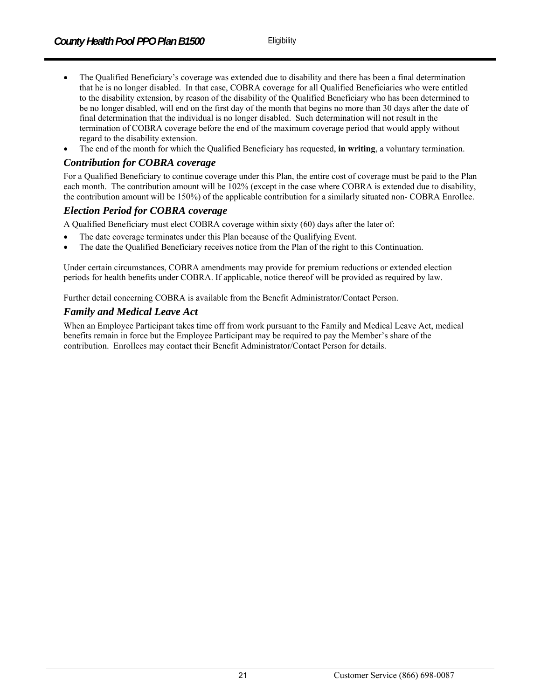- The Qualified Beneficiary's coverage was extended due to disability and there has been a final determination that he is no longer disabled. In that case, COBRA coverage for all Qualified Beneficiaries who were entitled to the disability extension, by reason of the disability of the Qualified Beneficiary who has been determined to be no longer disabled, will end on the first day of the month that begins no more than 30 days after the date of final determination that the individual is no longer disabled. Such determination will not result in the termination of COBRA coverage before the end of the maximum coverage period that would apply without regard to the disability extension.
- The end of the month for which the Qualified Beneficiary has requested, **in writing**, a voluntary termination.

## *Contribution for COBRA coverage*

For a Qualified Beneficiary to continue coverage under this Plan, the entire cost of coverage must be paid to the Plan each month. The contribution amount will be 102% (except in the case where COBRA is extended due to disability, the contribution amount will be 150%) of the applicable contribution for a similarly situated non- COBRA Enrollee.

#### *Election Period for COBRA coverage*

A Qualified Beneficiary must elect COBRA coverage within sixty (60) days after the later of:

- The date coverage terminates under this Plan because of the Qualifying Event.
- The date the Qualified Beneficiary receives notice from the Plan of the right to this Continuation.

Under certain circumstances, COBRA amendments may provide for premium reductions or extended election periods for health benefits under COBRA. If applicable, notice thereof will be provided as required by law.

Further detail concerning COBRA is available from the Benefit Administrator/Contact Person.

## *Family and Medical Leave Act*

When an Employee Participant takes time off from work pursuant to the Family and Medical Leave Act, medical benefits remain in force but the Employee Participant may be required to pay the Member's share of the contribution. Enrollees may contact their Benefit Administrator/Contact Person for details.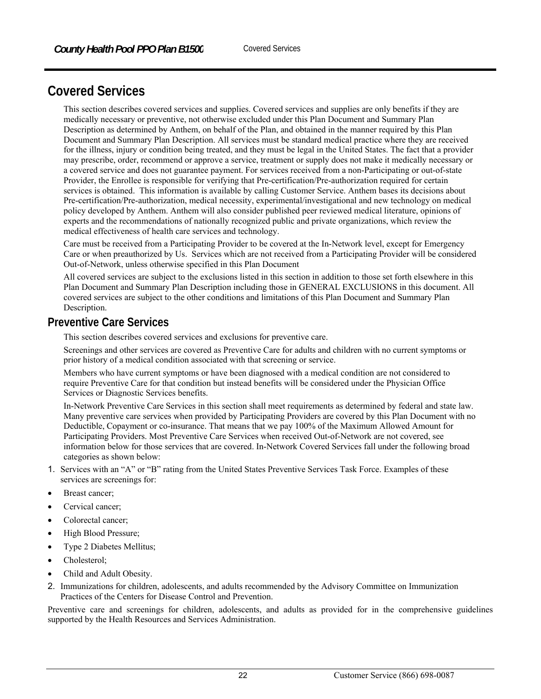# **Covered Services**

This section describes covered services and supplies. Covered services and supplies are only benefits if they are medically necessary or preventive, not otherwise excluded under this Plan Document and Summary Plan Description as determined by Anthem, on behalf of the Plan, and obtained in the manner required by this Plan Document and Summary Plan Description. All services must be standard medical practice where they are received for the illness, injury or condition being treated, and they must be legal in the United States. The fact that a provider may prescribe, order, recommend or approve a service, treatment or supply does not make it medically necessary or a covered service and does not guarantee payment. For services received from a non-Participating or out-of-state Provider, the Enrollee is responsible for verifying that Pre-certification/Pre-authorization required for certain services is obtained. This information is available by calling Customer Service. Anthem bases its decisions about Pre-certification/Pre-authorization, medical necessity, experimental/investigational and new technology on medical policy developed by Anthem. Anthem will also consider published peer reviewed medical literature, opinions of experts and the recommendations of nationally recognized public and private organizations, which review the medical effectiveness of health care services and technology.

Care must be received from a Participating Provider to be covered at the In-Network level, except for Emergency Care or when preauthorized by Us. Services which are not received from a Participating Provider will be considered Out-of-Network, unless otherwise specified in this Plan Document

All covered services are subject to the exclusions listed in this section in addition to those set forth elsewhere in this Plan Document and Summary Plan Description including those in GENERAL EXCLUSIONS in this document. All covered services are subject to the other conditions and limitations of this Plan Document and Summary Plan Description.

## **Preventive Care Services**

This section describes covered services and exclusions for preventive care.

Screenings and other services are covered as Preventive Care for adults and children with no current symptoms or prior history of a medical condition associated with that screening or service.

Members who have current symptoms or have been diagnosed with a medical condition are not considered to require Preventive Care for that condition but instead benefits will be considered under the Physician Office Services or Diagnostic Services benefits.

In-Network Preventive Care Services in this section shall meet requirements as determined by federal and state law. Many preventive care services when provided by Participating Providers are covered by this Plan Document with no Deductible, Copayment or co-insurance. That means that we pay 100% of the Maximum Allowed Amount for Participating Providers. Most Preventive Care Services when received Out-of-Network are not covered, see information below for those services that are covered. In-Network Covered Services fall under the following broad categories as shown below:

- 1. Services with an "A" or "B" rating from the United States Preventive Services Task Force. Examples of these services are screenings for:
- Breast cancer;
- Cervical cancer;
- Colorectal cancer;
- High Blood Pressure;
- Type 2 Diabetes Mellitus;
- Cholesterol;
- Child and Adult Obesity.
- 2. Immunizations for children, adolescents, and adults recommended by the Advisory Committee on Immunization Practices of the Centers for Disease Control and Prevention.

Preventive care and screenings for children, adolescents, and adults as provided for in the comprehensive guidelines supported by the Health Resources and Services Administration.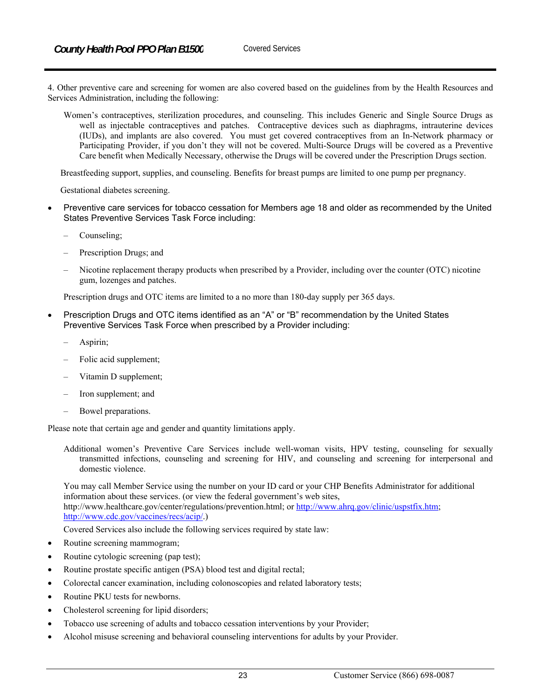4. Other preventive care and screening for women are also covered based on the guidelines from by the Health Resources and Services Administration, including the following:

Women's contraceptives, sterilization procedures, and counseling. This includes Generic and Single Source Drugs as well as injectable contraceptives and patches. Contraceptive devices such as diaphragms, intrauterine devices (IUDs), and implants are also covered. You must get covered contraceptives from an In-Network pharmacy or Participating Provider, if you don't they will not be covered. Multi-Source Drugs will be covered as a Preventive Care benefit when Medically Necessary, otherwise the Drugs will be covered under the Prescription Drugs section.

Breastfeeding support, supplies, and counseling. Benefits for breast pumps are limited to one pump per pregnancy.

Gestational diabetes screening.

- Preventive care services for tobacco cessation for Members age 18 and older as recommended by the United States Preventive Services Task Force including:
	- Counseling;
	- Prescription Drugs; and
	- Nicotine replacement therapy products when prescribed by a Provider, including over the counter (OTC) nicotine gum, lozenges and patches.

Prescription drugs and OTC items are limited to a no more than 180-day supply per 365 days.

- Prescription Drugs and OTC items identified as an "A" or "B" recommendation by the United States Preventive Services Task Force when prescribed by a Provider including:
	- Aspirin;
	- Folic acid supplement;
	- Vitamin D supplement;
	- Iron supplement; and
	- Bowel preparations.

Please note that certain age and gender and quantity limitations apply.

Additional women's Preventive Care Services include well-woman visits, HPV testing, counseling for sexually transmitted infections, counseling and screening for HIV, and counseling and screening for interpersonal and domestic violence.

You may call Member Service using the number on your ID card or your CHP Benefits Administrator for additional information about these services. (or view the federal government's web sites, http://www.healthcare.gov/center/regulations/prevention.html; or http://www.ahrq.gov/clinic/uspstfix.htm; http://www.cdc.gov/vaccines/recs/acip/.)

Covered Services also include the following services required by state law:

- Routine screening mammogram;
- Routine cytologic screening (pap test);
- Routine prostate specific antigen (PSA) blood test and digital rectal;
- Colorectal cancer examination, including colonoscopies and related laboratory tests;
- Routine PKU tests for newborns.
- Cholesterol screening for lipid disorders;
- Tobacco use screening of adults and tobacco cessation interventions by your Provider;
- Alcohol misuse screening and behavioral counseling interventions for adults by your Provider.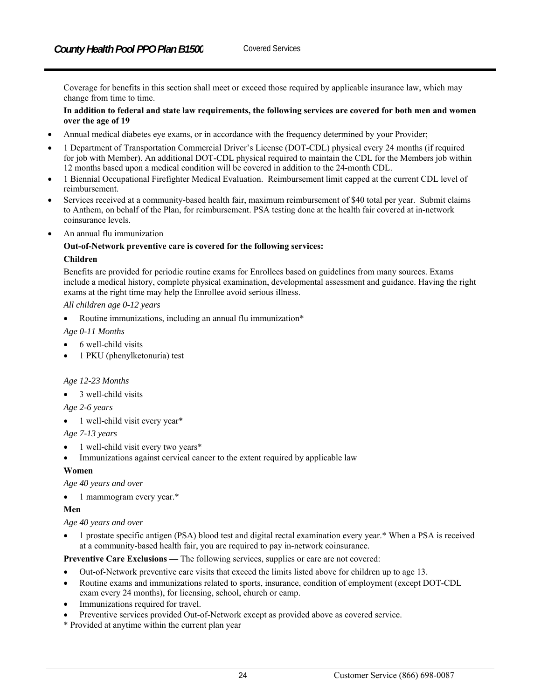Coverage for benefits in this section shall meet or exceed those required by applicable insurance law, which may change from time to time.

#### **In addition to federal and state law requirements, the following services are covered for both men and women over the age of 19**

- Annual medical diabetes eye exams, or in accordance with the frequency determined by your Provider;
- 1 Department of Transportation Commercial Driver's License (DOT-CDL) physical every 24 months (if required for job with Member). An additional DOT-CDL physical required to maintain the CDL for the Members job within 12 months based upon a medical condition will be covered in addition to the 24-month CDL.
- 1 Biennial Occupational Firefighter Medical Evaluation. Reimbursement limit capped at the current CDL level of reimbursement.
- Services received at a community-based health fair, maximum reimbursement of \$40 total per year. Submit claims to Anthem, on behalf of the Plan, for reimbursement. PSA testing done at the health fair covered at in-network coinsurance levels.
- An annual flu immunization

#### **Out-of-Network preventive care is covered for the following services: Children**

Benefits are provided for periodic routine exams for Enrollees based on guidelines from many sources. Exams include a medical history, complete physical examination, developmental assessment and guidance. Having the right exams at the right time may help the Enrollee avoid serious illness.

*All children age 0-12 years*

Routine immunizations, including an annual flu immunization\*

- *Age 0-11 Months*
- 6 well-child visits
- 1 PKU (phenylketonuria) test

#### *Age 12-23 Months*

3 well-child visits

*Age 2-6 years* 

1 well-child visit every year\*

*Age 7-13 years* 

- 1 well-child visit every two years\*
- Immunizations against cervical cancer to the extent required by applicable law

#### **Women**

*Age 40 years and over* 

• 1 mammogram every year.\*

#### **Men**

*Age 40 years and over* 

 1 prostate specific antigen (PSA) blood test and digital rectal examination every year.\* When a PSA is received at a community-based health fair, you are required to pay in-network coinsurance.

**Preventive Care Exclusions —** The following services, supplies or care are not covered:

- Out-of-Network preventive care visits that exceed the limits listed above for children up to age 13.
- Routine exams and immunizations related to sports, insurance, condition of employment (except DOT-CDL exam every 24 months), for licensing, school, church or camp.
- Immunizations required for travel.
- Preventive services provided Out-of-Network except as provided above as covered service.
- \* Provided at anytime within the current plan year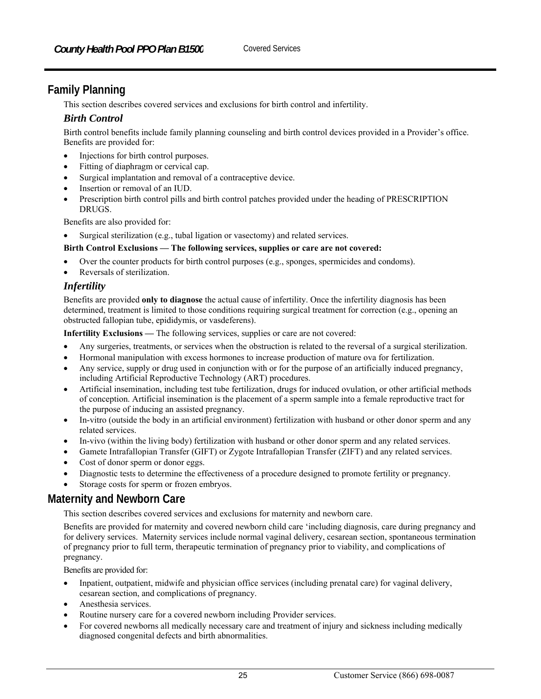# **Family Planning**

This section describes covered services and exclusions for birth control and infertility.

## *Birth Control*

Birth control benefits include family planning counseling and birth control devices provided in a Provider's office. Benefits are provided for:

- Injections for birth control purposes.
- Fitting of diaphragm or cervical cap.
- Surgical implantation and removal of a contraceptive device.
- Insertion or removal of an IUD.
- Prescription birth control pills and birth control patches provided under the heading of PRESCRIPTION DRUGS.

Benefits are also provided for:

Surgical sterilization (e.g., tubal ligation or vasectomy) and related services.

#### **Birth Control Exclusions — The following services, supplies or care are not covered:**

- Over the counter products for birth control purposes (e.g., sponges, spermicides and condoms).
- Reversals of sterilization.

#### *Infertility*

Benefits are provided **only to diagnose** the actual cause of infertility. Once the infertility diagnosis has been determined, treatment is limited to those conditions requiring surgical treatment for correction (e.g., opening an obstructed fallopian tube, epididymis, or vasdeferens).

**Infertility Exclusions —** The following services, supplies or care are not covered:

- Any surgeries, treatments, or services when the obstruction is related to the reversal of a surgical sterilization.
- Hormonal manipulation with excess hormones to increase production of mature ova for fertilization.
- Any service, supply or drug used in conjunction with or for the purpose of an artificially induced pregnancy, including Artificial Reproductive Technology (ART) procedures.
- Artificial insemination, including test tube fertilization, drugs for induced ovulation, or other artificial methods of conception. Artificial insemination is the placement of a sperm sample into a female reproductive tract for the purpose of inducing an assisted pregnancy.
- In-vitro (outside the body in an artificial environment) fertilization with husband or other donor sperm and any related services.
- In-vivo (within the living body) fertilization with husband or other donor sperm and any related services.
- Gamete Intrafallopian Transfer (GIFT) or Zygote Intrafallopian Transfer (ZIFT) and any related services.
- Cost of donor sperm or donor eggs.
- Diagnostic tests to determine the effectiveness of a procedure designed to promote fertility or pregnancy.
- Storage costs for sperm or frozen embryos.

# **Maternity and Newborn Care**

This section describes covered services and exclusions for maternity and newborn care.

Benefits are provided for maternity and covered newborn child care 'including diagnosis, care during pregnancy and for delivery services. Maternity services include normal vaginal delivery, cesarean section, spontaneous termination of pregnancy prior to full term, therapeutic termination of pregnancy prior to viability, and complications of pregnancy.

Benefits are provided for:

- Inpatient, outpatient, midwife and physician office services (including prenatal care) for vaginal delivery, cesarean section, and complications of pregnancy.
- Anesthesia services.
- Routine nursery care for a covered newborn including Provider services.
- For covered newborns all medically necessary care and treatment of injury and sickness including medically diagnosed congenital defects and birth abnormalities.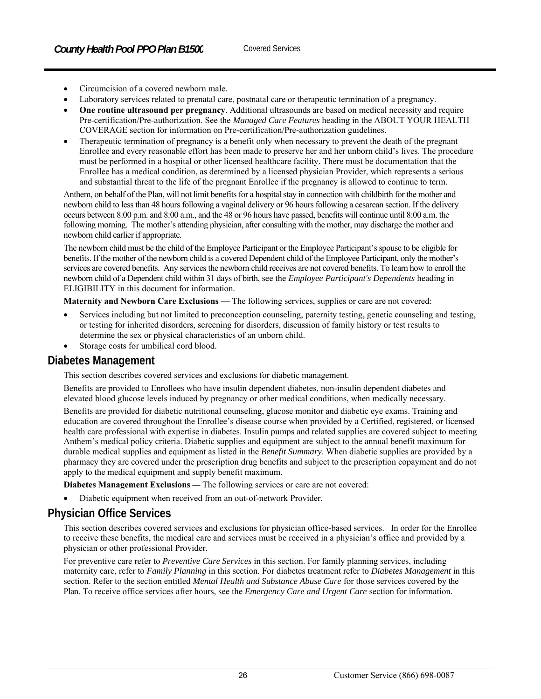- Circumcision of a covered newborn male.
- Laboratory services related to prenatal care, postnatal care or therapeutic termination of a pregnancy.
- **One routine ultrasound per pregnancy**. Additional ultrasounds are based on medical necessity and require Pre-certification/Pre-authorization. See the *Managed Care Features* heading in the ABOUT YOUR HEALTH COVERAGE section for information on Pre-certification/Pre-authorization guidelines.
- Therapeutic termination of pregnancy is a benefit only when necessary to prevent the death of the pregnant Enrollee and every reasonable effort has been made to preserve her and her unborn child's lives. The procedure must be performed in a hospital or other licensed healthcare facility. There must be documentation that the Enrollee has a medical condition, as determined by a licensed physician Provider, which represents a serious and substantial threat to the life of the pregnant Enrollee if the pregnancy is allowed to continue to term.

Anthem, on behalf of the Plan, will not limit benefits for a hospital stay in connection with childbirth for the mother and newborn child to less than 48 hours following a vaginal delivery or 96 hours following a cesarean section. If the delivery occurs between 8:00 p.m. and 8:00 a.m., and the 48 or 96 hours have passed, benefits will continue until 8:00 a.m. the following morning. The mother's attending physician, after consulting with the mother, may discharge the mother and newborn child earlier if appropriate.

The newborn child must be the child of the Employee Participant or the Employee Participant's spouse to be eligible for benefits. If the mother of the newborn child is a covered Dependent child of the Employee Participant, only the mother's services are covered benefits. Any services the newborn child receives are not covered benefits. To learn how to enroll the newborn child of a Dependent child within 31 days of birth, see the *Employee Participant's Dependents* heading in ELIGIBILITY in this document for information*.* 

**Maternity and Newborn Care Exclusions —** The following services, supplies or care are not covered:

- Services including but not limited to preconception counseling, paternity testing, genetic counseling and testing, or testing for inherited disorders, screening for disorders, discussion of family history or test results to determine the sex or physical characteristics of an unborn child.
- Storage costs for umbilical cord blood.

# **Diabetes Management**

This section describes covered services and exclusions for diabetic management.

Benefits are provided to Enrollees who have insulin dependent diabetes, non-insulin dependent diabetes and elevated blood glucose levels induced by pregnancy or other medical conditions, when medically necessary.

Benefits are provided for diabetic nutritional counseling, glucose monitor and diabetic eye exams. Training and education are covered throughout the Enrollee's disease course when provided by a Certified, registered, or licensed health care professional with expertise in diabetes. Insulin pumps and related supplies are covered subject to meeting Anthem's medical policy criteria. Diabetic supplies and equipment are subject to the annual benefit maximum for durable medical supplies and equipment as listed in the *Benefit Summary*. When diabetic supplies are provided by a pharmacy they are covered under the prescription drug benefits and subject to the prescription copayment and do not apply to the medical equipment and supply benefit maximum.

**Diabetes Management Exclusions** *—* The following services or care are not covered:

Diabetic equipment when received from an out-of-network Provider.

# **Physician Office Services**

This section describes covered services and exclusions for physician office-based services. In order for the Enrollee to receive these benefits, the medical care and services must be received in a physician's office and provided by a physician or other professional Provider.

For preventive care refer to *Preventive Care Services* in this section. For family planning services, including maternity care, refer to *Family Planning* in this section. For diabetes treatment refer to *Diabetes Management* in this section. Refer to the section entitled *Mental Health and Substance Abuse Care* for those services covered by the Plan. To receive office services after hours, see the *Emergency Care and Urgent Care* section for information*.*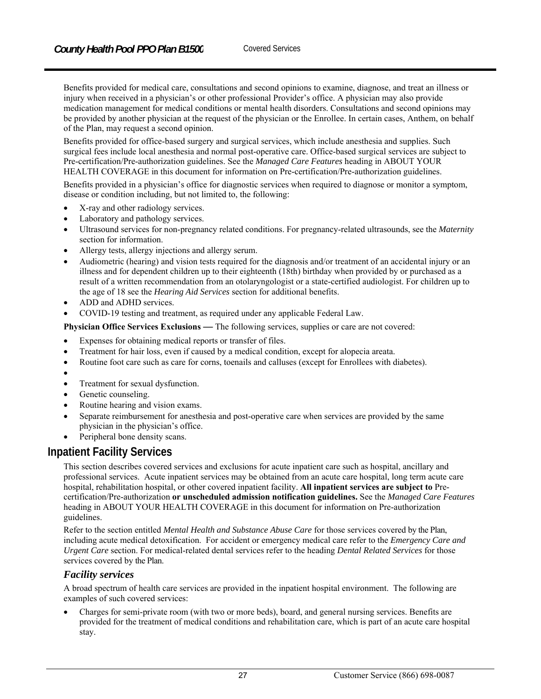Benefits provided for medical care, consultations and second opinions to examine, diagnose, and treat an illness or injury when received in a physician's or other professional Provider's office. A physician may also provide medication management for medical conditions or mental health disorders. Consultations and second opinions may be provided by another physician at the request of the physician or the Enrollee. In certain cases, Anthem, on behalf of the Plan, may request a second opinion.

Benefits provided for office-based surgery and surgical services, which include anesthesia and supplies. Such surgical fees include local anesthesia and normal post-operative care. Office-based surgical services are subject to Pre-certification/Pre-authorization guidelines. See the *Managed Care Features* heading in ABOUT YOUR HEALTH COVERAGE in this document for information on Pre-certification/Pre-authorization guidelines.

Benefits provided in a physician's office for diagnostic services when required to diagnose or monitor a symptom, disease or condition including, but not limited to, the following:

- X-ray and other radiology services.
- Laboratory and pathology services.
- Ultrasound services for non-pregnancy related conditions. For pregnancy-related ultrasounds, see the *Maternity*  section for information.
- Allergy tests, allergy injections and allergy serum.
- Audiometric (hearing) and vision tests required for the diagnosis and/or treatment of an accidental injury or an illness and for dependent children up to their eighteenth (18th) birthday when provided by or purchased as a result of a written recommendation from an otolaryngologist or a state-certified audiologist. For children up to the age of 18 see the *Hearing Aid Services* section for additional benefits.
- ADD and ADHD services.
- COVID-19 testing and treatment, as required under any applicable Federal Law.

**Physician Office Services Exclusions** *—* The following services, supplies or care are not covered:

- Expenses for obtaining medical reports or transfer of files.
- Treatment for hair loss, even if caused by a medical condition, except for alopecia areata.
- Routine foot care such as care for corns, toenails and calluses (except for Enrollees with diabetes).
- $\bullet$
- Treatment for sexual dysfunction.
- Genetic counseling.
- Routine hearing and vision exams.
- Separate reimbursement for anesthesia and post-operative care when services are provided by the same physician in the physician's office.
- Peripheral bone density scans.

#### **Inpatient Facility Services**

This section describes covered services and exclusions for acute inpatient care such as hospital, ancillary and professional services. Acute inpatient services may be obtained from an acute care hospital, long term acute care hospital, rehabilitation hospital, or other covered inpatient facility. **All inpatient services are subject to** Precertification/Pre-authorization **or unscheduled admission notification guidelines.** See the *Managed Care Features* heading in ABOUT YOUR HEALTH COVERAGE in this document for information on Pre-authorization guidelines.

Refer to the section entitled *Mental Health and Substance Abuse Care* for those services covered by the Plan, including acute medical detoxification. For accident or emergency medical care refer to the *Emergency Care and Urgent Care* section. For medical-related dental services refer to the heading *Dental Related Services* for those services covered by the Plan.

#### *Facility services*

A broad spectrum of health care services are provided in the inpatient hospital environment. The following are examples of such covered services:

 Charges for semi-private room (with two or more beds), board, and general nursing services. Benefits are provided for the treatment of medical conditions and rehabilitation care, which is part of an acute care hospital stay.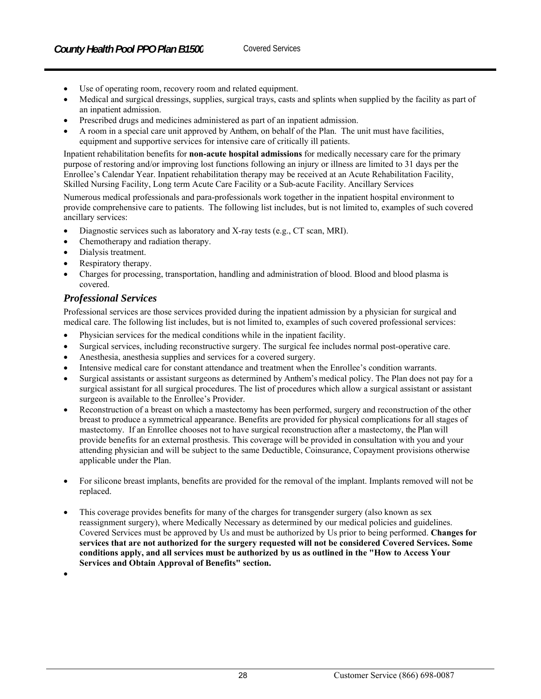- Use of operating room, recovery room and related equipment.
- Medical and surgical dressings, supplies, surgical trays, casts and splints when supplied by the facility as part of an inpatient admission.
- Prescribed drugs and medicines administered as part of an inpatient admission.
- A room in a special care unit approved by Anthem, on behalf of the Plan. The unit must have facilities, equipment and supportive services for intensive care of critically ill patients.

Inpatient rehabilitation benefits for **non-acute hospital admissions** for medically necessary care for the primary purpose of restoring and/or improving lost functions following an injury or illness are limited to 31 days per the Enrollee's Calendar Year. Inpatient rehabilitation therapy may be received at an Acute Rehabilitation Facility, Skilled Nursing Facility, Long term Acute Care Facility or a Sub-acute Facility. Ancillary Services

Numerous medical professionals and para-professionals work together in the inpatient hospital environment to provide comprehensive care to patients. The following list includes, but is not limited to, examples of such covered ancillary services:

- Diagnostic services such as laboratory and X-ray tests (e.g., CT scan, MRI).
- Chemotherapy and radiation therapy.
- Dialysis treatment.
- Respiratory therapy.
- Charges for processing, transportation, handling and administration of blood. Blood and blood plasma is covered.

#### *Professional Services*

Professional services are those services provided during the inpatient admission by a physician for surgical and medical care. The following list includes, but is not limited to, examples of such covered professional services:

- Physician services for the medical conditions while in the inpatient facility.
- Surgical services, including reconstructive surgery. The surgical fee includes normal post-operative care.
- Anesthesia, anesthesia supplies and services for a covered surgery.
- Intensive medical care for constant attendance and treatment when the Enrollee's condition warrants.
- Surgical assistants or assistant surgeons as determined by Anthem's medical policy. The Plan does not pay for a surgical assistant for all surgical procedures. The list of procedures which allow a surgical assistant or assistant surgeon is available to the Enrollee's Provider.
- Reconstruction of a breast on which a mastectomy has been performed, surgery and reconstruction of the other breast to produce a symmetrical appearance. Benefits are provided for physical complications for all stages of mastectomy. If an Enrollee chooses not to have surgical reconstruction after a mastectomy, the Plan will provide benefits for an external prosthesis. This coverage will be provided in consultation with you and your attending physician and will be subject to the same Deductible, Coinsurance, Copayment provisions otherwise applicable under the Plan.
- For silicone breast implants, benefits are provided for the removal of the implant. Implants removed will not be replaced.
- This coverage provides benefits for many of the charges for transgender surgery (also known as sex reassignment surgery), where Medically Necessary as determined by our medical policies and guidelines. Covered Services must be approved by Us and must be authorized by Us prior to being performed. **Changes for services that are not authorized for the surgery requested will not be considered Covered Services. Some conditions apply, and all services must be authorized by us as outlined in the "How to Access Your Services and Obtain Approval of Benefits" section.**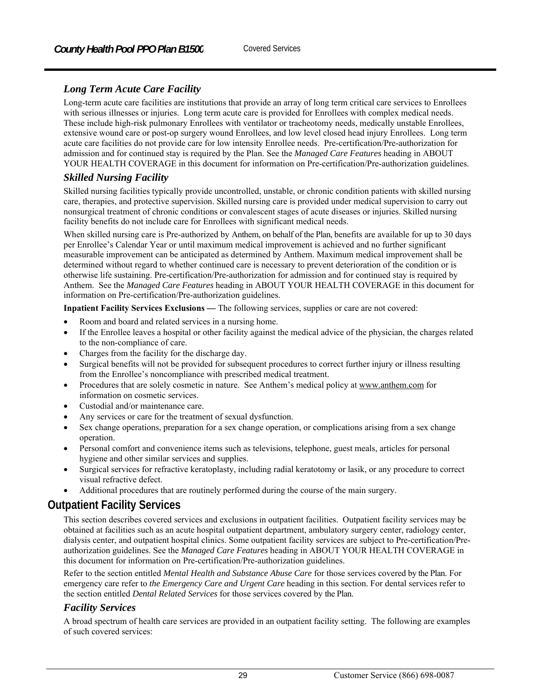# *Long Term Acute Care Facility*

Long-term acute care facilities are institutions that provide an array of long term critical care services to Enrollees with serious illnesses or injuries. Long term acute care is provided for Enrollees with complex medical needs. These include high-risk pulmonary Enrollees with ventilator or tracheotomy needs, medically unstable Enrollees, extensive wound care or post-op surgery wound Enrollees, and low level closed head injury Enrollees. Long term acute care facilities do not provide care for low intensity Enrollee needs. Pre-certification/Pre-authorization for admission and for continued stay is required by the Plan. See the *Managed Care Features* heading in ABOUT YOUR HEALTH COVERAGE in this document for information on Pre-certification/Pre-authorization guidelines.

# *Skilled Nursing Facility*

Skilled nursing facilities typically provide uncontrolled, unstable, or chronic condition patients with skilled nursing care, therapies, and protective supervision. Skilled nursing care is provided under medical supervision to carry out nonsurgical treatment of chronic conditions or convalescent stages of acute diseases or injuries. Skilled nursing facility benefits do not include care for Enrollees with significant medical needs.

When skilled nursing care is Pre-authorized by Anthem, on behalf of the Plan, benefits are available for up to 30 days per Enrollee's Calendar Year or until maximum medical improvement is achieved and no further significant measurable improvement can be anticipated as determined by Anthem. Maximum medical improvement shall be determined without regard to whether continued care is necessary to prevent deterioration of the condition or is otherwise life sustaining. Pre-certification/Pre-authorization for admission and for continued stay is required by Anthem. See the *Managed Care Features* heading in ABOUT YOUR HEALTH COVERAGE in this document for information on Pre-certification/Pre-authorization guidelines.

**Inpatient Facility Services Exclusions** *—* The following services, supplies or care are not covered:

- Room and board and related services in a nursing home.
- If the Enrollee leaves a hospital or other facility against the medical advice of the physician, the charges related to the non-compliance of care.
- Charges from the facility for the discharge day.
- Surgical benefits will not be provided for subsequent procedures to correct further injury or illness resulting from the Enrollee's noncompliance with prescribed medical treatment.
- Procedures that are solely cosmetic in nature. See Anthem's medical policy at www.anthem.com for information on cosmetic services.
- Custodial and/or maintenance care.
- Any services or care for the treatment of sexual dysfunction.
- Sex change operations, preparation for a sex change operation, or complications arising from a sex change operation.
- Personal comfort and convenience items such as televisions, telephone, guest meals, articles for personal hygiene and other similar services and supplies.
- Surgical services for refractive keratoplasty, including radial keratotomy or lasik, or any procedure to correct visual refractive defect.
- Additional procedures that are routinely performed during the course of the main surgery.

# **Outpatient Facility Services**

This section describes covered services and exclusions in outpatient facilities. Outpatient facility services may be obtained at facilities such as an acute hospital outpatient department, ambulatory surgery center, radiology center, dialysis center, and outpatient hospital clinics. Some outpatient facility services are subject to Pre-certification/Preauthorization guidelines. See the *Managed Care Features* heading in ABOUT YOUR HEALTH COVERAGE in this document for information on Pre-certification/Pre-authorization guidelines.

Refer to the section entitled *Mental Health and Substance Abuse Care* for those services covered by the Plan. For emergency care refer to *the Emergency Care and Urgent Care* heading in this section. For dental services refer to the section entitled *Dental Related Services* for those services covered by the Plan.

## *Facility Services*

A broad spectrum of health care services are provided in an outpatient facility setting. The following are examples of such covered services: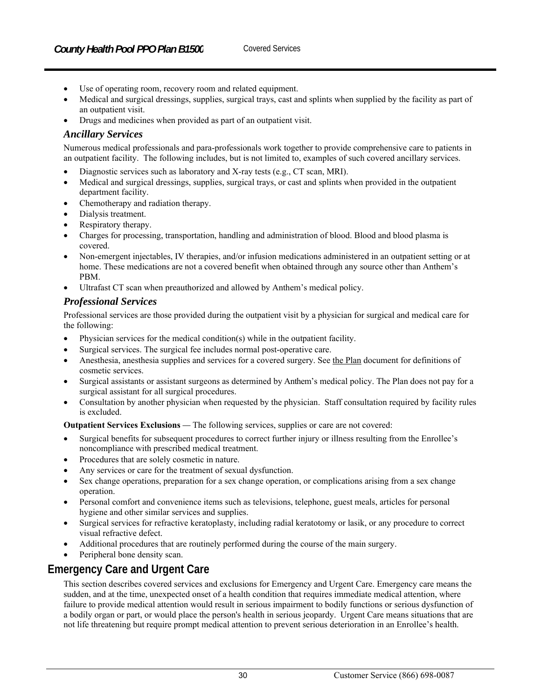- Use of operating room, recovery room and related equipment.
- Medical and surgical dressings, supplies, surgical trays, cast and splints when supplied by the facility as part of an outpatient visit.
- Drugs and medicines when provided as part of an outpatient visit.

#### *Ancillary Services*

Numerous medical professionals and para-professionals work together to provide comprehensive care to patients in an outpatient facility. The following includes, but is not limited to, examples of such covered ancillary services.

- Diagnostic services such as laboratory and X-ray tests (e.g., CT scan, MRI).
- Medical and surgical dressings, supplies, surgical trays, or cast and splints when provided in the outpatient department facility.
- Chemotherapy and radiation therapy.
- Dialysis treatment.
- Respiratory therapy.
- Charges for processing, transportation, handling and administration of blood. Blood and blood plasma is covered.
- Non-emergent injectables, IV therapies, and/or infusion medications administered in an outpatient setting or at home. These medications are not a covered benefit when obtained through any source other than Anthem's PBM.
- Ultrafast CT scan when preauthorized and allowed by Anthem's medical policy.

#### *Professional Services*

Professional services are those provided during the outpatient visit by a physician for surgical and medical care for the following:

- Physician services for the medical condition(s) while in the outpatient facility.
- Surgical services. The surgical fee includes normal post-operative care.
- Anesthesia, anesthesia supplies and services for a covered surgery. See the Plan document for definitions of cosmetic services.
- Surgical assistants or assistant surgeons as determined by Anthem's medical policy. The Plan does not pay for a surgical assistant for all surgical procedures.
- Consultation by another physician when requested by the physician. Staff consultation required by facility rules is excluded.

**Outpatient Services Exclusions** *—* The following services, supplies or care are not covered:

- Surgical benefits for subsequent procedures to correct further injury or illness resulting from the Enrollee's noncompliance with prescribed medical treatment.
- Procedures that are solely cosmetic in nature.
- Any services or care for the treatment of sexual dysfunction.
- Sex change operations, preparation for a sex change operation, or complications arising from a sex change operation.
- Personal comfort and convenience items such as televisions, telephone, guest meals, articles for personal hygiene and other similar services and supplies.
- Surgical services for refractive keratoplasty, including radial keratotomy or lasik, or any procedure to correct visual refractive defect.
- Additional procedures that are routinely performed during the course of the main surgery.
- Peripheral bone density scan.

# **Emergency Care and Urgent Care**

This section describes covered services and exclusions for Emergency and Urgent Care. Emergency care means the sudden, and at the time, unexpected onset of a health condition that requires immediate medical attention, where failure to provide medical attention would result in serious impairment to bodily functions or serious dysfunction of a bodily organ or part, or would place the person's health in serious jeopardy. Urgent Care means situations that are not life threatening but require prompt medical attention to prevent serious deterioration in an Enrollee's health.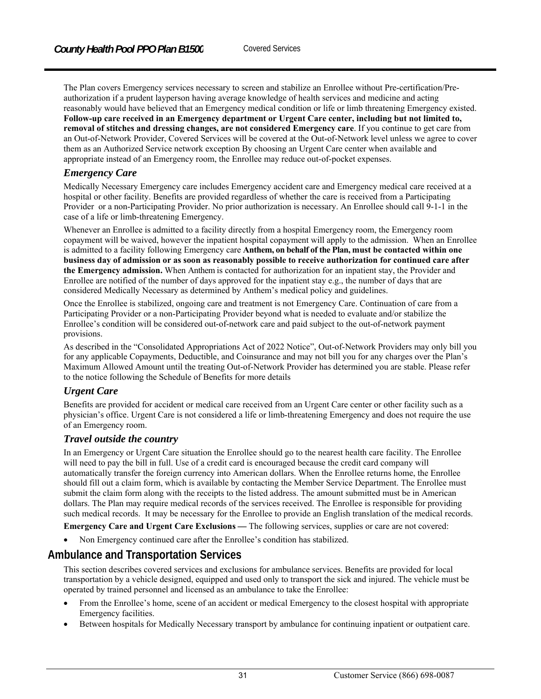The Plan covers Emergency services necessary to screen and stabilize an Enrollee without Pre-certification/Preauthorization if a prudent layperson having average knowledge of health services and medicine and acting reasonably would have believed that an Emergency medical condition or life or limb threatening Emergency existed. **Follow-up care received in an Emergency department or Urgent Care center, including but not limited to, removal of stitches and dressing changes, are not considered Emergency care**. If you continue to get care from an Out-of-Network Provider, Covered Services will be covered at the Out-of-Network level unless we agree to cover them as an Authorized Service network exception By choosing an Urgent Care center when available and appropriate instead of an Emergency room, the Enrollee may reduce out-of-pocket expenses.

#### *Emergency Care*

Medically Necessary Emergency care includes Emergency accident care and Emergency medical care received at a hospital or other facility. Benefits are provided regardless of whether the care is received from a Participating Provider or a non-Participating Provider. No prior authorization is necessary. An Enrollee should call 9-1-1 in the case of a life or limb-threatening Emergency.

Whenever an Enrollee is admitted to a facility directly from a hospital Emergency room, the Emergency room copayment will be waived, however the inpatient hospital copayment will apply to the admission. When an Enrollee is admitted to a facility following Emergency care **Anthem, on behalf of the Plan, must be contacted within one business day of admission or as soon as reasonably possible to receive authorization for continued care after the Emergency admission.** When Anthem is contacted for authorization for an inpatient stay, the Provider and Enrollee are notified of the number of days approved for the inpatient stay e.g., the number of days that are considered Medically Necessary as determined by Anthem's medical policy and guidelines.

Once the Enrollee is stabilized, ongoing care and treatment is not Emergency Care. Continuation of care from a Participating Provider or a non-Participating Provider beyond what is needed to evaluate and/or stabilize the Enrollee's condition will be considered out-of-network care and paid subject to the out-of-network payment provisions.

As described in the "Consolidated Appropriations Act of 2022 Notice", Out-of-Network Providers may only bill you for any applicable Copayments, Deductible, and Coinsurance and may not bill you for any charges over the Plan's Maximum Allowed Amount until the treating Out-of-Network Provider has determined you are stable. Please refer to the notice following the Schedule of Benefits for more details

#### *Urgent Care*

Benefits are provided for accident or medical care received from an Urgent Care center or other facility such as a physician's office. Urgent Care is not considered a life or limb-threatening Emergency and does not require the use of an Emergency room.

#### *Travel outside the country*

In an Emergency or Urgent Care situation the Enrollee should go to the nearest health care facility. The Enrollee will need to pay the bill in full. Use of a credit card is encouraged because the credit card company will automatically transfer the foreign currency into American dollars. When the Enrollee returns home, the Enrollee should fill out a claim form, which is available by contacting the Member Service Department. The Enrollee must submit the claim form along with the receipts to the listed address. The amount submitted must be in American dollars. The Plan may require medical records of the services received. The Enrollee is responsible for providing such medical records. It may be necessary for the Enrollee to provide an English translation of the medical records.

**Emergency Care and Urgent Care Exclusions — The following services, supplies or care are not covered:** 

Non Emergency continued care after the Enrollee's condition has stabilized.

# **Ambulance and Transportation Services**

This section describes covered services and exclusions for ambulance services. Benefits are provided for local transportation by a vehicle designed, equipped and used only to transport the sick and injured. The vehicle must be operated by trained personnel and licensed as an ambulance to take the Enrollee:

- From the Enrollee's home, scene of an accident or medical Emergency to the closest hospital with appropriate Emergency facilities.
- Between hospitals for Medically Necessary transport by ambulance for continuing inpatient or outpatient care.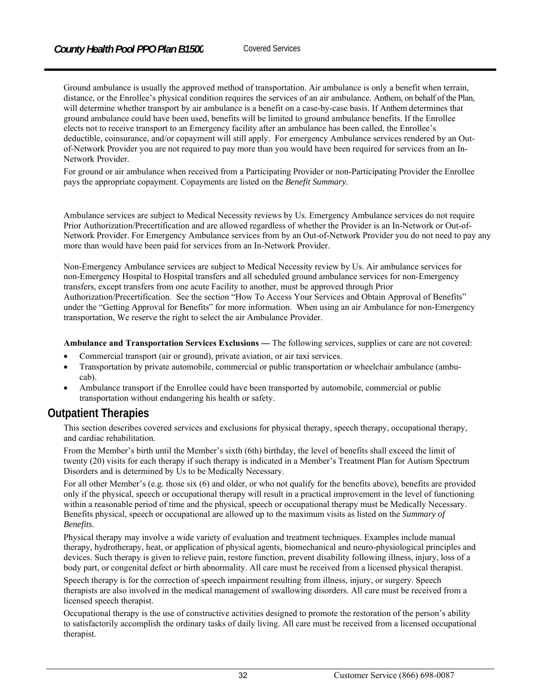Ground ambulance is usually the approved method of transportation. Air ambulance is only a benefit when terrain, distance, or the Enrollee's physical condition requires the services of an air ambulance. Anthem, on behalf of the Plan, will determine whether transport by air ambulance is a benefit on a case-by-case basis. If Anthem determines that ground ambulance could have been used, benefits will be limited to ground ambulance benefits. If the Enrollee elects not to receive transport to an Emergency facility after an ambulance has been called, the Enrollee's deductible, coinsurance, and/or copayment will still apply. For emergency Ambulance services rendered by an Outof-Network Provider you are not required to pay more than you would have been required for services from an In-Network Provider.

For ground or air ambulance when received from a Participating Provider or non-Participating Provider the Enrollee pays the appropriate copayment. Copayments are listed on the *Benefit Summary*.

Ambulance services are subject to Medical Necessity reviews by Us. Emergency Ambulance services do not require Prior Authorization/Precertification and are allowed regardless of whether the Provider is an In-Network or Out-of-Network Provider. For Emergency Ambulance services from by an Out-of-Network Provider you do not need to pay any more than would have been paid for services from an In-Network Provider.

Non-Emergency Ambulance services are subject to Medical Necessity review by Us. Air ambulance services for non-Emergency Hospital to Hospital transfers and all scheduled ground ambulance services for non-Emergency transfers, except transfers from one acute Facility to another, must be approved through Prior Authorization/Precertification. See the section "How To Access Your Services and Obtain Approval of Benefits" under the "Getting Approval for Benefits" for more information. When using an air Ambulance for non-Emergency transportation, We reserve the right to select the air Ambulance Provider.

**Ambulance and Transportation Services Exclusions** *—* The following services, supplies or care are not covered:

- Commercial transport (air or ground), private aviation, or air taxi services.
- Transportation by private automobile, commercial or public transportation or wheelchair ambulance (ambucab).
- Ambulance transport if the Enrollee could have been transported by automobile, commercial or public transportation without endangering his health or safety.

# **Outpatient Therapies**

This section describes covered services and exclusions for physical therapy, speech therapy, occupational therapy, and cardiac rehabilitation.

From the Member's birth until the Member's sixth (6th) birthday, the level of benefits shall exceed the limit of twenty (20) visits for each therapy if such therapy is indicated in a Member's Treatment Plan for Autism Spectrum Disorders and is determined by Us to be Medically Necessary.

For all other Member's (e.g. those six (6) and older, or who not qualify for the benefits above), benefits are provided only if the physical, speech or occupational therapy will result in a practical improvement in the level of functioning within a reasonable period of time and the physical, speech or occupational therapy must be Medically Necessary. Benefits physical, speech or occupational are allowed up to the maximum visits as listed on the *Summary of Benefits*.

Physical therapy may involve a wide variety of evaluation and treatment techniques. Examples include manual therapy, hydrotherapy, heat, or application of physical agents, biomechanical and neuro-physiological principles and devices. Such therapy is given to relieve pain, restore function, prevent disability following illness, injury, loss of a body part, or congenital defect or birth abnormality. All care must be received from a licensed physical therapist.

Speech therapy is for the correction of speech impairment resulting from illness, injury, or surgery. Speech therapists are also involved in the medical management of swallowing disorders. All care must be received from a licensed speech therapist.

Occupational therapy is the use of constructive activities designed to promote the restoration of the person's ability to satisfactorily accomplish the ordinary tasks of daily living. All care must be received from a licensed occupational therapist.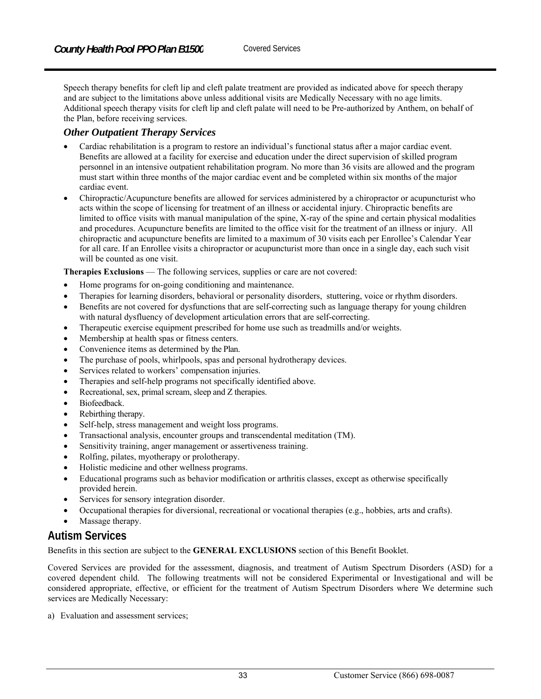Speech therapy benefits for cleft lip and cleft palate treatment are provided as indicated above for speech therapy and are subject to the limitations above unless additional visits are Medically Necessary with no age limits. Additional speech therapy visits for cleft lip and cleft palate will need to be Pre-authorized by Anthem, on behalf of the Plan, before receiving services.

#### *Other Outpatient Therapy Services*

- Cardiac rehabilitation is a program to restore an individual's functional status after a major cardiac event. Benefits are allowed at a facility for exercise and education under the direct supervision of skilled program personnel in an intensive outpatient rehabilitation program. No more than 36 visits are allowed and the program must start within three months of the major cardiac event and be completed within six months of the major cardiac event.
- Chiropractic/Acupuncture benefits are allowed for services administered by a chiropractor or acupuncturist who acts within the scope of licensing for treatment of an illness or accidental injury. Chiropractic benefits are limited to office visits with manual manipulation of the spine, X-ray of the spine and certain physical modalities and procedures. Acupuncture benefits are limited to the office visit for the treatment of an illness or injury. All chiropractic and acupuncture benefits are limited to a maximum of 30 visits each per Enrollee's Calendar Year for all care. If an Enrollee visits a chiropractor or acupuncturist more than once in a single day, each such visit will be counted as one visit.

**Therapies Exclusions** — The following services, supplies or care are not covered:

- Home programs for on-going conditioning and maintenance.
- Therapies for learning disorders, behavioral or personality disorders, stuttering, voice or rhythm disorders.
- Benefits are not covered for dysfunctions that are self-correcting such as language therapy for young children with natural dysfluency of development articulation errors that are self-correcting.
- Therapeutic exercise equipment prescribed for home use such as treadmills and/or weights.
- Membership at health spas or fitness centers.
- Convenience items as determined by the Plan.
- The purchase of pools, whirlpools, spas and personal hydrotherapy devices.
- Services related to workers' compensation injuries.
- Therapies and self-help programs not specifically identified above.
- Recreational, sex, primal scream, sleep and Z therapies.
- Biofeedback.
- Rebirthing therapy.
- Self-help, stress management and weight loss programs.
- Transactional analysis, encounter groups and transcendental meditation (TM).
- Sensitivity training, anger management or assertiveness training.
- Rolfing, pilates, myotherapy or prolotherapy.
- Holistic medicine and other wellness programs.
- Educational programs such as behavior modification or arthritis classes, except as otherwise specifically provided herein.
- Services for sensory integration disorder.
- Occupational therapies for diversional, recreational or vocational therapies (e.g., hobbies, arts and crafts).
- Massage therapy.

# **Autism Services**

Benefits in this section are subject to the **GENERAL EXCLUSIONS** section of this Benefit Booklet.

Covered Services are provided for the assessment, diagnosis, and treatment of Autism Spectrum Disorders (ASD) for a covered dependent child. The following treatments will not be considered Experimental or Investigational and will be considered appropriate, effective, or efficient for the treatment of Autism Spectrum Disorders where We determine such services are Medically Necessary:

a) Evaluation and assessment services;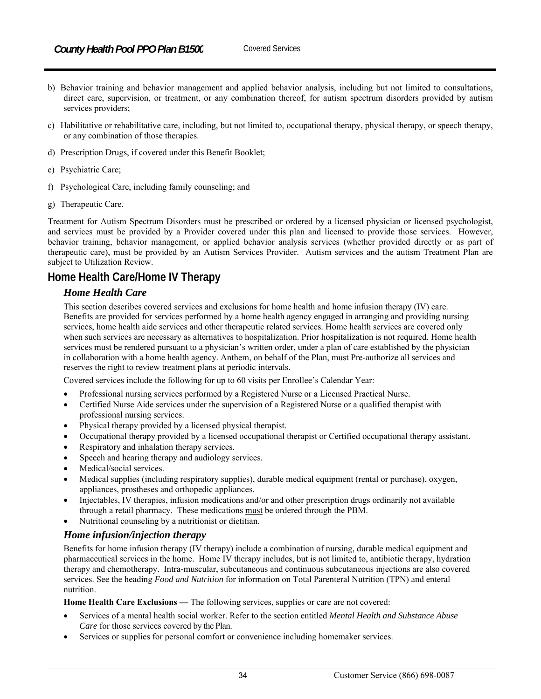- b) Behavior training and behavior management and applied behavior analysis, including but not limited to consultations, direct care, supervision, or treatment, or any combination thereof, for autism spectrum disorders provided by autism services providers;
- c) Habilitative or rehabilitative care, including, but not limited to, occupational therapy, physical therapy, or speech therapy, or any combination of those therapies.
- d) Prescription Drugs, if covered under this Benefit Booklet;
- e) Psychiatric Care;
- f) Psychological Care, including family counseling; and
- g) Therapeutic Care.

Treatment for Autism Spectrum Disorders must be prescribed or ordered by a licensed physician or licensed psychologist, and services must be provided by a Provider covered under this plan and licensed to provide those services. However, behavior training, behavior management, or applied behavior analysis services (whether provided directly or as part of therapeutic care), must be provided by an Autism Services Provider. Autism services and the autism Treatment Plan are subject to Utilization Review.

# **Home Health Care/Home IV Therapy**

## *Home Health Care*

This section describes covered services and exclusions for home health and home infusion therapy (IV) care. Benefits are provided for services performed by a home health agency engaged in arranging and providing nursing services, home health aide services and other therapeutic related services. Home health services are covered only when such services are necessary as alternatives to hospitalization. Prior hospitalization is not required. Home health services must be rendered pursuant to a physician's written order, under a plan of care established by the physician in collaboration with a home health agency. Anthem, on behalf of the Plan, must Pre-authorize all services and reserves the right to review treatment plans at periodic intervals.

Covered services include the following for up to 60 visits per Enrollee's Calendar Year:

- Professional nursing services performed by a Registered Nurse or a Licensed Practical Nurse.
- Certified Nurse Aide services under the supervision of a Registered Nurse or a qualified therapist with professional nursing services.
- Physical therapy provided by a licensed physical therapist.
- Occupational therapy provided by a licensed occupational therapist or Certified occupational therapy assistant.
- Respiratory and inhalation therapy services.
- Speech and hearing therapy and audiology services.
- Medical/social services.
- Medical supplies (including respiratory supplies), durable medical equipment (rental or purchase), oxygen, appliances, prostheses and orthopedic appliances.
- Injectables, IV therapies, infusion medications and/or and other prescription drugs ordinarily not available through a retail pharmacy. These medications must be ordered through the PBM.
- Nutritional counseling by a nutritionist or dietitian.

## *Home infusion/injection therapy*

Benefits for home infusion therapy (IV therapy) include a combination of nursing, durable medical equipment and pharmaceutical services in the home. Home IV therapy includes, but is not limited to, antibiotic therapy, hydration therapy and chemotherapy. Intra-muscular, subcutaneous and continuous subcutaneous injections are also covered services. See the heading *Food and Nutrition* for information on Total Parenteral Nutrition (TPN) and enteral nutrition.

**Home Health Care Exclusions** — The following services, supplies or care are not covered:

- Services of a mental health social worker. Refer to the section entitled *Mental Health and Substance Abuse Care* for those services covered by the Plan.
- Services or supplies for personal comfort or convenience including homemaker services.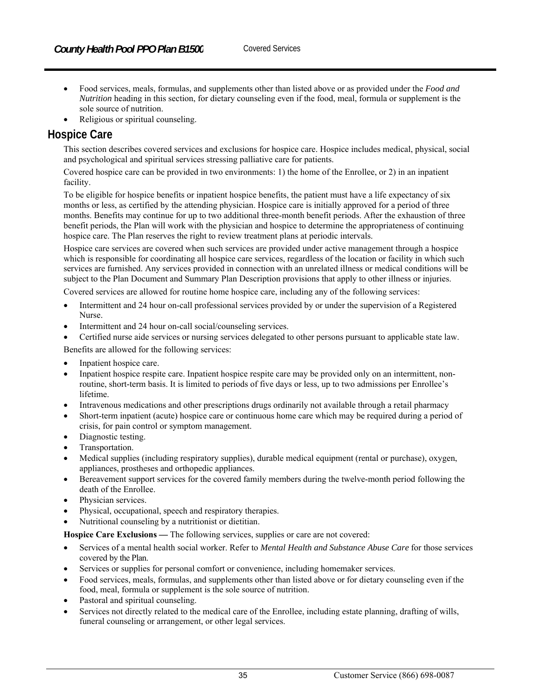- Food services, meals, formulas, and supplements other than listed above or as provided under the *Food and Nutrition* heading in this section, for dietary counseling even if the food, meal, formula or supplement is the sole source of nutrition.
- Religious or spiritual counseling.

# **Hospice Care**

This section describes covered services and exclusions for hospice care. Hospice includes medical, physical, social and psychological and spiritual services stressing palliative care for patients.

Covered hospice care can be provided in two environments: 1) the home of the Enrollee, or 2) in an inpatient facility.

To be eligible for hospice benefits or inpatient hospice benefits, the patient must have a life expectancy of six months or less, as certified by the attending physician. Hospice care is initially approved for a period of three months. Benefits may continue for up to two additional three-month benefit periods. After the exhaustion of three benefit periods, the Plan will work with the physician and hospice to determine the appropriateness of continuing hospice care. The Plan reserves the right to review treatment plans at periodic intervals.

Hospice care services are covered when such services are provided under active management through a hospice which is responsible for coordinating all hospice care services, regardless of the location or facility in which such services are furnished. Any services provided in connection with an unrelated illness or medical conditions will be subject to the Plan Document and Summary Plan Description provisions that apply to other illness or injuries.

Covered services are allowed for routine home hospice care, including any of the following services:

- Intermittent and 24 hour on-call professional services provided by or under the supervision of a Registered Nurse.
- Intermittent and 24 hour on-call social/counseling services.
- Certified nurse aide services or nursing services delegated to other persons pursuant to applicable state law.

Benefits are allowed for the following services:

- Inpatient hospice care.
- Inpatient hospice respite care. Inpatient hospice respite care may be provided only on an intermittent, nonroutine, short-term basis. It is limited to periods of five days or less, up to two admissions per Enrollee's lifetime.
- Intravenous medications and other prescriptions drugs ordinarily not available through a retail pharmacy
- Short-term inpatient (acute) hospice care or continuous home care which may be required during a period of crisis, for pain control or symptom management.
- Diagnostic testing.
- Transportation.
- Medical supplies (including respiratory supplies), durable medical equipment (rental or purchase), oxygen, appliances, prostheses and orthopedic appliances.
- Bereavement support services for the covered family members during the twelve-month period following the death of the Enrollee.
- Physician services.
- Physical, occupational, speech and respiratory therapies.
- Nutritional counseling by a nutritionist or dietitian.

**Hospice Care Exclusions** *—* The following services, supplies or care are not covered:

- Services of a mental health social worker. Refer to *Mental Health and Substance Abuse Care* for those services covered by the Plan.
- Services or supplies for personal comfort or convenience, including homemaker services.
- Food services, meals, formulas, and supplements other than listed above or for dietary counseling even if the food, meal, formula or supplement is the sole source of nutrition.
- Pastoral and spiritual counseling.
- Services not directly related to the medical care of the Enrollee, including estate planning, drafting of wills, funeral counseling or arrangement, or other legal services.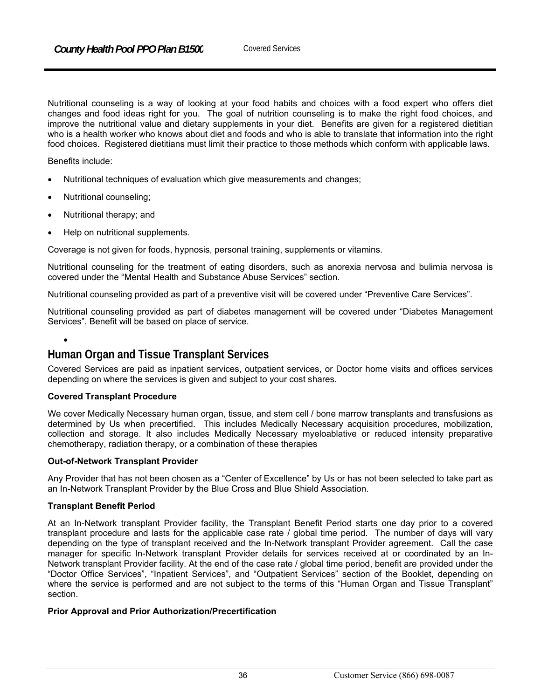Nutritional counseling is a way of looking at your food habits and choices with a food expert who offers diet changes and food ideas right for you. The goal of nutrition counseling is to make the right food choices, and improve the nutritional value and dietary supplements in your diet. Benefits are given for a registered dietitian who is a health worker who knows about diet and foods and who is able to translate that information into the right food choices. Registered dietitians must limit their practice to those methods which conform with applicable laws.

Benefits include:

- Nutritional techniques of evaluation which give measurements and changes;
- Nutritional counseling;
- Nutritional therapy; and
- Help on nutritional supplements.

Coverage is not given for foods, hypnosis, personal training, supplements or vitamins.

Nutritional counseling for the treatment of eating disorders, such as anorexia nervosa and bulimia nervosa is covered under the "Mental Health and Substance Abuse Services" section.

Nutritional counseling provided as part of a preventive visit will be covered under "Preventive Care Services".

Nutritional counseling provided as part of diabetes management will be covered under "Diabetes Management Services". Benefit will be based on place of service.

 $\bullet$ 

# **Human Organ and Tissue Transplant Services**

Covered Services are paid as inpatient services, outpatient services, or Doctor home visits and offices services depending on where the services is given and subject to your cost shares.

#### **Covered Transplant Procedure**

We cover Medically Necessary human organ, tissue, and stem cell / bone marrow transplants and transfusions as determined by Us when precertified. This includes Medically Necessary acquisition procedures, mobilization, collection and storage. It also includes Medically Necessary myeloablative or reduced intensity preparative chemotherapy, radiation therapy, or a combination of these therapies

#### **Out-of-Network Transplant Provider**

Any Provider that has not been chosen as a "Center of Excellence" by Us or has not been selected to take part as an In-Network Transplant Provider by the Blue Cross and Blue Shield Association.

#### **Transplant Benefit Period**

At an In-Network transplant Provider facility, the Transplant Benefit Period starts one day prior to a covered transplant procedure and lasts for the applicable case rate / global time period. The number of days will vary depending on the type of transplant received and the In-Network transplant Provider agreement. Call the case manager for specific In-Network transplant Provider details for services received at or coordinated by an In-Network transplant Provider facility. At the end of the case rate / global time period, benefit are provided under the "Doctor Office Services", "Inpatient Services", and "Outpatient Services" section of the Booklet, depending on where the service is performed and are not subject to the terms of this "Human Organ and Tissue Transplant" section.

#### **Prior Approval and Prior Authorization/Precertification**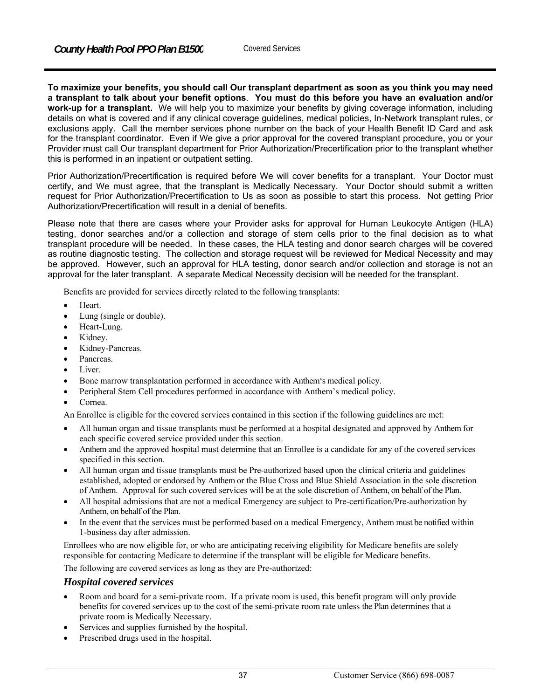**To maximize your benefits, you should call Our transplant department as soon as you think you may need a transplant to talk about your benefit options**. **You must do this before you have an evaluation and/or work-up for a transplant.** We will help you to maximize your benefits by giving coverage information, including details on what is covered and if any clinical coverage guidelines, medical policies, In-Network transplant rules, or exclusions apply. Call the member services phone number on the back of your Health Benefit ID Card and ask for the transplant coordinator. Even if We give a prior approval for the covered transplant procedure, you or your Provider must call Our transplant department for Prior Authorization/Precertification prior to the transplant whether this is performed in an inpatient or outpatient setting.

Prior Authorization/Precertification is required before We will cover benefits for a transplant. Your Doctor must certify, and We must agree, that the transplant is Medically Necessary. Your Doctor should submit a written request for Prior Authorization/Precertification to Us as soon as possible to start this process. Not getting Prior Authorization/Precertification will result in a denial of benefits.

Please note that there are cases where your Provider asks for approval for Human Leukocyte Antigen (HLA) testing, donor searches and/or a collection and storage of stem cells prior to the final decision as to what transplant procedure will be needed. In these cases, the HLA testing and donor search charges will be covered as routine diagnostic testing. The collection and storage request will be reviewed for Medical Necessity and may be approved. However, such an approval for HLA testing, donor search and/or collection and storage is not an approval for the later transplant. A separate Medical Necessity decision will be needed for the transplant.

Benefits are provided for services directly related to the following transplants:

- Heart.
- Lung (single or double).
- Heart-Lung.
- Kidney.
- Kidney-Pancreas.
- Pancreas.
- Liver.
- Bone marrow transplantation performed in accordance with Anthem's medical policy.
- Peripheral Stem Cell procedures performed in accordance with Anthem's medical policy.
- Cornea.

An Enrollee is eligible for the covered services contained in this section if the following guidelines are met:

- All human organ and tissue transplants must be performed at a hospital designated and approved by Anthem for each specific covered service provided under this section.
- Anthem and the approved hospital must determine that an Enrollee is a candidate for any of the covered services specified in this section.
- All human organ and tissue transplants must be Pre-authorized based upon the clinical criteria and guidelines established, adopted or endorsed by Anthem or the Blue Cross and Blue Shield Association in the sole discretion of Anthem. Approval for such covered services will be at the sole discretion of Anthem, on behalf of the Plan.
- All hospital admissions that are not a medical Emergency are subject to Pre-certification/Pre-authorization by Anthem, on behalf of the Plan.
- In the event that the services must be performed based on a medical Emergency, Anthem must be notified within 1-business day after admission.

Enrollees who are now eligible for, or who are anticipating receiving eligibility for Medicare benefits are solely responsible for contacting Medicare to determine if the transplant will be eligible for Medicare benefits.

The following are covered services as long as they are Pre-authorized:

#### *Hospital covered services*

- Room and board for a semi-private room. If a private room is used, this benefit program will only provide benefits for covered services up to the cost of the semi-private room rate unless the Plan determines that a private room is Medically Necessary.
- Services and supplies furnished by the hospital.
- Prescribed drugs used in the hospital.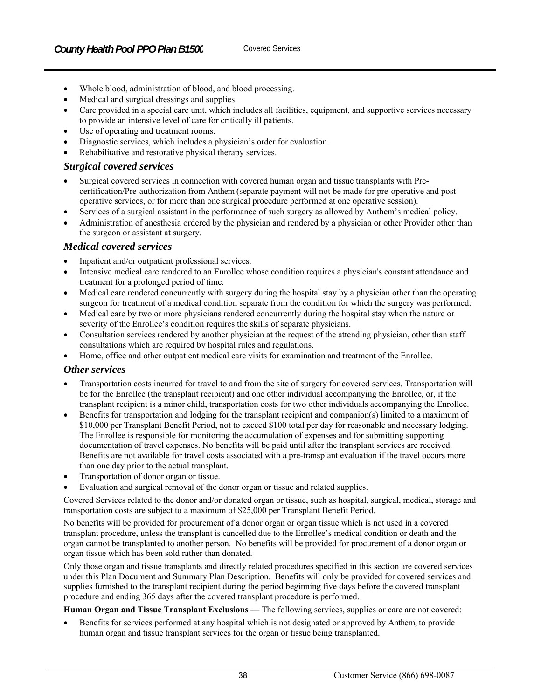- Whole blood, administration of blood, and blood processing.
- Medical and surgical dressings and supplies.
- Care provided in a special care unit, which includes all facilities, equipment, and supportive services necessary to provide an intensive level of care for critically ill patients.
- Use of operating and treatment rooms.
- Diagnostic services, which includes a physician's order for evaluation.
- Rehabilitative and restorative physical therapy services.

#### *Surgical covered services*

- Surgical covered services in connection with covered human organ and tissue transplants with Precertification/Pre-authorization from Anthem (separate payment will not be made for pre-operative and postoperative services, or for more than one surgical procedure performed at one operative session).
- Services of a surgical assistant in the performance of such surgery as allowed by Anthem's medical policy.
- Administration of anesthesia ordered by the physician and rendered by a physician or other Provider other than the surgeon or assistant at surgery.

#### *Medical covered services*

- Inpatient and/or outpatient professional services.
- Intensive medical care rendered to an Enrollee whose condition requires a physician's constant attendance and treatment for a prolonged period of time.
- Medical care rendered concurrently with surgery during the hospital stay by a physician other than the operating surgeon for treatment of a medical condition separate from the condition for which the surgery was performed.
- Medical care by two or more physicians rendered concurrently during the hospital stay when the nature or severity of the Enrollee's condition requires the skills of separate physicians.
- Consultation services rendered by another physician at the request of the attending physician, other than staff consultations which are required by hospital rules and regulations.
- Home, office and other outpatient medical care visits for examination and treatment of the Enrollee.

#### *Other services*

- Transportation costs incurred for travel to and from the site of surgery for covered services. Transportation will be for the Enrollee (the transplant recipient) and one other individual accompanying the Enrollee, or, if the transplant recipient is a minor child, transportation costs for two other individuals accompanying the Enrollee.
- Benefits for transportation and lodging for the transplant recipient and companion(s) limited to a maximum of \$10,000 per Transplant Benefit Period, not to exceed \$100 total per day for reasonable and necessary lodging. The Enrollee is responsible for monitoring the accumulation of expenses and for submitting supporting documentation of travel expenses. No benefits will be paid until after the transplant services are received. Benefits are not available for travel costs associated with a pre-transplant evaluation if the travel occurs more than one day prior to the actual transplant.
- Transportation of donor organ or tissue.
- Evaluation and surgical removal of the donor organ or tissue and related supplies.

Covered Services related to the donor and/or donated organ or tissue, such as hospital, surgical, medical, storage and transportation costs are subject to a maximum of \$25,000 per Transplant Benefit Period.

No benefits will be provided for procurement of a donor organ or organ tissue which is not used in a covered transplant procedure, unless the transplant is cancelled due to the Enrollee's medical condition or death and the organ cannot be transplanted to another person. No benefits will be provided for procurement of a donor organ or organ tissue which has been sold rather than donated.

Only those organ and tissue transplants and directly related procedures specified in this section are covered services under this Plan Document and Summary Plan Description. Benefits will only be provided for covered services and supplies furnished to the transplant recipient during the period beginning five days before the covered transplant procedure and ending 365 days after the covered transplant procedure is performed.

#### **Human Organ and Tissue Transplant Exclusions** *—* The following services, supplies or care are not covered:

 Benefits for services performed at any hospital which is not designated or approved by Anthem, to provide human organ and tissue transplant services for the organ or tissue being transplanted.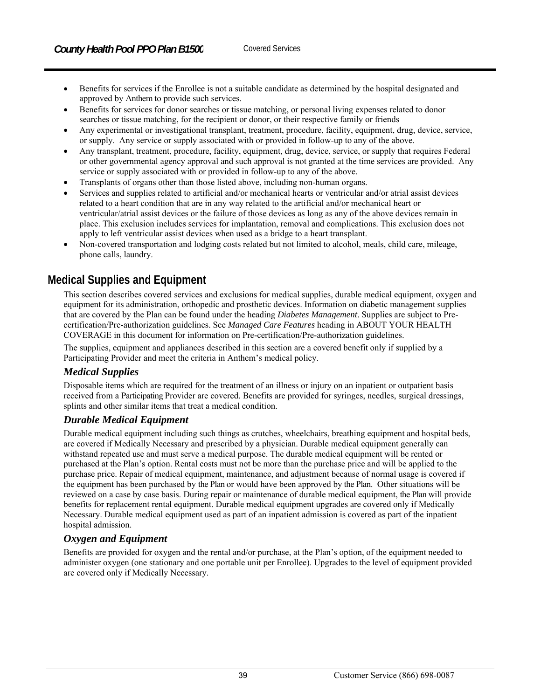- Benefits for services if the Enrollee is not a suitable candidate as determined by the hospital designated and approved by Anthem to provide such services.
- Benefits for services for donor searches or tissue matching, or personal living expenses related to donor searches or tissue matching, for the recipient or donor, or their respective family or friends
- Any experimental or investigational transplant, treatment, procedure, facility, equipment, drug, device, service, or supply. Any service or supply associated with or provided in follow-up to any of the above.
- Any transplant, treatment, procedure, facility, equipment, drug, device, service, or supply that requires Federal or other governmental agency approval and such approval is not granted at the time services are provided. Any service or supply associated with or provided in follow-up to any of the above.
- Transplants of organs other than those listed above, including non-human organs.
- Services and supplies related to artificial and/or mechanical hearts or ventricular and/or atrial assist devices related to a heart condition that are in any way related to the artificial and/or mechanical heart or ventricular/atrial assist devices or the failure of those devices as long as any of the above devices remain in place. This exclusion includes services for implantation, removal and complications. This exclusion does not apply to left ventricular assist devices when used as a bridge to a heart transplant.
- Non-covered transportation and lodging costs related but not limited to alcohol, meals, child care, mileage, phone calls, laundry.

# **Medical Supplies and Equipment**

This section describes covered services and exclusions for medical supplies, durable medical equipment, oxygen and equipment for its administration, orthopedic and prosthetic devices. Information on diabetic management supplies that are covered by the Plan can be found under the heading *Diabetes Management*. Supplies are subject to Precertification/Pre-authorization guidelines. See *Managed Care Features* heading in ABOUT YOUR HEALTH COVERAGE in this document for information on Pre-certification/Pre-authorization guidelines.

The supplies, equipment and appliances described in this section are a covered benefit only if supplied by a Participating Provider and meet the criteria in Anthem's medical policy.

## *Medical Supplies*

Disposable items which are required for the treatment of an illness or injury on an inpatient or outpatient basis received from a Participating Provider are covered. Benefits are provided for syringes, needles, surgical dressings, splints and other similar items that treat a medical condition.

#### *Durable Medical Equipment*

Durable medical equipment including such things as crutches, wheelchairs, breathing equipment and hospital beds, are covered if Medically Necessary and prescribed by a physician. Durable medical equipment generally can withstand repeated use and must serve a medical purpose. The durable medical equipment will be rented or purchased at the Plan's option. Rental costs must not be more than the purchase price and will be applied to the purchase price. Repair of medical equipment, maintenance, and adjustment because of normal usage is covered if the equipment has been purchased by the Plan or would have been approved by the Plan. Other situations will be reviewed on a case by case basis. During repair or maintenance of durable medical equipment, the Plan will provide benefits for replacement rental equipment. Durable medical equipment upgrades are covered only if Medically Necessary. Durable medical equipment used as part of an inpatient admission is covered as part of the inpatient hospital admission.

## *Oxygen and Equipment*

Benefits are provided for oxygen and the rental and/or purchase, at the Plan's option, of the equipment needed to administer oxygen (one stationary and one portable unit per Enrollee). Upgrades to the level of equipment provided are covered only if Medically Necessary.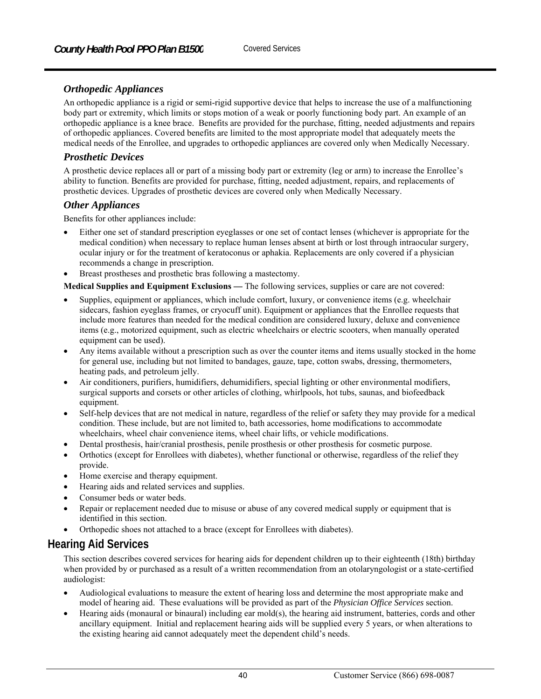# *Orthopedic Appliances*

An orthopedic appliance is a rigid or semi-rigid supportive device that helps to increase the use of a malfunctioning body part or extremity, which limits or stops motion of a weak or poorly functioning body part. An example of an orthopedic appliance is a knee brace. Benefits are provided for the purchase, fitting, needed adjustments and repairs of orthopedic appliances. Covered benefits are limited to the most appropriate model that adequately meets the medical needs of the Enrollee, and upgrades to orthopedic appliances are covered only when Medically Necessary.

## *Prosthetic Devices*

A prosthetic device replaces all or part of a missing body part or extremity (leg or arm) to increase the Enrollee's ability to function. Benefits are provided for purchase, fitting, needed adjustment, repairs, and replacements of prosthetic devices. Upgrades of prosthetic devices are covered only when Medically Necessary.

#### *Other Appliances*

Benefits for other appliances include:

- Either one set of standard prescription eyeglasses or one set of contact lenses (whichever is appropriate for the medical condition) when necessary to replace human lenses absent at birth or lost through intraocular surgery, ocular injury or for the treatment of keratoconus or aphakia. Replacements are only covered if a physician recommends a change in prescription.
- Breast prostheses and prosthetic bras following a mastectomy.

**Medical Supplies and Equipment Exclusions** *—* The following services, supplies or care are not covered:

- Supplies, equipment or appliances, which include comfort, luxury, or convenience items (e.g. wheelchair sidecars, fashion eyeglass frames, or cryocuff unit). Equipment or appliances that the Enrollee requests that include more features than needed for the medical condition are considered luxury, deluxe and convenience items (e.g., motorized equipment, such as electric wheelchairs or electric scooters, when manually operated equipment can be used).
- Any items available without a prescription such as over the counter items and items usually stocked in the home for general use, including but not limited to bandages, gauze, tape, cotton swabs, dressing, thermometers, heating pads, and petroleum jelly.
- Air conditioners, purifiers, humidifiers, dehumidifiers, special lighting or other environmental modifiers, surgical supports and corsets or other articles of clothing, whirlpools, hot tubs, saunas, and biofeedback equipment.
- Self-help devices that are not medical in nature, regardless of the relief or safety they may provide for a medical condition. These include, but are not limited to, bath accessories, home modifications to accommodate wheelchairs, wheel chair convenience items, wheel chair lifts, or vehicle modifications.
- Dental prosthesis, hair/cranial prosthesis, penile prosthesis or other prosthesis for cosmetic purpose.
- Orthotics (except for Enrollees with diabetes), whether functional or otherwise, regardless of the relief they provide.
- Home exercise and therapy equipment.
- Hearing aids and related services and supplies.
- Consumer beds or water beds.
- Repair or replacement needed due to misuse or abuse of any covered medical supply or equipment that is identified in this section.
- Orthopedic shoes not attached to a brace (except for Enrollees with diabetes).

# **Hearing Aid Services**

This section describes covered services for hearing aids for dependent children up to their eighteenth (18th) birthday when provided by or purchased as a result of a written recommendation from an otolaryngologist or a state-certified audiologist:

- Audiological evaluations to measure the extent of hearing loss and determine the most appropriate make and model of hearing aid. These evaluations will be provided as part of the *Physician Office Services* section.
- Hearing aids (monaural or binaural) including ear mold(s), the hearing aid instrument, batteries, cords and other ancillary equipment. Initial and replacement hearing aids will be supplied every 5 years, or when alterations to the existing hearing aid cannot adequately meet the dependent child's needs.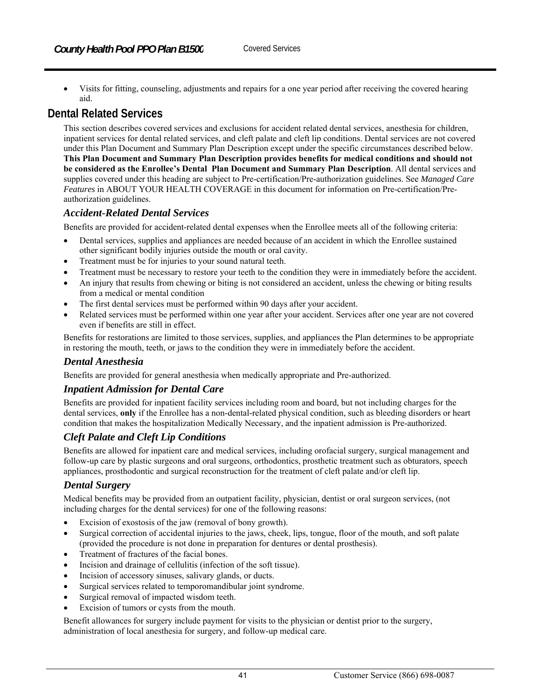Visits for fitting, counseling, adjustments and repairs for a one year period after receiving the covered hearing aid.

# **Dental Related Services**

This section describes covered services and exclusions for accident related dental services, anesthesia for children, inpatient services for dental related services, and cleft palate and cleft lip conditions. Dental services are not covered under this Plan Document and Summary Plan Description except under the specific circumstances described below. **This Plan Document and Summary Plan Description provides benefits for medical conditions and should not be considered as the Enrollee's Dental Plan Document and Summary Plan Description**. All dental services and supplies covered under this heading are subject to Pre-certification/Pre-authorization guidelines. See *Managed Care Features* in ABOUT YOUR HEALTH COVERAGE in this document for information on Pre-certification/Preauthorization guidelines.

# *Accident-Related Dental Services*

Benefits are provided for accident-related dental expenses when the Enrollee meets all of the following criteria:

- Dental services, supplies and appliances are needed because of an accident in which the Enrollee sustained other significant bodily injuries outside the mouth or oral cavity.
- Treatment must be for injuries to your sound natural teeth.
- Treatment must be necessary to restore your teeth to the condition they were in immediately before the accident.
- An injury that results from chewing or biting is not considered an accident, unless the chewing or biting results from a medical or mental condition
- The first dental services must be performed within 90 days after your accident.
- Related services must be performed within one year after your accident. Services after one year are not covered even if benefits are still in effect.

Benefits for restorations are limited to those services, supplies, and appliances the Plan determines to be appropriate in restoring the mouth, teeth, or jaws to the condition they were in immediately before the accident.

## *Dental Anesthesia*

Benefits are provided for general anesthesia when medically appropriate and Pre-authorized.

## *Inpatient Admission for Dental Care*

Benefits are provided for inpatient facility services including room and board, but not including charges for the dental services, **only** if the Enrollee has a non-dental-related physical condition, such as bleeding disorders or heart condition that makes the hospitalization Medically Necessary, and the inpatient admission is Pre-authorized.

## *Cleft Palate and Cleft Lip Conditions*

Benefits are allowed for inpatient care and medical services, including orofacial surgery, surgical management and follow-up care by plastic surgeons and oral surgeons, orthodontics, prosthetic treatment such as obturators, speech appliances, prosthodontic and surgical reconstruction for the treatment of cleft palate and/or cleft lip.

# *Dental Surgery*

Medical benefits may be provided from an outpatient facility, physician, dentist or oral surgeon services, (not including charges for the dental services) for one of the following reasons:

- Excision of exostosis of the jaw (removal of bony growth).
- Surgical correction of accidental injuries to the jaws, cheek, lips, tongue, floor of the mouth, and soft palate (provided the procedure is not done in preparation for dentures or dental prosthesis).
- Treatment of fractures of the facial bones.
- Incision and drainage of cellulitis (infection of the soft tissue).
- Incision of accessory sinuses, salivary glands, or ducts.
- Surgical services related to temporomandibular joint syndrome.
- Surgical removal of impacted wisdom teeth.
- Excision of tumors or cysts from the mouth.

Benefit allowances for surgery include payment for visits to the physician or dentist prior to the surgery, administration of local anesthesia for surgery, and follow-up medical care.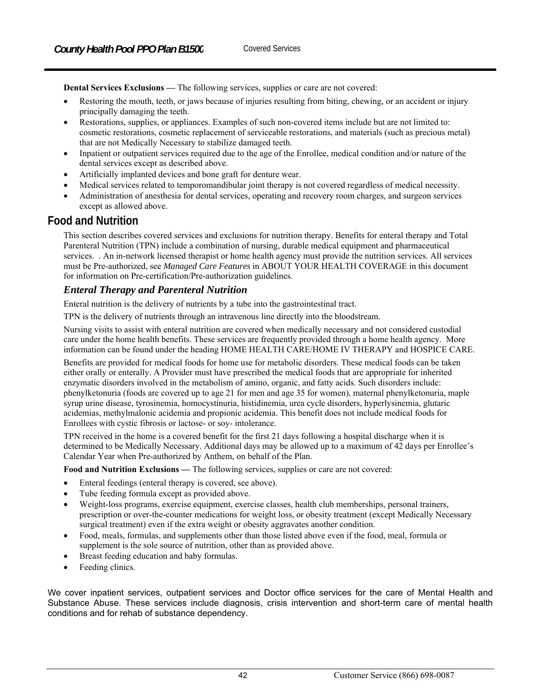**Dental Services Exclusions —** The following services, supplies or care are not covered:

- Restoring the mouth, teeth, or jaws because of injuries resulting from biting, chewing, or an accident or injury principally damaging the teeth.
- Restorations, supplies, or appliances. Examples of such non-covered items include but are not limited to: cosmetic restorations, cosmetic replacement of serviceable restorations, and materials (such as precious metal) that are not Medically Necessary to stabilize damaged teeth.
- Inpatient or outpatient services required due to the age of the Enrollee, medical condition and/or nature of the dental services except as described above.
- Artificially implanted devices and bone graft for denture wear.
- Medical services related to temporomandibular joint therapy is not covered regardless of medical necessity.
- Administration of anesthesia for dental services, operating and recovery room charges, and surgeon services except as allowed above.

# **Food and Nutrition**

This section describes covered services and exclusions for nutrition therapy. Benefits for enteral therapy and Total Parenteral Nutrition (TPN) include a combination of nursing, durable medical equipment and pharmaceutical services. . An in-network licensed therapist or home health agency must provide the nutrition services. All services must be Pre-authorized, see *Managed Care Features* in ABOUT YOUR HEALTH COVERAGE in this document for information on Pre-certification/Pre-authorization guidelines.

#### *Enteral Therapy and Parenteral Nutrition*

Enteral nutrition is the delivery of nutrients by a tube into the gastrointestinal tract.

TPN is the delivery of nutrients through an intravenous line directly into the bloodstream.

Nursing visits to assist with enteral nutrition are covered when medically necessary and not considered custodial care under the home health benefits. These services are frequently provided through a home health agency. More information can be found under the heading HOME HEALTH CARE/HOME IV THERAPY and HOSPICE CARE.

Benefits are provided for medical foods for home use for metabolic disorders. These medical foods can be taken either orally or enterally. A Provider must have prescribed the medical foods that are appropriate for inherited enzymatic disorders involved in the metabolism of amino, organic, and fatty acids. Such disorders include: phenylketonuria (foods are covered up to age 21 for men and age 35 for women), maternal phenylketonuria, maple syrup urine disease, tyrosinemia, homocystinuria, histidinemia, urea cycle disorders, hyperlysinemia, glutaric acidemias, methylmalonic acidemia and propionic acidemia. This benefit does not include medical foods for Enrollees with cystic fibrosis or lactose- or soy- intolerance.

TPN received in the home is a covered benefit for the first 21 days following a hospital discharge when it is determined to be Medically Necessary. Additional days may be allowed up to a maximum of 42 days per Enrollee's Calendar Year when Pre-authorized by Anthem, on behalf of the Plan.

**Food and Nutrition Exclusions —** The following services, supplies or care are not covered:

- Enteral feedings (enteral therapy is covered, see above).
- Tube feeding formula except as provided above.
- Weight-loss programs, exercise equipment, exercise classes, health club memberships, personal trainers, prescription or over-the-counter medications for weight loss, or obesity treatment (except Medically Necessary surgical treatment) even if the extra weight or obesity aggravates another condition.
- Food, meals, formulas, and supplements other than those listed above even if the food, meal, formula or supplement is the sole source of nutrition, other than as provided above.
- Breast feeding education and baby formulas.
- Feeding clinics.

We cover inpatient services, outpatient services and Doctor office services for the care of Mental Health and Substance Abuse. These services include diagnosis, crisis intervention and short-term care of mental health conditions and for rehab of substance dependency.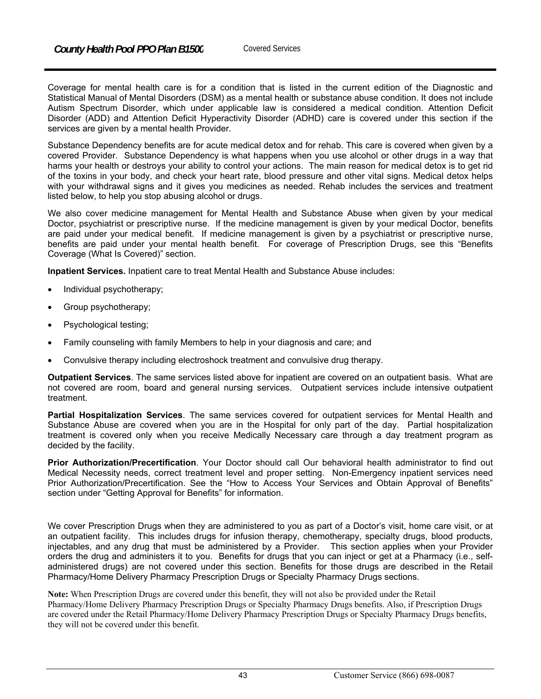Coverage for mental health care is for a condition that is listed in the current edition of the Diagnostic and Statistical Manual of Mental Disorders (DSM) as a mental health or substance abuse condition. It does not include Autism Spectrum Disorder, which under applicable law is considered a medical condition. Attention Deficit Disorder (ADD) and Attention Deficit Hyperactivity Disorder (ADHD) care is covered under this section if the services are given by a mental health Provider.

Substance Dependency benefits are for acute medical detox and for rehab. This care is covered when given by a covered Provider. Substance Dependency is what happens when you use alcohol or other drugs in a way that harms your health or destroys your ability to control your actions. The main reason for medical detox is to get rid of the toxins in your body, and check your heart rate, blood pressure and other vital signs. Medical detox helps with your withdrawal signs and it gives you medicines as needed. Rehab includes the services and treatment listed below, to help you stop abusing alcohol or drugs.

We also cover medicine management for Mental Health and Substance Abuse when given by your medical Doctor, psychiatrist or prescriptive nurse. If the medicine management is given by your medical Doctor, benefits are paid under your medical benefit. If medicine management is given by a psychiatrist or prescriptive nurse, benefits are paid under your mental health benefit. For coverage of Prescription Drugs, see this "Benefits Coverage (What Is Covered)" section.

**Inpatient Services.** Inpatient care to treat Mental Health and Substance Abuse includes:

- Individual psychotherapy;
- Group psychotherapy;
- Psychological testing;
- Family counseling with family Members to help in your diagnosis and care; and
- Convulsive therapy including electroshock treatment and convulsive drug therapy.

**Outpatient Services**. The same services listed above for inpatient are covered on an outpatient basis. What are not covered are room, board and general nursing services. Outpatient services include intensive outpatient treatment.

**Partial Hospitalization Services**. The same services covered for outpatient services for Mental Health and Substance Abuse are covered when you are in the Hospital for only part of the day. Partial hospitalization treatment is covered only when you receive Medically Necessary care through a day treatment program as decided by the facility.

**Prior Authorization/Precertification**. Your Doctor should call Our behavioral health administrator to find out Medical Necessity needs, correct treatment level and proper setting. Non-Emergency inpatient services need Prior Authorization/Precertification. See the "How to Access Your Services and Obtain Approval of Benefits" section under "Getting Approval for Benefits" for information.

We cover Prescription Drugs when they are administered to you as part of a Doctor's visit, home care visit, or at an outpatient facility. This includes drugs for infusion therapy, chemotherapy, specialty drugs, blood products, injectables, and any drug that must be administered by a Provider. This section applies when your Provider orders the drug and administers it to you. Benefits for drugs that you can inject or get at a Pharmacy (i.e., selfadministered drugs) are not covered under this section. Benefits for those drugs are described in the Retail Pharmacy/Home Delivery Pharmacy Prescription Drugs or Specialty Pharmacy Drugs sections.

**Note:** When Prescription Drugs are covered under this benefit, they will not also be provided under the Retail Pharmacy/Home Delivery Pharmacy Prescription Drugs or Specialty Pharmacy Drugs benefits. Also, if Prescription Drugs are covered under the Retail Pharmacy/Home Delivery Pharmacy Prescription Drugs or Specialty Pharmacy Drugs benefits, they will not be covered under this benefit.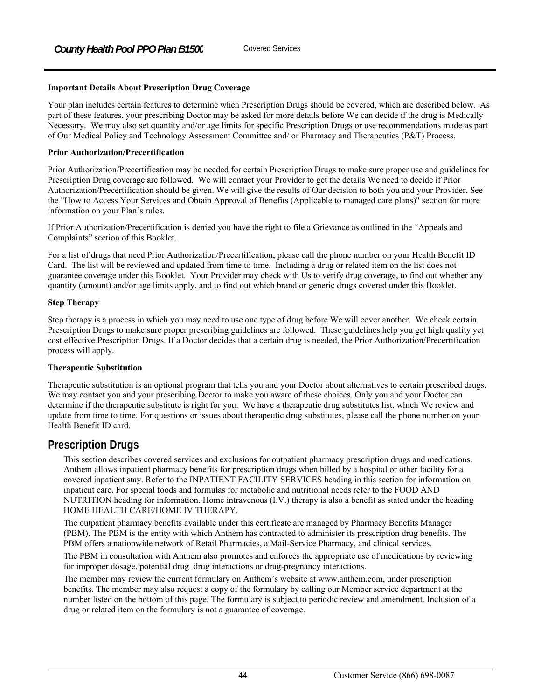#### **Important Details About Prescription Drug Coverage**

Your plan includes certain features to determine when Prescription Drugs should be covered, which are described below. As part of these features, your prescribing Doctor may be asked for more details before We can decide if the drug is Medically Necessary. We may also set quantity and/or age limits for specific Prescription Drugs or use recommendations made as part of Our Medical Policy and Technology Assessment Committee and/ or Pharmacy and Therapeutics (P&T) Process.

#### **Prior Authorization/Precertification**

Prior Authorization/Precertification may be needed for certain Prescription Drugs to make sure proper use and guidelines for Prescription Drug coverage are followed. We will contact your Provider to get the details We need to decide if Prior Authorization/Precertification should be given. We will give the results of Our decision to both you and your Provider. See the "How to Access Your Services and Obtain Approval of Benefits (Applicable to managed care plans)" section for more information on your Plan's rules.

If Prior Authorization/Precertification is denied you have the right to file a Grievance as outlined in the "Appeals and Complaints" section of this Booklet.

For a list of drugs that need Prior Authorization/Precertification, please call the phone number on your Health Benefit ID Card. The list will be reviewed and updated from time to time. Including a drug or related item on the list does not guarantee coverage under this Booklet. Your Provider may check with Us to verify drug coverage, to find out whether any quantity (amount) and/or age limits apply, and to find out which brand or generic drugs covered under this Booklet.

#### **Step Therapy**

Step therapy is a process in which you may need to use one type of drug before We will cover another. We check certain Prescription Drugs to make sure proper prescribing guidelines are followed. These guidelines help you get high quality yet cost effective Prescription Drugs. If a Doctor decides that a certain drug is needed, the Prior Authorization/Precertification process will apply.

#### **Therapeutic Substitution**

Therapeutic substitution is an optional program that tells you and your Doctor about alternatives to certain prescribed drugs. We may contact you and your prescribing Doctor to make you aware of these choices. Only you and your Doctor can determine if the therapeutic substitute is right for you. We have a therapeutic drug substitutes list, which We review and update from time to time. For questions or issues about therapeutic drug substitutes, please call the phone number on your Health Benefit ID card.

# **Prescription Drugs**

This section describes covered services and exclusions for outpatient pharmacy prescription drugs and medications. Anthem allows inpatient pharmacy benefits for prescription drugs when billed by a hospital or other facility for a covered inpatient stay. Refer to the INPATIENT FACILITY SERVICES heading in this section for information on inpatient care. For special foods and formulas for metabolic and nutritional needs refer to the FOOD AND NUTRITION heading for information. Home intravenous (I.V.) therapy is also a benefit as stated under the heading HOME HEALTH CARE/HOME IV THERAPY.

The outpatient pharmacy benefits available under this certificate are managed by Pharmacy Benefits Manager (PBM). The PBM is the entity with which Anthem has contracted to administer its prescription drug benefits. The PBM offers a nationwide network of Retail Pharmacies, a Mail-Service Pharmacy, and clinical services.

The PBM in consultation with Anthem also promotes and enforces the appropriate use of medications by reviewing for improper dosage, potential drug–drug interactions or drug-pregnancy interactions.

The member may review the current formulary on Anthem's website at www.anthem.com, under prescription benefits. The member may also request a copy of the formulary by calling our Member service department at the number listed on the bottom of this page. The formulary is subject to periodic review and amendment. Inclusion of a drug or related item on the formulary is not a guarantee of coverage.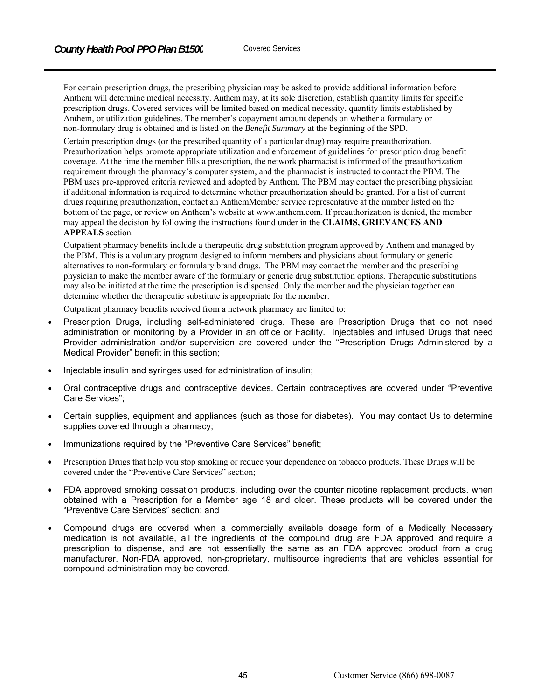For certain prescription drugs, the prescribing physician may be asked to provide additional information before Anthem will determine medical necessity. Anthem may, at its sole discretion, establish quantity limits for specific prescription drugs. Covered services will be limited based on medical necessity, quantity limits established by Anthem, or utilization guidelines. The member's copayment amount depends on whether a formulary or non-formulary drug is obtained and is listed on the *Benefit Summary* at the beginning of the SPD.

Certain prescription drugs (or the prescribed quantity of a particular drug) may require preauthorization. Preauthorization helps promote appropriate utilization and enforcement of guidelines for prescription drug benefit coverage. At the time the member fills a prescription, the network pharmacist is informed of the preauthorization requirement through the pharmacy's computer system, and the pharmacist is instructed to contact the PBM. The PBM uses pre-approved criteria reviewed and adopted by Anthem. The PBM may contact the prescribing physician if additional information is required to determine whether preauthorization should be granted. For a list of current drugs requiring preauthorization, contact an AnthemMember service representative at the number listed on the bottom of the page, or review on Anthem's website at www.anthem.com. If preauthorization is denied, the member may appeal the decision by following the instructions found under in the **CLAIMS, GRIEVANCES AND APPEALS** section*.*

#### Outpatient pharmacy benefits include a therapeutic drug substitution program approved by Anthem and managed by the PBM. This is a voluntary program designed to inform members and physicians about formulary or generic alternatives to non-formulary or formulary brand drugs. The PBM may contact the member and the prescribing physician to make the member aware of the formulary or generic drug substitution options. Therapeutic substitutions may also be initiated at the time the prescription is dispensed. Only the member and the physician together can determine whether the therapeutic substitute is appropriate for the member.

Outpatient pharmacy benefits received from a network pharmacy are limited to:

- Prescription Drugs, including self-administered drugs. These are Prescription Drugs that do not need administration or monitoring by a Provider in an office or Facility. Injectables and infused Drugs that need Provider administration and/or supervision are covered under the "Prescription Drugs Administered by a Medical Provider" benefit in this section;
- Injectable insulin and syringes used for administration of insulin;
- Oral contraceptive drugs and contraceptive devices. Certain contraceptives are covered under "Preventive Care Services";
- Certain supplies, equipment and appliances (such as those for diabetes). You may contact Us to determine supplies covered through a pharmacy;
- Immunizations required by the "Preventive Care Services" benefit;
- Prescription Drugs that help you stop smoking or reduce your dependence on tobacco products. These Drugs will be covered under the "Preventive Care Services" section;
- FDA approved smoking cessation products, including over the counter nicotine replacement products, when obtained with a Prescription for a Member age 18 and older. These products will be covered under the "Preventive Care Services" section; and
- Compound drugs are covered when a commercially available dosage form of a Medically Necessary medication is not available, all the ingredients of the compound drug are FDA approved and require a prescription to dispense, and are not essentially the same as an FDA approved product from a drug manufacturer. Non-FDA approved, non-proprietary, multisource ingredients that are vehicles essential for compound administration may be covered.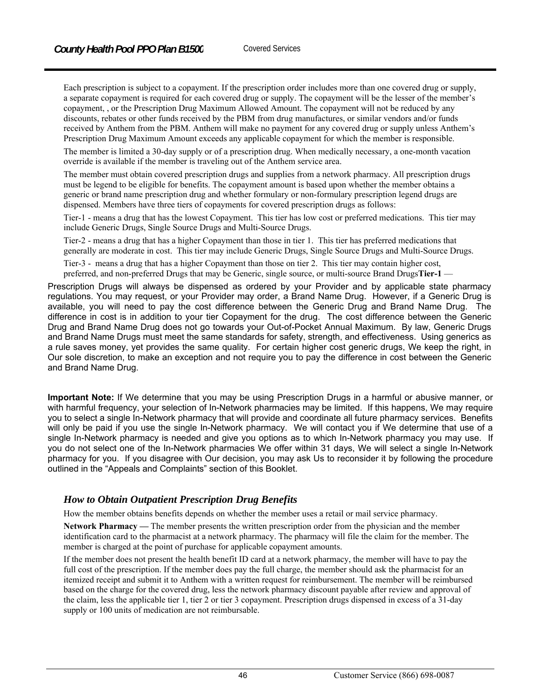Each prescription is subject to a copayment. If the prescription order includes more than one covered drug or supply, a separate copayment is required for each covered drug or supply. The copayment will be the lesser of the member's copayment, , or the Prescription Drug Maximum Allowed Amount. The copayment will not be reduced by any discounts, rebates or other funds received by the PBM from drug manufactures, or similar vendors and/or funds received by Anthem from the PBM. Anthem will make no payment for any covered drug or supply unless Anthem's Prescription Drug Maximum Amount exceeds any applicable copayment for which the member is responsible.

The member is limited a 30-day supply or of a prescription drug. When medically necessary, a one-month vacation override is available if the member is traveling out of the Anthem service area.

The member must obtain covered prescription drugs and supplies from a network pharmacy. All prescription drugs must be legend to be eligible for benefits. The copayment amount is based upon whether the member obtains a generic or brand name prescription drug and whether formulary or non-formulary prescription legend drugs are dispensed. Members have three tiers of copayments for covered prescription drugs as follows:

Tier-1 - means a drug that has the lowest Copayment. This tier has low cost or preferred medications. This tier may include Generic Drugs, Single Source Drugs and Multi-Source Drugs.

Tier-2 - means a drug that has a higher Copayment than those in tier 1. This tier has preferred medications that generally are moderate in cost. This tier may include Generic Drugs, Single Source Drugs and Multi-Source Drugs.

Tier-3 - means a drug that has a higher Copayment than those on tier 2. This tier may contain higher cost, preferred, and non-preferred Drugs that may be Generic, single source, or multi-source Brand Drugs**Tier-1** —

Prescription Drugs will always be dispensed as ordered by your Provider and by applicable state pharmacy regulations. You may request, or your Provider may order, a Brand Name Drug. However, if a Generic Drug is available, you will need to pay the cost difference between the Generic Drug and Brand Name Drug. The difference in cost is in addition to your tier Copayment for the drug. The cost difference between the Generic Drug and Brand Name Drug does not go towards your Out-of-Pocket Annual Maximum. By law, Generic Drugs and Brand Name Drugs must meet the same standards for safety, strength, and effectiveness. Using generics as a rule saves money, yet provides the same quality. For certain higher cost generic drugs, We keep the right, in Our sole discretion, to make an exception and not require you to pay the difference in cost between the Generic and Brand Name Drug.

**Important Note:** If We determine that you may be using Prescription Drugs in a harmful or abusive manner, or with harmful frequency, your selection of In-Network pharmacies may be limited. If this happens, We may require you to select a single In-Network pharmacy that will provide and coordinate all future pharmacy services. Benefits will only be paid if you use the single In-Network pharmacy. We will contact you if We determine that use of a single In-Network pharmacy is needed and give you options as to which In-Network pharmacy you may use. If you do not select one of the In-Network pharmacies We offer within 31 days, We will select a single In-Network pharmacy for you. If you disagree with Our decision, you may ask Us to reconsider it by following the procedure outlined in the "Appeals and Complaints" section of this Booklet.

#### *How to Obtain Outpatient Prescription Drug Benefits*

How the member obtains benefits depends on whether the member uses a retail or mail service pharmacy.

**Network Pharmacy —** The member presents the written prescription order from the physician and the member identification card to the pharmacist at a network pharmacy. The pharmacy will file the claim for the member. The member is charged at the point of purchase for applicable copayment amounts.

If the member does not present the health benefit ID card at a network pharmacy, the member will have to pay the full cost of the prescription. If the member does pay the full charge, the member should ask the pharmacist for an itemized receipt and submit it to Anthem with a written request for reimbursement. The member will be reimbursed based on the charge for the covered drug, less the network pharmacy discount payable after review and approval of the claim, less the applicable tier 1, tier 2 or tier 3 copayment. Prescription drugs dispensed in excess of a 31-day supply or 100 units of medication are not reimbursable.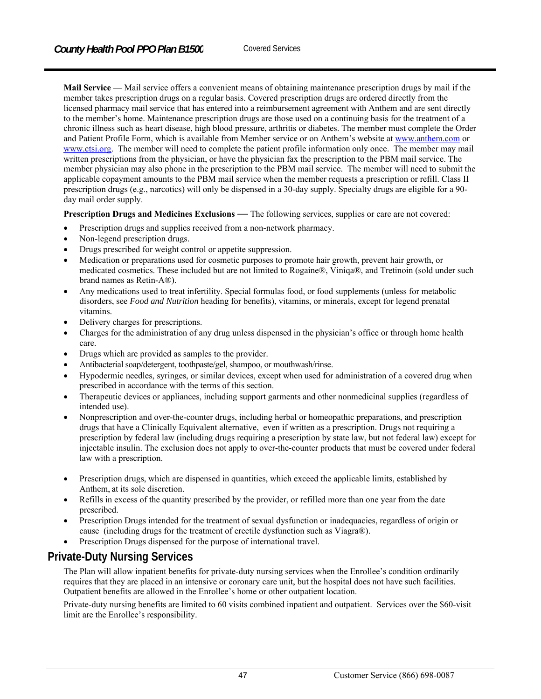**Mail Service** — Mail service offers a convenient means of obtaining maintenance prescription drugs by mail if the member takes prescription drugs on a regular basis. Covered prescription drugs are ordered directly from the licensed pharmacy mail service that has entered into a reimbursement agreement with Anthem and are sent directly to the member's home. Maintenance prescription drugs are those used on a continuing basis for the treatment of a chronic illness such as heart disease, high blood pressure, arthritis or diabetes. The member must complete the Order and Patient Profile Form, which is available from Member service or on Anthem's website at www.anthem.com or www.ctsi.org. The member will need to complete the patient profile information only once. The member may mail written prescriptions from the physician, or have the physician fax the prescription to the PBM mail service. The member physician may also phone in the prescription to the PBM mail service. The member will need to submit the applicable copayment amounts to the PBM mail service when the member requests a prescription or refill. Class II prescription drugs (e.g., narcotics) will only be dispensed in a 30-day supply. Specialty drugs are eligible for a 90 day mail order supply.

**Prescription Drugs and Medicines Exclusions** *—* The following services, supplies or care are not covered:

- Prescription drugs and supplies received from a non-network pharmacy.
- Non-legend prescription drugs.
- Drugs prescribed for weight control or appetite suppression.
- Medication or preparations used for cosmetic purposes to promote hair growth, prevent hair growth, or medicated cosmetics. These included but are not limited to Rogaine®, Viniqa®, and Tretinoin (sold under such brand names as Retin-A®).
- Any medications used to treat infertility. Special formulas food, or food supplements (unless for metabolic disorders, see *Food and Nutrition* heading for benefits), vitamins, or minerals, except for legend prenatal vitamins.
- Delivery charges for prescriptions.
- Charges for the administration of any drug unless dispensed in the physician's office or through home health care.
- Drugs which are provided as samples to the provider.
- Antibacterial soap/detergent, toothpaste/gel, shampoo, or mouthwash/rinse.
- Hypodermic needles, syringes, or similar devices, except when used for administration of a covered drug when prescribed in accordance with the terms of this section.
- Therapeutic devices or appliances, including support garments and other nonmedicinal supplies (regardless of intended use).
- Nonprescription and over-the-counter drugs, including herbal or homeopathic preparations, and prescription drugs that have a Clinically Equivalent alternative, even if written as a prescription. Drugs not requiring a prescription by federal law (including drugs requiring a prescription by state law, but not federal law) except for injectable insulin. The exclusion does not apply to over-the-counter products that must be covered under federal law with a prescription.
- Prescription drugs, which are dispensed in quantities, which exceed the applicable limits, established by Anthem, at its sole discretion.
- Refills in excess of the quantity prescribed by the provider, or refilled more than one year from the date prescribed.
- Prescription Drugs intended for the treatment of sexual dysfunction or inadequacies, regardless of origin or cause (including drugs for the treatment of erectile dysfunction such as Viagra®).
- Prescription Drugs dispensed for the purpose of international travel.

# **Private-Duty Nursing Services**

The Plan will allow inpatient benefits for private-duty nursing services when the Enrollee's condition ordinarily requires that they are placed in an intensive or coronary care unit, but the hospital does not have such facilities. Outpatient benefits are allowed in the Enrollee's home or other outpatient location.

Private-duty nursing benefits are limited to 60 visits combined inpatient and outpatient. Services over the \$60-visit limit are the Enrollee's responsibility.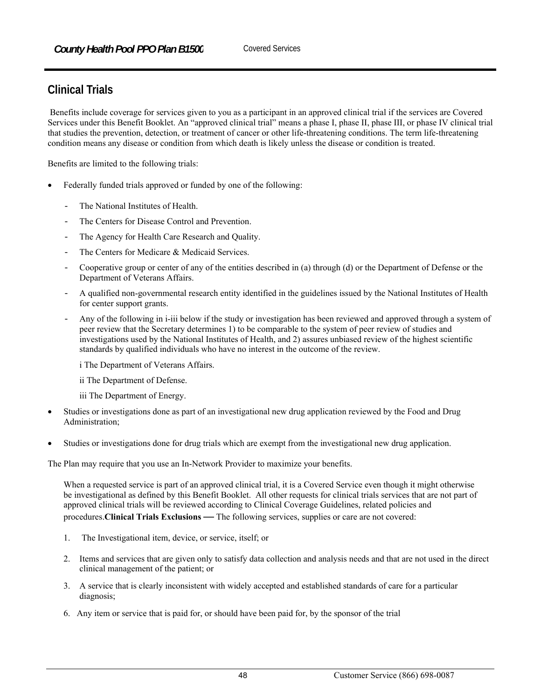# **Clinical Trials**

 Benefits include coverage for services given to you as a participant in an approved clinical trial if the services are Covered Services under this Benefit Booklet. An "approved clinical trial" means a phase I, phase II, phase III, or phase IV clinical trial that studies the prevention, detection, or treatment of cancer or other life-threatening conditions. The term life-threatening condition means any disease or condition from which death is likely unless the disease or condition is treated.

Benefits are limited to the following trials:

- Federally funded trials approved or funded by one of the following:
	- The National Institutes of Health.
	- The Centers for Disease Control and Prevention.
	- The Agency for Health Care Research and Quality.
	- The Centers for Medicare & Medicaid Services.
	- Cooperative group or center of any of the entities described in (a) through (d) or the Department of Defense or the Department of Veterans Affairs.
	- A qualified non-governmental research entity identified in the guidelines issued by the National Institutes of Health for center support grants.
	- Any of the following in i-iii below if the study or investigation has been reviewed and approved through a system of peer review that the Secretary determines 1) to be comparable to the system of peer review of studies and investigations used by the National Institutes of Health, and 2) assures unbiased review of the highest scientific standards by qualified individuals who have no interest in the outcome of the review.
		- i The Department of Veterans Affairs.
		- ii The Department of Defense.
		- iii The Department of Energy.
- Studies or investigations done as part of an investigational new drug application reviewed by the Food and Drug Administration;
- Studies or investigations done for drug trials which are exempt from the investigational new drug application.

The Plan may require that you use an In-Network Provider to maximize your benefits.

When a requested service is part of an approved clinical trial, it is a Covered Service even though it might otherwise be investigational as defined by this Benefit Booklet. All other requests for clinical trials services that are not part of approved clinical trials will be reviewed according to Clinical Coverage Guidelines, related policies and procedures.**Clinical Trials Exclusions** *—* The following services, supplies or care are not covered:

- 1. The Investigational item, device, or service, itself; or
- 2. Items and services that are given only to satisfy data collection and analysis needs and that are not used in the direct clinical management of the patient; or
- 3. A service that is clearly inconsistent with widely accepted and established standards of care for a particular diagnosis;
- 6. Any item or service that is paid for, or should have been paid for, by the sponsor of the trial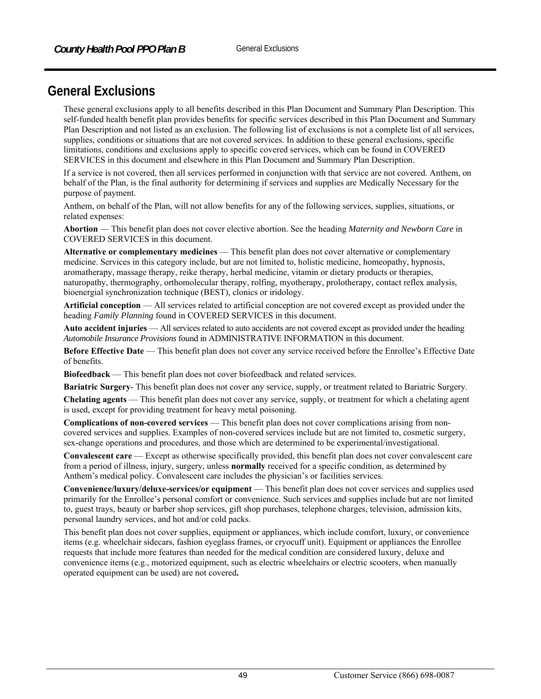# **General Exclusions**

These general exclusions apply to all benefits described in this Plan Document and Summary Plan Description. This self-funded health benefit plan provides benefits for specific services described in this Plan Document and Summary Plan Description and not listed as an exclusion. The following list of exclusions is not a complete list of all services, supplies, conditions or situations that are not covered services. In addition to these general exclusions, specific limitations, conditions and exclusions apply to specific covered services, which can be found in COVERED SERVICES in this document and elsewhere in this Plan Document and Summary Plan Description.

If a service is not covered, then all services performed in conjunction with that service are not covered. Anthem, on behalf of the Plan, is the final authority for determining if services and supplies are Medically Necessary for the purpose of payment.

Anthem, on behalf of the Plan, will not allow benefits for any of the following services, supplies, situations, or related expenses:

**Abortion** — This benefit plan does not cover elective abortion. See the heading *Maternity and Newborn Care* in COVERED SERVICES in this document.

**Alternative or complementary medicines** — This benefit plan does not cover alternative or complementary medicine. Services in this category include, but are not limited to, holistic medicine, homeopathy, hypnosis, aromatherapy, massage therapy, reike therapy, herbal medicine, vitamin or dietary products or therapies, naturopathy, thermography, orthomolecular therapy, rolfing, myotherapy, prolotherapy, contact reflex analysis, bioenergial synchronization technique (BEST), clonics or iridology.

**Artificial conception** — All services related to artificial conception are not covered except as provided under the heading *Family Planning* found in COVERED SERVICES in this document.

**Auto accident injuries** — All services related to auto accidents are not covered except as provided under the heading *Automobile Insurance Provisions* found in ADMINISTRATIVE INFORMATION in this document.

**Before Effective Date** — This benefit plan does not cover any service received before the Enrollee's Effective Date of benefits.

**Biofeedback** — This benefit plan does not cover biofeedback and related services.

**Bariatric Surgery**- This benefit plan does not cover any service, supply, or treatment related to Bariatric Surgery.

**Chelating agents** — This benefit plan does not cover any service, supply, or treatment for which a chelating agent is used, except for providing treatment for heavy metal poisoning.

**Complications of non-covered services** — This benefit plan does not cover complications arising from noncovered services and supplies. Examples of non-covered services include but are not limited to, cosmetic surgery, sex-change operations and procedures, and those which are determined to be experimental/investigational.

**Convalescent care** — Except as otherwise specifically provided, this benefit plan does not cover convalescent care from a period of illness, injury, surgery, unless **normally** received for a specific condition, as determined by Anthem's medical policy. Convalescent care includes the physician's or facilities services.

**Convenience/luxury/deluxe-services/or equipment** — This benefit plan does not cover services and supplies used primarily for the Enrollee's personal comfort or convenience. Such services and supplies include but are not limited to, guest trays, beauty or barber shop services, gift shop purchases, telephone charges, television, admission kits, personal laundry services, and hot and/or cold packs.

This benefit plan does not cover supplies, equipment or appliances, which include comfort, luxury, or convenience items (e.g. wheelchair sidecars, fashion eyeglass frames, or cryocuff unit). Equipment or appliances the Enrollee requests that include more features than needed for the medical condition are considered luxury, deluxe and convenience items (e.g., motorized equipment, such as electric wheelchairs or electric scooters, when manually operated equipment can be used) are not covered**.**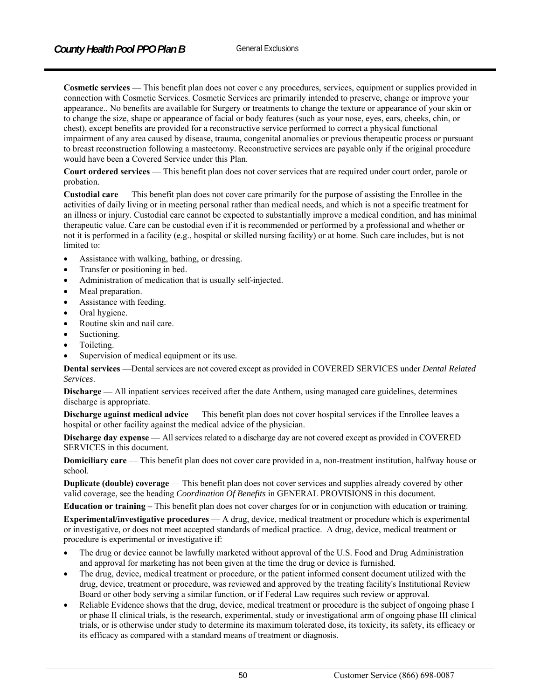**Cosmetic services** — This benefit plan does not cover c any procedures, services, equipment or supplies provided in connection with Cosmetic Services. Cosmetic Services are primarily intended to preserve, change or improve your appearance.. No benefits are available for Surgery or treatments to change the texture or appearance of your skin or to change the size, shape or appearance of facial or body features (such as your nose, eyes, ears, cheeks, chin, or chest), except benefits are provided for a reconstructive service performed to correct a physical functional impairment of any area caused by disease, trauma, congenital anomalies or previous therapeutic process or pursuant to breast reconstruction following a mastectomy. Reconstructive services are payable only if the original procedure would have been a Covered Service under this Plan.

**Court ordered services** — This benefit plan does not cover services that are required under court order, parole or probation.

**Custodial care** — This benefit plan does not cover care primarily for the purpose of assisting the Enrollee in the activities of daily living or in meeting personal rather than medical needs, and which is not a specific treatment for an illness or injury. Custodial care cannot be expected to substantially improve a medical condition, and has minimal therapeutic value. Care can be custodial even if it is recommended or performed by a professional and whether or not it is performed in a facility (e.g., hospital or skilled nursing facility) or at home. Such care includes, but is not limited to:

- Assistance with walking, bathing, or dressing.
- Transfer or positioning in bed.
- Administration of medication that is usually self-injected.
- Meal preparation.
- Assistance with feeding.
- Oral hygiene.
- Routine skin and nail care.
- Suctioning.
- Toileting.
- Supervision of medical equipment or its use.

**Dental services** —Dental services are not covered except as provided in COVERED SERVICES under *Dental Related Services*.

**Discharge —** All inpatient services received after the date Anthem, using managed care guidelines, determines discharge is appropriate.

**Discharge against medical advice** — This benefit plan does not cover hospital services if the Enrollee leaves a hospital or other facility against the medical advice of the physician.

**Discharge day expense** — All services related to a discharge day are not covered except as provided in COVERED SERVICES in this document.

**Domiciliary care** — This benefit plan does not cover care provided in a, non-treatment institution, halfway house or school.

**Duplicate (double) coverage** — This benefit plan does not cover services and supplies already covered by other valid coverage, see the heading *Coordination Of Benefits* in GENERAL PROVISIONS in this document.

**Education or training –** This benefit plan does not cover charges for or in conjunction with education or training.

**Experimental/investigative procedures** — A drug, device, medical treatment or procedure which is experimental or investigative, or does not meet accepted standards of medical practice. A drug, device, medical treatment or procedure is experimental or investigative if:

- The drug or device cannot be lawfully marketed without approval of the U.S. Food and Drug Administration and approval for marketing has not been given at the time the drug or device is furnished.
- The drug, device, medical treatment or procedure, or the patient informed consent document utilized with the drug, device, treatment or procedure, was reviewed and approved by the treating facility's Institutional Review Board or other body serving a similar function, or if Federal Law requires such review or approval.
- Reliable Evidence shows that the drug, device, medical treatment or procedure is the subject of ongoing phase I or phase II clinical trials, is the research, experimental, study or investigational arm of ongoing phase III clinical trials, or is otherwise under study to determine its maximum tolerated dose, its toxicity, its safety, its efficacy or its efficacy as compared with a standard means of treatment or diagnosis.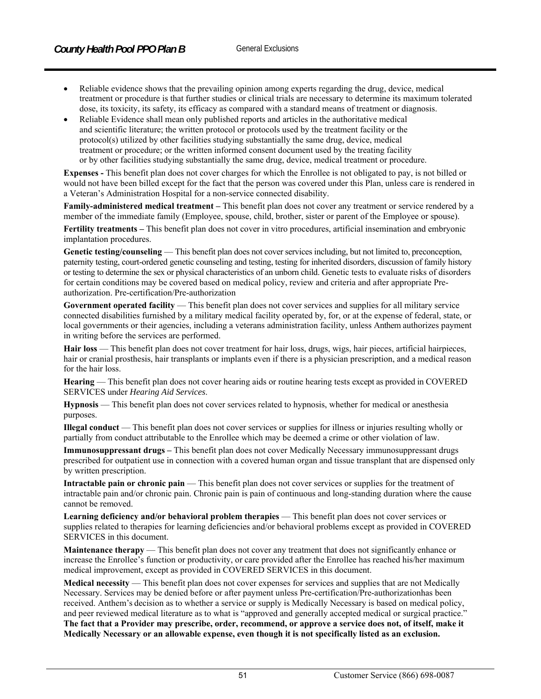- Reliable evidence shows that the prevailing opinion among experts regarding the drug, device, medical treatment or procedure is that further studies or clinical trials are necessary to determine its maximum tolerated dose, its toxicity, its safety, its efficacy as compared with a standard means of treatment or diagnosis.
- Reliable Evidence shall mean only published reports and articles in the authoritative medical and scientific literature; the written protocol or protocols used by the treatment facility or the protocol(s) utilized by other facilities studying substantially the same drug, device, medical treatment or procedure; or the written informed consent document used by the treating facility or by other facilities studying substantially the same drug, device, medical treatment or procedure.

**Expenses -** This benefit plan does not cover charges for which the Enrollee is not obligated to pay, is not billed or would not have been billed except for the fact that the person was covered under this Plan, unless care is rendered in a Veteran's Administration Hospital for a non-service connected disability.

**Family-administered medical treatment –** This benefit plan does not cover any treatment or service rendered by a member of the immediate family (Employee, spouse, child, brother, sister or parent of the Employee or spouse).

**Fertility treatments –** This benefit plan does not cover in vitro procedures, artificial insemination and embryonic implantation procedures.

Genetic testing/counseling — This benefit plan does not cover services including, but not limited to, preconception, paternity testing, court-ordered genetic counseling and testing, testing for inherited disorders, discussion of family history or testing to determine the sex or physical characteristics of an unborn child. Genetic tests to evaluate risks of disorders for certain conditions may be covered based on medical policy, review and criteria and after appropriate Preauthorization. Pre-certification/Pre-authorization

Government operated facility — This benefit plan does not cover services and supplies for all military service connected disabilities furnished by a military medical facility operated by, for, or at the expense of federal, state, or local governments or their agencies, including a veterans administration facility, unless Anthem authorizes payment in writing before the services are performed.

**Hair loss** — This benefit plan does not cover treatment for hair loss, drugs, wigs, hair pieces, artificial hairpieces, hair or cranial prosthesis, hair transplants or implants even if there is a physician prescription, and a medical reason for the hair loss.

**Hearing** — This benefit plan does not cover hearing aids or routine hearing tests except as provided in COVERED SERVICES under *Hearing Aid Services*.

**Hypnosis** — This benefit plan does not cover services related to hypnosis, whether for medical or anesthesia purposes.

**Illegal conduct** — This benefit plan does not cover services or supplies for illness or injuries resulting wholly or partially from conduct attributable to the Enrollee which may be deemed a crime or other violation of law.

**Immunosuppressant drugs –** This benefit plan does not cover Medically Necessary immunosuppressant drugs prescribed for outpatient use in connection with a covered human organ and tissue transplant that are dispensed only by written prescription.

**Intractable pain or chronic pain** — This benefit plan does not cover services or supplies for the treatment of intractable pain and/or chronic pain. Chronic pain is pain of continuous and long-standing duration where the cause cannot be removed.

**Learning deficiency and/or behavioral problem therapies** — This benefit plan does not cover services or supplies related to therapies for learning deficiencies and/or behavioral problems except as provided in COVERED SERVICES in this document.

**Maintenance therapy** — This benefit plan does not cover any treatment that does not significantly enhance or increase the Enrollee's function or productivity, or care provided after the Enrollee has reached his/her maximum medical improvement, except as provided in COVERED SERVICES in this document.

**Medical necessity** — This benefit plan does not cover expenses for services and supplies that are not Medically Necessary. Services may be denied before or after payment unless Pre-certification/Pre-authorizationhas been received. Anthem's decision as to whether a service or supply is Medically Necessary is based on medical policy, and peer reviewed medical literature as to what is "approved and generally accepted medical or surgical practice." **The fact that a Provider may prescribe, order, recommend, or approve a service does not, of itself, make it Medically Necessary or an allowable expense, even though it is not specifically listed as an exclusion.**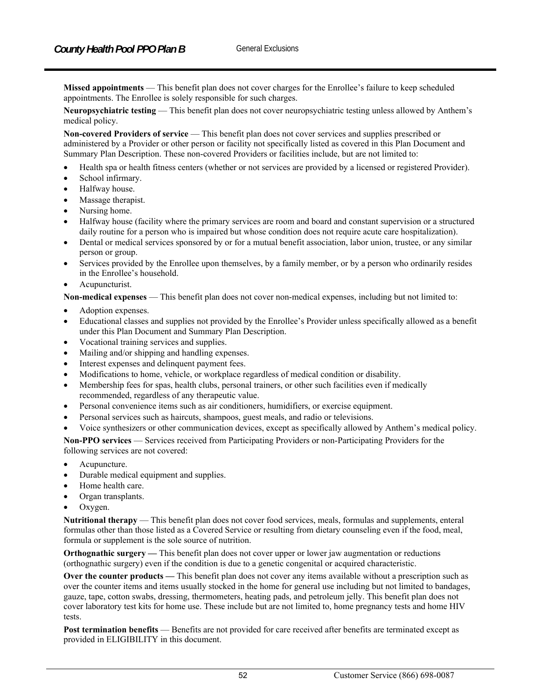**Missed appointments** — This benefit plan does not cover charges for the Enrollee's failure to keep scheduled appointments. The Enrollee is solely responsible for such charges.

**Neuropsychiatric testing** — This benefit plan does not cover neuropsychiatric testing unless allowed by Anthem's medical policy.

**Non-covered Providers of service** — This benefit plan does not cover services and supplies prescribed or administered by a Provider or other person or facility not specifically listed as covered in this Plan Document and Summary Plan Description. These non-covered Providers or facilities include, but are not limited to:

- Health spa or health fitness centers (whether or not services are provided by a licensed or registered Provider).
- School infirmary.
- Halfway house.
- Massage therapist.
- Nursing home.
- Halfway house (facility where the primary services are room and board and constant supervision or a structured daily routine for a person who is impaired but whose condition does not require acute care hospitalization).
- Dental or medical services sponsored by or for a mutual benefit association, labor union, trustee, or any similar person or group.
- Services provided by the Enrollee upon themselves, by a family member, or by a person who ordinarily resides in the Enrollee's household.
- Acupuncturist.

**Non-medical expenses** — This benefit plan does not cover non-medical expenses, including but not limited to:

- Adoption expenses.
- Educational classes and supplies not provided by the Enrollee's Provider unless specifically allowed as a benefit under this Plan Document and Summary Plan Description.
- Vocational training services and supplies.
- Mailing and/or shipping and handling expenses.
- Interest expenses and delinquent payment fees.
- Modifications to home, vehicle, or workplace regardless of medical condition or disability.
- Membership fees for spas, health clubs, personal trainers, or other such facilities even if medically recommended, regardless of any therapeutic value.
- Personal convenience items such as air conditioners, humidifiers, or exercise equipment.
- Personal services such as haircuts, shampoos, guest meals, and radio or televisions.
- Voice synthesizers or other communication devices, except as specifically allowed by Anthem's medical policy.

**Non-PPO services** — Services received from Participating Providers or non-Participating Providers for the following services are not covered:

- Acupuncture.
- Durable medical equipment and supplies.
- Home health care.
- Organ transplants.
- Oxygen.

**Nutritional therapy** — This benefit plan does not cover food services, meals, formulas and supplements, enteral formulas other than those listed as a Covered Service or resulting from dietary counseling even if the food, meal, formula or supplement is the sole source of nutrition.

**Orthognathic surgery —** This benefit plan does not cover upper or lower jaw augmentation or reductions (orthognathic surgery) even if the condition is due to a genetic congenital or acquired characteristic.

**Over the counter products —** This benefit plan does not cover any items available without a prescription such as over the counter items and items usually stocked in the home for general use including but not limited to bandages, gauze, tape, cotton swabs, dressing, thermometers, heating pads, and petroleum jelly. This benefit plan does not cover laboratory test kits for home use. These include but are not limited to, home pregnancy tests and home HIV tests.

**Post termination benefits** — Benefits are not provided for care received after benefits are terminated except as provided in ELIGIBILITY in this document.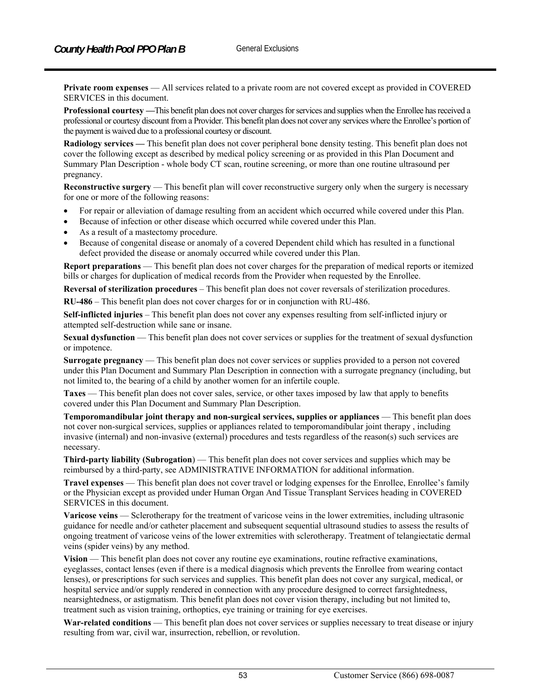**Private room expenses** — All services related to a private room are not covered except as provided in COVERED SERVICES in this document.

**Professional courtesy —**This benefit plan does not cover charges for services and supplies when the Enrollee has received a professional or courtesy discount from a Provider. This benefit plan does not cover any services where the Enrollee's portion of the payment is waived due to a professional courtesy or discount.

**Radiology services —** This benefit plan does not cover peripheral bone density testing. This benefit plan does not cover the following except as described by medical policy screening or as provided in this Plan Document and Summary Plan Description - whole body CT scan, routine screening, or more than one routine ultrasound per pregnancy.

**Reconstructive surgery** — This benefit plan will cover reconstructive surgery only when the surgery is necessary for one or more of the following reasons:

- For repair or alleviation of damage resulting from an accident which occurred while covered under this Plan.
- Because of infection or other disease which occurred while covered under this Plan.
- As a result of a mastectomy procedure.
- Because of congenital disease or anomaly of a covered Dependent child which has resulted in a functional defect provided the disease or anomaly occurred while covered under this Plan.

**Report preparations** — This benefit plan does not cover charges for the preparation of medical reports or itemized bills or charges for duplication of medical records from the Provider when requested by the Enrollee.

**Reversal of sterilization procedures** – This benefit plan does not cover reversals of sterilization procedures.

**RU-486** – This benefit plan does not cover charges for or in conjunction with RU-486.

**Self-inflicted injuries** – This benefit plan does not cover any expenses resulting from self-inflicted injury or attempted self-destruction while sane or insane.

**Sexual dysfunction** — This benefit plan does not cover services or supplies for the treatment of sexual dysfunction or impotence.

**Surrogate pregnancy** — This benefit plan does not cover services or supplies provided to a person not covered under this Plan Document and Summary Plan Description in connection with a surrogate pregnancy (including, but not limited to, the bearing of a child by another women for an infertile couple.

**Taxes** — This benefit plan does not cover sales, service, or other taxes imposed by law that apply to benefits covered under this Plan Document and Summary Plan Description.

**Temporomandibular joint therapy and non-surgical services, supplies or appliances** — This benefit plan does not cover non-surgical services, supplies or appliances related to temporomandibular joint therapy , including invasive (internal) and non-invasive (external) procedures and tests regardless of the reason(s) such services are necessary.

**Third-party liability (Subrogation**) — This benefit plan does not cover services and supplies which may be reimbursed by a third-party, see ADMINISTRATIVE INFORMATION for additional information.

**Travel expenses** — This benefit plan does not cover travel or lodging expenses for the Enrollee, Enrollee's family or the Physician except as provided under Human Organ And Tissue Transplant Services heading in COVERED SERVICES in this document.

**Varicose veins** — Sclerotherapy for the treatment of varicose veins in the lower extremities, including ultrasonic guidance for needle and/or catheter placement and subsequent sequential ultrasound studies to assess the results of ongoing treatment of varicose veins of the lower extremities with sclerotherapy. Treatment of telangiectatic dermal veins (spider veins) by any method.

**Vision** — This benefit plan does not cover any routine eye examinations, routine refractive examinations, eyeglasses, contact lenses (even if there is a medical diagnosis which prevents the Enrollee from wearing contact lenses), or prescriptions for such services and supplies. This benefit plan does not cover any surgical, medical, or hospital service and/or supply rendered in connection with any procedure designed to correct farsightedness, nearsightedness, or astigmatism. This benefit plan does not cover vision therapy, including but not limited to, treatment such as vision training, orthoptics, eye training or training for eye exercises.

**War-related conditions** — This benefit plan does not cover services or supplies necessary to treat disease or injury resulting from war, civil war, insurrection, rebellion, or revolution.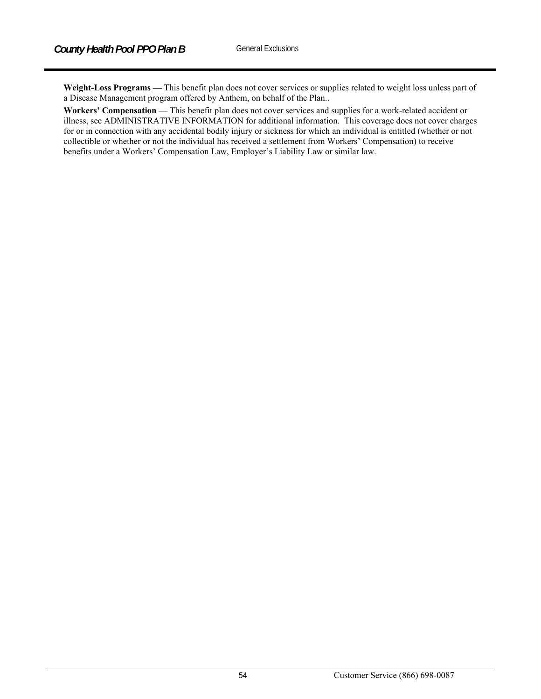**Weight-Loss Programs —** This benefit plan does not cover services or supplies related to weight loss unless part of a Disease Management program offered by Anthem, on behalf of the Plan..

**Workers' Compensation —** This benefit plan does not cover services and supplies for a work-related accident or illness, see ADMINISTRATIVE INFORMATION for additional information. This coverage does not cover charges for or in connection with any accidental bodily injury or sickness for which an individual is entitled (whether or not collectible or whether or not the individual has received a settlement from Workers' Compensation) to receive benefits under a Workers' Compensation Law, Employer's Liability Law or similar law.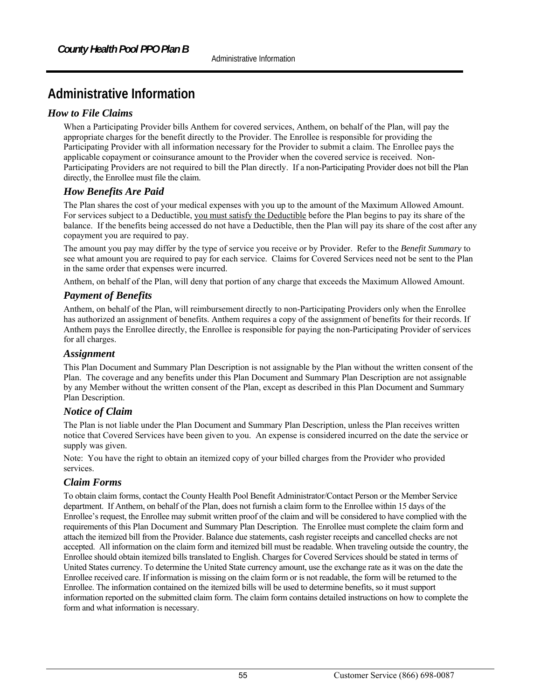# **Administrative Information**

# *How to File Claims*

When a Participating Provider bills Anthem for covered services, Anthem, on behalf of the Plan, will pay the appropriate charges for the benefit directly to the Provider. The Enrollee is responsible for providing the Participating Provider with all information necessary for the Provider to submit a claim. The Enrollee pays the applicable copayment or coinsurance amount to the Provider when the covered service is received. Non-Participating Providers are not required to bill the Plan directly. If a non-Participating Provider does not bill the Plan directly, the Enrollee must file the claim.

# *How Benefits Are Paid*

The Plan shares the cost of your medical expenses with you up to the amount of the Maximum Allowed Amount. For services subject to a Deductible, you must satisfy the Deductible before the Plan begins to pay its share of the balance. If the benefits being accessed do not have a Deductible, then the Plan will pay its share of the cost after any copayment you are required to pay.

The amount you pay may differ by the type of service you receive or by Provider. Refer to the *Benefit Summary* to see what amount you are required to pay for each service. Claims for Covered Services need not be sent to the Plan in the same order that expenses were incurred.

Anthem, on behalf of the Plan, will deny that portion of any charge that exceeds the Maximum Allowed Amount.

# *Payment of Benefits*

Anthem, on behalf of the Plan, will reimbursement directly to non-Participating Providers only when the Enrollee has authorized an assignment of benefits. Anthem requires a copy of the assignment of benefits for their records. If Anthem pays the Enrollee directly, the Enrollee is responsible for paying the non-Participating Provider of services for all charges.

## *Assignment*

This Plan Document and Summary Plan Description is not assignable by the Plan without the written consent of the Plan. The coverage and any benefits under this Plan Document and Summary Plan Description are not assignable by any Member without the written consent of the Plan, except as described in this Plan Document and Summary Plan Description.

# *Notice of Claim*

The Plan is not liable under the Plan Document and Summary Plan Description, unless the Plan receives written notice that Covered Services have been given to you. An expense is considered incurred on the date the service or supply was given.

Note: You have the right to obtain an itemized copy of your billed charges from the Provider who provided services.

# *Claim Forms*

To obtain claim forms, contact the County Health Pool Benefit Administrator/Contact Person or the Member Service department. If Anthem, on behalf of the Plan, does not furnish a claim form to the Enrollee within 15 days of the Enrollee's request, the Enrollee may submit written proof of the claim and will be considered to have complied with the requirements of this Plan Document and Summary Plan Description.The Enrollee must complete the claim form and attach the itemized bill from the Provider. Balance due statements, cash register receipts and cancelled checks are not accepted. All information on the claim form and itemized bill must be readable. When traveling outside the country, the Enrollee should obtain itemized bills translated to English. Charges for Covered Services should be stated in terms of United States currency. To determine the United State currency amount, use the exchange rate as it was on the date the Enrollee received care. If information is missing on the claim form or is not readable, the form will be returned to the Enrollee. The information contained on the itemized bills will be used to determine benefits, so it must support information reported on the submitted claim form. The claim form contains detailed instructions on how to complete the form and what information is necessary.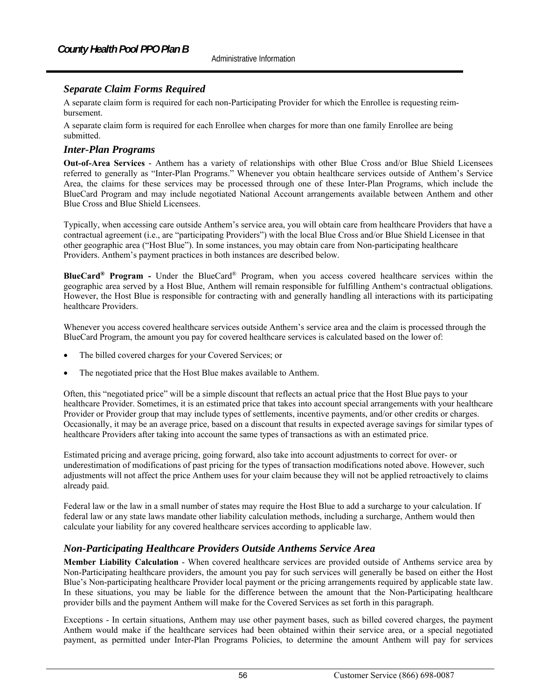# *Separate Claim Forms Required*

A separate claim form is required for each non-Participating Provider for which the Enrollee is requesting reimbursement.

A separate claim form is required for each Enrollee when charges for more than one family Enrollee are being submitted.

### *Inter-Plan Programs*

**Out-of-Area Services** *-* Anthem has a variety of relationships with other Blue Cross and/or Blue Shield Licensees referred to generally as "Inter-Plan Programs." Whenever you obtain healthcare services outside of Anthem's Service Area, the claims for these services may be processed through one of these Inter-Plan Programs, which include the BlueCard Program and may include negotiated National Account arrangements available between Anthem and other Blue Cross and Blue Shield Licensees.

Typically, when accessing care outside Anthem's service area, you will obtain care from healthcare Providers that have a contractual agreement (i.e., are "participating Providers") with the local Blue Cross and/or Blue Shield Licensee in that other geographic area ("Host Blue"). In some instances, you may obtain care from Non-participating healthcare Providers. Anthem's payment practices in both instances are described below.

**BlueCard® Program -** Under the BlueCard® Program, when you access covered healthcare services within the geographic area served by a Host Blue, Anthem will remain responsible for fulfilling Anthem's contractual obligations. However, the Host Blue is responsible for contracting with and generally handling all interactions with its participating healthcare Providers.

Whenever you access covered healthcare services outside Anthem's service area and the claim is processed through the BlueCard Program, the amount you pay for covered healthcare services is calculated based on the lower of:

- The billed covered charges for your Covered Services; or
- The negotiated price that the Host Blue makes available to Anthem.

Often, this "negotiated price" will be a simple discount that reflects an actual price that the Host Blue pays to your healthcare Provider. Sometimes, it is an estimated price that takes into account special arrangements with your healthcare Provider or Provider group that may include types of settlements, incentive payments, and/or other credits or charges. Occasionally, it may be an average price, based on a discount that results in expected average savings for similar types of healthcare Providers after taking into account the same types of transactions as with an estimated price.

Estimated pricing and average pricing, going forward, also take into account adjustments to correct for over- or underestimation of modifications of past pricing for the types of transaction modifications noted above. However, such adjustments will not affect the price Anthem uses for your claim because they will not be applied retroactively to claims already paid.

Federal law or the law in a small number of states may require the Host Blue to add a surcharge to your calculation. If federal law or any state laws mandate other liability calculation methods, including a surcharge, Anthem would then calculate your liability for any covered healthcare services according to applicable law.

## *Non-Participating Healthcare Providers Outside Anthems Service Area*

**Member Liability Calculation** - When covered healthcare services are provided outside of Anthems service area by Non-Participating healthcare providers, the amount you pay for such services will generally be based on either the Host Blue's Non-participating healthcare Provider local payment or the pricing arrangements required by applicable state law. In these situations, you may be liable for the difference between the amount that the Non-Participating healthcare provider bills and the payment Anthem will make for the Covered Services as set forth in this paragraph.

Exceptions - In certain situations, Anthem may use other payment bases, such as billed covered charges, the payment Anthem would make if the healthcare services had been obtained within their service area, or a special negotiated payment, as permitted under Inter-Plan Programs Policies, to determine the amount Anthem will pay for services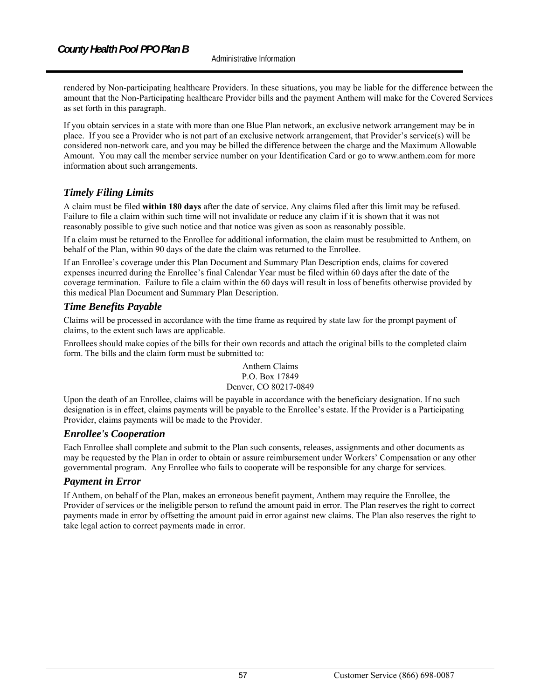rendered by Non-participating healthcare Providers. In these situations, you may be liable for the difference between the amount that the Non-Participating healthcare Provider bills and the payment Anthem will make for the Covered Services as set forth in this paragraph.

If you obtain services in a state with more than one Blue Plan network, an exclusive network arrangement may be in place. If you see a Provider who is not part of an exclusive network arrangement, that Provider's service(s) will be considered non-network care, and you may be billed the difference between the charge and the Maximum Allowable Amount. You may call the member service number on your Identification Card or go to www.anthem.com for more information about such arrangements.

# *Timely Filing Limits*

A claim must be filed **within 180 days** after the date of service. Any claims filed after this limit may be refused. Failure to file a claim within such time will not invalidate or reduce any claim if it is shown that it was not reasonably possible to give such notice and that notice was given as soon as reasonably possible.

If a claim must be returned to the Enrollee for additional information, the claim must be resubmitted to Anthem, on behalf of the Plan, within 90 days of the date the claim was returned to the Enrollee.

If an Enrollee's coverage under this Plan Document and Summary Plan Description ends, claims for covered expenses incurred during the Enrollee's final Calendar Year must be filed within 60 days after the date of the coverage termination. Failure to file a claim within the 60 days will result in loss of benefits otherwise provided by this medical Plan Document and Summary Plan Description.

# *Time Benefits Payable*

Claims will be processed in accordance with the time frame as required by state law for the prompt payment of claims, to the extent such laws are applicable.

Enrollees should make copies of the bills for their own records and attach the original bills to the completed claim form. The bills and the claim form must be submitted to:

#### Anthem Claims P.O. Box 17849 Denver, CO 80217-0849

Upon the death of an Enrollee, claims will be payable in accordance with the beneficiary designation. If no such designation is in effect, claims payments will be payable to the Enrollee's estate. If the Provider is a Participating Provider, claims payments will be made to the Provider.

## *Enrollee's Cooperation*

Each Enrollee shall complete and submit to the Plan such consents, releases, assignments and other documents as may be requested by the Plan in order to obtain or assure reimbursement under Workers' Compensation or any other governmental program. Any Enrollee who fails to cooperate will be responsible for any charge for services.

## *Payment in Error*

If Anthem, on behalf of the Plan, makes an erroneous benefit payment, Anthem may require the Enrollee, the Provider of services or the ineligible person to refund the amount paid in error. The Plan reserves the right to correct payments made in error by offsetting the amount paid in error against new claims. The Plan also reserves the right to take legal action to correct payments made in error.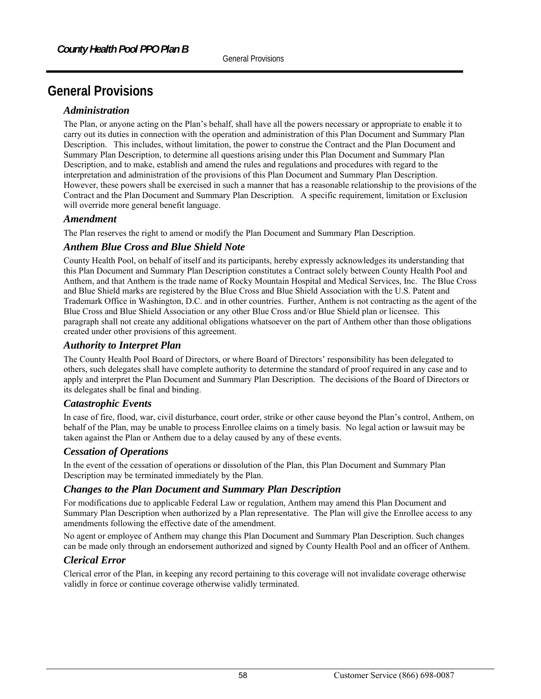# **General Provisions**

## *Administration*

The Plan, or anyone acting on the Plan's behalf, shall have all the powers necessary or appropriate to enable it to carry out its duties in connection with the operation and administration of this Plan Document and Summary Plan Description. This includes, without limitation, the power to construe the Contract and the Plan Document and Summary Plan Description, to determine all questions arising under this Plan Document and Summary Plan Description, and to make, establish and amend the rules and regulations and procedures with regard to the interpretation and administration of the provisions of this Plan Document and Summary Plan Description. However, these powers shall be exercised in such a manner that has a reasonable relationship to the provisions of the Contract and the Plan Document and Summary Plan Description. A specific requirement, limitation or Exclusion will override more general benefit language.

#### *Amendment*

The Plan reserves the right to amend or modify the Plan Document and Summary Plan Description.

## *Anthem Blue Cross and Blue Shield Note*

County Health Pool, on behalf of itself and its participants, hereby expressly acknowledges its understanding that this Plan Document and Summary Plan Description constitutes a Contract solely between County Health Pool and Anthem, and that Anthem is the trade name of Rocky Mountain Hospital and Medical Services, Inc. The Blue Cross and Blue Shield marks are registered by the Blue Cross and Blue Shield Association with the U.S. Patent and Trademark Office in Washington, D.C. and in other countries. Further, Anthem is not contracting as the agent of the Blue Cross and Blue Shield Association or any other Blue Cross and/or Blue Shield plan or licensee. This paragraph shall not create any additional obligations whatsoever on the part of Anthem other than those obligations created under other provisions of this agreement.

# *Authority to Interpret Plan*

The County Health Pool Board of Directors, or where Board of Directors' responsibility has been delegated to others, such delegates shall have complete authority to determine the standard of proof required in any case and to apply and interpret the Plan Document and Summary Plan Description. The decisions of the Board of Directors or its delegates shall be final and binding.

## *Catastrophic Events*

In case of fire, flood, war, civil disturbance, court order, strike or other cause beyond the Plan's control, Anthem, on behalf of the Plan, may be unable to process Enrollee claims on a timely basis. No legal action or lawsuit may be taken against the Plan or Anthem due to a delay caused by any of these events.

#### *Cessation of Operations*

In the event of the cessation of operations or dissolution of the Plan, this Plan Document and Summary Plan Description may be terminated immediately by the Plan.

## *Changes to the Plan Document and Summary Plan Description*

For modifications due to applicable Federal Law or regulation, Anthem may amend this Plan Document and Summary Plan Description when authorized by a Plan representative. The Plan will give the Enrollee access to any amendments following the effective date of the amendment.

No agent or employee of Anthem may change this Plan Document and Summary Plan Description. Such changes can be made only through an endorsement authorized and signed by County Health Pool and an officer of Anthem.

## *Clerical Error*

Clerical error of the Plan, in keeping any record pertaining to this coverage will not invalidate coverage otherwise validly in force or continue coverage otherwise validly terminated.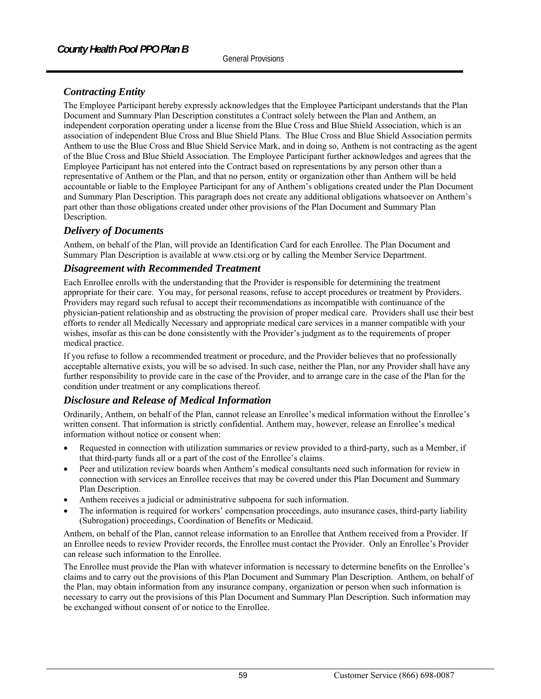# *Contracting Entity*

The Employee Participant hereby expressly acknowledges that the Employee Participant understands that the Plan Document and Summary Plan Description constitutes a Contract solely between the Plan and Anthem, an independent corporation operating under a license from the Blue Cross and Blue Shield Association, which is an association of independent Blue Cross and Blue Shield Plans. The Blue Cross and Blue Shield Association permits Anthem to use the Blue Cross and Blue Shield Service Mark, and in doing so, Anthem is not contracting as the agent of the Blue Cross and Blue Shield Association. The Employee Participant further acknowledges and agrees that the Employee Participant has not entered into the Contract based on representations by any person other than a representative of Anthem or the Plan, and that no person, entity or organization other than Anthem will be held accountable or liable to the Employee Participant for any of Anthem's obligations created under the Plan Document and Summary Plan Description. This paragraph does not create any additional obligations whatsoever on Anthem's part other than those obligations created under other provisions of the Plan Document and Summary Plan Description.

## *Delivery of Documents*

Anthem, on behalf of the Plan, will provide an Identification Card for each Enrollee. The Plan Document and Summary Plan Description is available at www.ctsi.org or by calling the Member Service Department.

#### *Disagreement with Recommended Treatment*

Each Enrollee enrolls with the understanding that the Provider is responsible for determining the treatment appropriate for their care. You may, for personal reasons, refuse to accept procedures or treatment by Providers. Providers may regard such refusal to accept their recommendations as incompatible with continuance of the physician-patient relationship and as obstructing the provision of proper medical care. Providers shall use their best efforts to render all Medically Necessary and appropriate medical care services in a manner compatible with your wishes, insofar as this can be done consistently with the Provider's judgment as to the requirements of proper medical practice.

If you refuse to follow a recommended treatment or procedure, and the Provider believes that no professionally acceptable alternative exists, you will be so advised. In such case, neither the Plan, nor any Provider shall have any further responsibility to provide care in the case of the Provider, and to arrange care in the case of the Plan for the condition under treatment or any complications thereof.

## *Disclosure and Release of Medical Information*

Ordinarily, Anthem, on behalf of the Plan, cannot release an Enrollee's medical information without the Enrollee's written consent. That information is strictly confidential. Anthem may, however, release an Enrollee's medical information without notice or consent when:

- Requested in connection with utilization summaries or review provided to a third-party, such as a Member, if that third-party funds all or a part of the cost of the Enrollee's claims.
- Peer and utilization review boards when Anthem's medical consultants need such information for review in connection with services an Enrollee receives that may be covered under this Plan Document and Summary Plan Description.
- Anthem receives a judicial or administrative subpoena for such information.
- The information is required for workers' compensation proceedings, auto insurance cases, third-party liability (Subrogation) proceedings, Coordination of Benefits or Medicaid.

Anthem, on behalf of the Plan, cannot release information to an Enrollee that Anthem received from a Provider. If an Enrollee needs to review Provider records, the Enrollee must contact the Provider. Only an Enrollee's Provider can release such information to the Enrollee.

The Enrollee must provide the Plan with whatever information is necessary to determine benefits on the Enrollee's claims and to carry out the provisions of this Plan Document and Summary Plan Description. Anthem, on behalf of the Plan, may obtain information from any insurance company, organization or person when such information is necessary to carry out the provisions of this Plan Document and Summary Plan Description. Such information may be exchanged without consent of or notice to the Enrollee.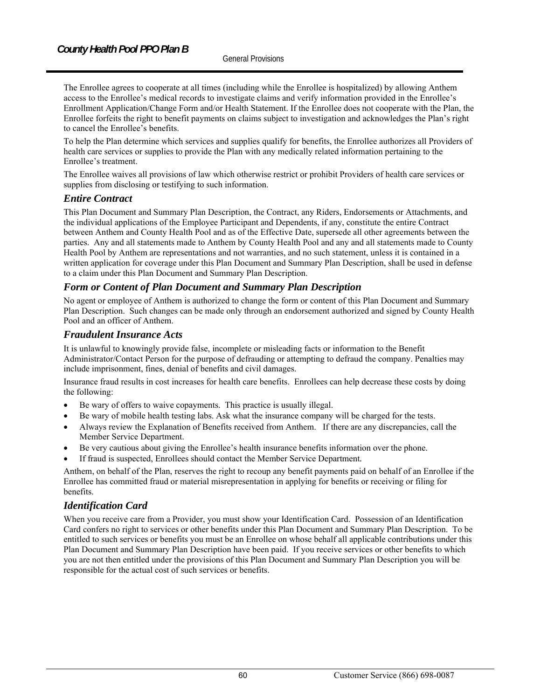The Enrollee agrees to cooperate at all times (including while the Enrollee is hospitalized) by allowing Anthem access to the Enrollee's medical records to investigate claims and verify information provided in the Enrollee's Enrollment Application/Change Form and/or Health Statement. If the Enrollee does not cooperate with the Plan, the Enrollee forfeits the right to benefit payments on claims subject to investigation and acknowledges the Plan's right to cancel the Enrollee's benefits.

To help the Plan determine which services and supplies qualify for benefits, the Enrollee authorizes all Providers of health care services or supplies to provide the Plan with any medically related information pertaining to the Enrollee's treatment.

The Enrollee waives all provisions of law which otherwise restrict or prohibit Providers of health care services or supplies from disclosing or testifying to such information.

#### *Entire Contract*

This Plan Document and Summary Plan Description, the Contract, any Riders, Endorsements or Attachments, and the individual applications of the Employee Participant and Dependents, if any, constitute the entire Contract between Anthem and County Health Pool and as of the Effective Date, supersede all other agreements between the parties. Any and all statements made to Anthem by County Health Pool and any and all statements made to County Health Pool by Anthem are representations and not warranties, and no such statement, unless it is contained in a written application for coverage under this Plan Document and Summary Plan Description, shall be used in defense to a claim under this Plan Document and Summary Plan Description.

## *Form or Content of Plan Document and Summary Plan Description*

No agent or employee of Anthem is authorized to change the form or content of this Plan Document and Summary Plan Description. Such changes can be made only through an endorsement authorized and signed by County Health Pool and an officer of Anthem.

#### *Fraudulent Insurance Acts*

It is unlawful to knowingly provide false, incomplete or misleading facts or information to the Benefit Administrator/Contact Person for the purpose of defrauding or attempting to defraud the company. Penalties may include imprisonment, fines, denial of benefits and civil damages.

Insurance fraud results in cost increases for health care benefits. Enrollees can help decrease these costs by doing the following:

- Be wary of offers to waive copayments. This practice is usually illegal.
- Be wary of mobile health testing labs. Ask what the insurance company will be charged for the tests.
- Always review the Explanation of Benefits received from Anthem. If there are any discrepancies, call the Member Service Department.
- Be very cautious about giving the Enrollee's health insurance benefits information over the phone.
- If fraud is suspected, Enrollees should contact the Member Service Department*.*

Anthem, on behalf of the Plan, reserves the right to recoup any benefit payments paid on behalf of an Enrollee if the Enrollee has committed fraud or material misrepresentation in applying for benefits or receiving or filing for benefits.

## *Identification Card*

When you receive care from a Provider, you must show your Identification Card. Possession of an Identification Card confers no right to services or other benefits under this Plan Document and Summary Plan Description. To be entitled to such services or benefits you must be an Enrollee on whose behalf all applicable contributions under this Plan Document and Summary Plan Description have been paid. If you receive services or other benefits to which you are not then entitled under the provisions of this Plan Document and Summary Plan Description you will be responsible for the actual cost of such services or benefits.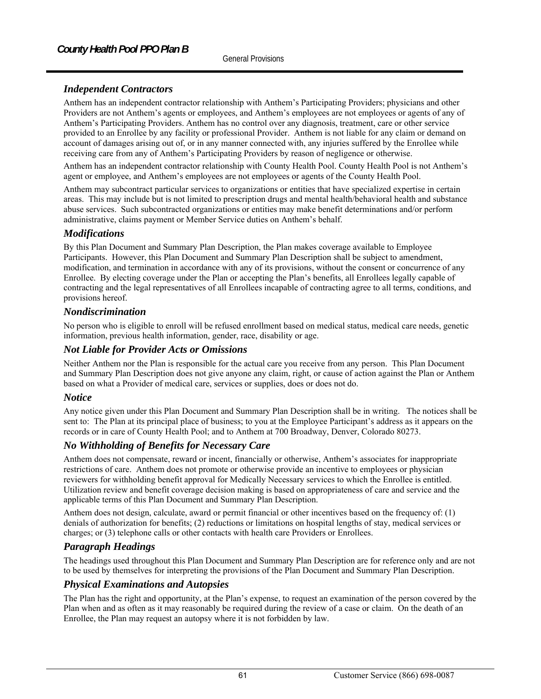# *Independent Contractors*

Anthem has an independent contractor relationship with Anthem's Participating Providers; physicians and other Providers are not Anthem's agents or employees, and Anthem's employees are not employees or agents of any of Anthem's Participating Providers. Anthem has no control over any diagnosis, treatment, care or other service provided to an Enrollee by any facility or professional Provider. Anthem is not liable for any claim or demand on account of damages arising out of, or in any manner connected with, any injuries suffered by the Enrollee while receiving care from any of Anthem's Participating Providers by reason of negligence or otherwise.

Anthem has an independent contractor relationship with County Health Pool. County Health Pool is not Anthem's agent or employee, and Anthem's employees are not employees or agents of the County Health Pool.

Anthem may subcontract particular services to organizations or entities that have specialized expertise in certain areas. This may include but is not limited to prescription drugs and mental health/behavioral health and substance abuse services. Such subcontracted organizations or entities may make benefit determinations and/or perform administrative, claims payment or Member Service duties on Anthem's behalf.

# *Modifications*

By this Plan Document and Summary Plan Description, the Plan makes coverage available to Employee Participants. However, this Plan Document and Summary Plan Description shall be subject to amendment, modification, and termination in accordance with any of its provisions, without the consent or concurrence of any Enrollee. By electing coverage under the Plan or accepting the Plan's benefits, all Enrollees legally capable of contracting and the legal representatives of all Enrollees incapable of contracting agree to all terms, conditions, and provisions hereof.

# *Nondiscrimination*

No person who is eligible to enroll will be refused enrollment based on medical status, medical care needs, genetic information, previous health information, gender, race, disability or age.

## *Not Liable for Provider Acts or Omissions*

Neither Anthem nor the Plan is responsible for the actual care you receive from any person. This Plan Document and Summary Plan Description does not give anyone any claim, right, or cause of action against the Plan or Anthem based on what a Provider of medical care, services or supplies, does or does not do.

# *Notice*

Any notice given under this Plan Document and Summary Plan Description shall be in writing. The notices shall be sent to: The Plan at its principal place of business; to you at the Employee Participant's address as it appears on the records or in care of County Health Pool; and to Anthem at 700 Broadway, Denver, Colorado 80273.

# *No Withholding of Benefits for Necessary Care*

Anthem does not compensate, reward or incent, financially or otherwise, Anthem's associates for inappropriate restrictions of care. Anthem does not promote or otherwise provide an incentive to employees or physician reviewers for withholding benefit approval for Medically Necessary services to which the Enrollee is entitled. Utilization review and benefit coverage decision making is based on appropriateness of care and service and the applicable terms of this Plan Document and Summary Plan Description.

Anthem does not design, calculate, award or permit financial or other incentives based on the frequency of: (1) denials of authorization for benefits; (2) reductions or limitations on hospital lengths of stay, medical services or charges; or (3) telephone calls or other contacts with health care Providers or Enrollees.

# *Paragraph Headings*

The headings used throughout this Plan Document and Summary Plan Description are for reference only and are not to be used by themselves for interpreting the provisions of the Plan Document and Summary Plan Description.

# *Physical Examinations and Autopsies*

The Plan has the right and opportunity, at the Plan's expense, to request an examination of the person covered by the Plan when and as often as it may reasonably be required during the review of a case or claim. On the death of an Enrollee, the Plan may request an autopsy where it is not forbidden by law.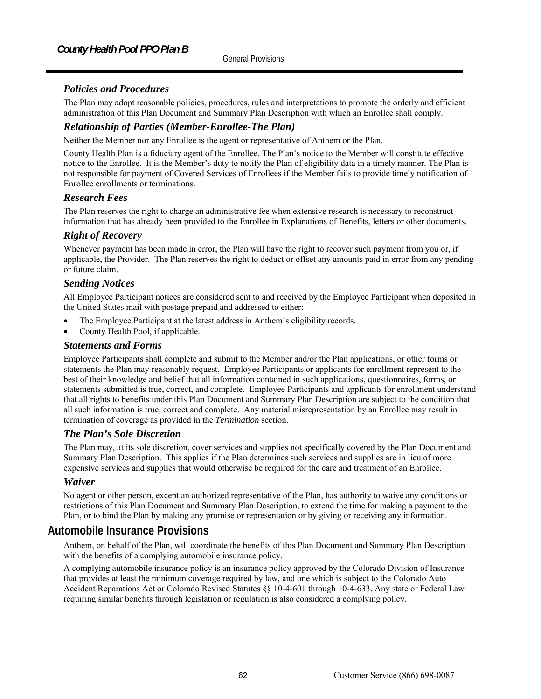# *Policies and Procedures*

The Plan may adopt reasonable policies, procedures, rules and interpretations to promote the orderly and efficient administration of this Plan Document and Summary Plan Description with which an Enrollee shall comply.

# *Relationship of Parties (Member-Enrollee-The Plan)*

Neither the Member nor any Enrollee is the agent or representative of Anthem or the Plan.

County Health Plan is a fiduciary agent of the Enrollee. The Plan's notice to the Member will constitute effective notice to the Enrollee. It is the Member's duty to notify the Plan of eligibility data in a timely manner. The Plan is not responsible for payment of Covered Services of Enrollees if the Member fails to provide timely notification of Enrollee enrollments or terminations.

## *Research Fees*

The Plan reserves the right to charge an administrative fee when extensive research is necessary to reconstruct information that has already been provided to the Enrollee in Explanations of Benefits, letters or other documents.

## *Right of Recovery*

Whenever payment has been made in error, the Plan will have the right to recover such payment from you or, if applicable, the Provider. The Plan reserves the right to deduct or offset any amounts paid in error from any pending or future claim.

## *Sending Notices*

All Employee Participant notices are considered sent to and received by the Employee Participant when deposited in the United States mail with postage prepaid and addressed to either:

- The Employee Participant at the latest address in Anthem's eligibility records.
- County Health Pool, if applicable.

#### *Statements and Forms*

Employee Participants shall complete and submit to the Member and/or the Plan applications, or other forms or statements the Plan may reasonably request. Employee Participants or applicants for enrollment represent to the best of their knowledge and belief that all information contained in such applications, questionnaires, forms, or statements submitted is true, correct, and complete. Employee Participants and applicants for enrollment understand that all rights to benefits under this Plan Document and Summary Plan Description are subject to the condition that all such information is true, correct and complete. Any material misrepresentation by an Enrollee may result in termination of coverage as provided in the *Termination* section.

#### *The Plan's Sole Discretion*

The Plan may, at its sole discretion, cover services and supplies not specifically covered by the Plan Document and Summary Plan Description. This applies if the Plan determines such services and supplies are in lieu of more expensive services and supplies that would otherwise be required for the care and treatment of an Enrollee.

## *Waiver*

No agent or other person, except an authorized representative of the Plan, has authority to waive any conditions or restrictions of this Plan Document and Summary Plan Description, to extend the time for making a payment to the Plan, or to bind the Plan by making any promise or representation or by giving or receiving any information.

# **Automobile Insurance Provisions**

Anthem, on behalf of the Plan, will coordinate the benefits of this Plan Document and Summary Plan Description with the benefits of a complying automobile insurance policy.

A complying automobile insurance policy is an insurance policy approved by the Colorado Division of Insurance that provides at least the minimum coverage required by law, and one which is subject to the Colorado Auto Accident Reparations Act or Colorado Revised Statutes §§ 10-4-601 through 10-4-633. Any state or Federal Law requiring similar benefits through legislation or regulation is also considered a complying policy.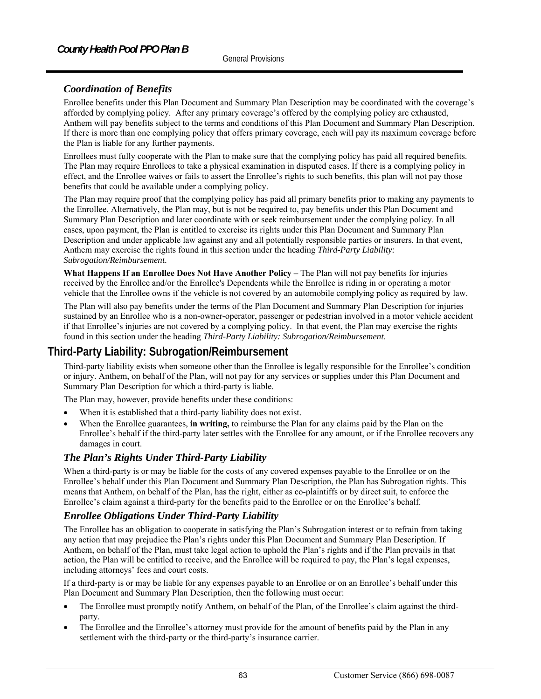# *Coordination of Benefits*

Enrollee benefits under this Plan Document and Summary Plan Description may be coordinated with the coverage's afforded by complying policy. After any primary coverage's offered by the complying policy are exhausted, Anthem will pay benefits subject to the terms and conditions of this Plan Document and Summary Plan Description. If there is more than one complying policy that offers primary coverage, each will pay its maximum coverage before the Plan is liable for any further payments.

Enrollees must fully cooperate with the Plan to make sure that the complying policy has paid all required benefits. The Plan may require Enrollees to take a physical examination in disputed cases. If there is a complying policy in effect, and the Enrollee waives or fails to assert the Enrollee's rights to such benefits, this plan will not pay those benefits that could be available under a complying policy.

The Plan may require proof that the complying policy has paid all primary benefits prior to making any payments to the Enrollee. Alternatively, the Plan may, but is not be required to, pay benefits under this Plan Document and Summary Plan Description and later coordinate with or seek reimbursement under the complying policy. In all cases, upon payment, the Plan is entitled to exercise its rights under this Plan Document and Summary Plan Description and under applicable law against any and all potentially responsible parties or insurers. In that event, Anthem may exercise the rights found in this section under the heading *Third-Party Liability: Subrogation/Reimbursement*.

**What Happens If an Enrollee Does Not Have Another Policy –** The Plan will not pay benefits for injuries received by the Enrollee and/or the Enrollee's Dependents while the Enrollee is riding in or operating a motor vehicle that the Enrollee owns if the vehicle is not covered by an automobile complying policy as required by law.

The Plan will also pay benefits under the terms of the Plan Document and Summary Plan Description for injuries sustained by an Enrollee who is a non-owner-operator, passenger or pedestrian involved in a motor vehicle accident if that Enrollee's injuries are not covered by a complying policy. In that event, the Plan may exercise the rights found in this section under the heading *Third-Party Liability: Subrogation/Reimbursement*.

# **Third-Party Liability: Subrogation/Reimbursement**

Third-party liability exists when someone other than the Enrollee is legally responsible for the Enrollee's condition or injury. Anthem, on behalf of the Plan, will not pay for any services or supplies under this Plan Document and Summary Plan Description for which a third-party is liable.

The Plan may, however, provide benefits under these conditions:

- When it is established that a third-party liability does not exist.
- When the Enrollee guarantees, **in writing,** to reimburse the Plan for any claims paid by the Plan on the Enrollee's behalf if the third-party later settles with the Enrollee for any amount, or if the Enrollee recovers any damages in court.

# *The Plan's Rights Under Third-Party Liability*

When a third-party is or may be liable for the costs of any covered expenses payable to the Enrollee or on the Enrollee's behalf under this Plan Document and Summary Plan Description, the Plan has Subrogation rights. This means that Anthem, on behalf of the Plan, has the right, either as co-plaintiffs or by direct suit, to enforce the Enrollee's claim against a third-party for the benefits paid to the Enrollee or on the Enrollee's behalf.

# *Enrollee Obligations Under Third-Party Liability*

The Enrollee has an obligation to cooperate in satisfying the Plan's Subrogation interest or to refrain from taking any action that may prejudice the Plan's rights under this Plan Document and Summary Plan Description. If Anthem, on behalf of the Plan, must take legal action to uphold the Plan's rights and if the Plan prevails in that action, the Plan will be entitled to receive, and the Enrollee will be required to pay, the Plan's legal expenses, including attorneys' fees and court costs.

If a third-party is or may be liable for any expenses payable to an Enrollee or on an Enrollee's behalf under this Plan Document and Summary Plan Description, then the following must occur:

- The Enrollee must promptly notify Anthem, on behalf of the Plan, of the Enrollee's claim against the thirdparty.
- The Enrollee and the Enrollee's attorney must provide for the amount of benefits paid by the Plan in any settlement with the third-party or the third-party's insurance carrier.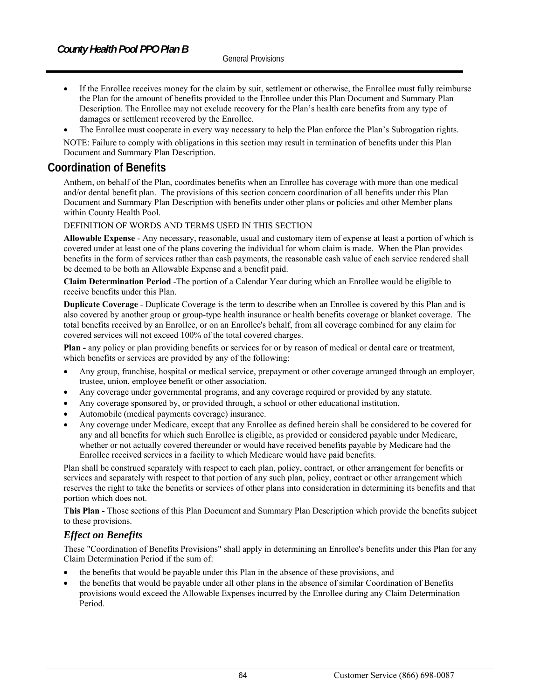- If the Enrollee receives money for the claim by suit, settlement or otherwise, the Enrollee must fully reimburse the Plan for the amount of benefits provided to the Enrollee under this Plan Document and Summary Plan Description. The Enrollee may not exclude recovery for the Plan's health care benefits from any type of damages or settlement recovered by the Enrollee.
- The Enrollee must cooperate in every way necessary to help the Plan enforce the Plan's Subrogation rights.

NOTE: Failure to comply with obligations in this section may result in termination of benefits under this Plan Document and Summary Plan Description.

# **Coordination of Benefits**

Anthem, on behalf of the Plan, coordinates benefits when an Enrollee has coverage with more than one medical and/or dental benefit plan. The provisions of this section concern coordination of all benefits under this Plan Document and Summary Plan Description with benefits under other plans or policies and other Member plans within County Health Pool.

#### DEFINITION OF WORDS AND TERMS USED IN THIS SECTION

**Allowable Expense** - Any necessary, reasonable, usual and customary item of expense at least a portion of which is covered under at least one of the plans covering the individual for whom claim is made. When the Plan provides benefits in the form of services rather than cash payments, the reasonable cash value of each service rendered shall be deemed to be both an Allowable Expense and a benefit paid.

**Claim Determination Period** -The portion of a Calendar Year during which an Enrollee would be eligible to receive benefits under this Plan.

**Duplicate Coverage** - Duplicate Coverage is the term to describe when an Enrollee is covered by this Plan and is also covered by another group or group-type health insurance or health benefits coverage or blanket coverage. The total benefits received by an Enrollee, or on an Enrollee's behalf, from all coverage combined for any claim for covered services will not exceed 100% of the total covered charges.

**Plan -** any policy or plan providing benefits or services for or by reason of medical or dental care or treatment, which benefits or services are provided by any of the following:

- Any group, franchise, hospital or medical service, prepayment or other coverage arranged through an employer, trustee, union, employee benefit or other association.
- Any coverage under governmental programs, and any coverage required or provided by any statute.
- Any coverage sponsored by, or provided through, a school or other educational institution.
- Automobile (medical payments coverage) insurance.
- Any coverage under Medicare, except that any Enrollee as defined herein shall be considered to be covered for any and all benefits for which such Enrollee is eligible, as provided or considered payable under Medicare, whether or not actually covered thereunder or would have received benefits payable by Medicare had the Enrollee received services in a facility to which Medicare would have paid benefits.

Plan shall be construed separately with respect to each plan, policy, contract, or other arrangement for benefits or services and separately with respect to that portion of any such plan, policy, contract or other arrangement which reserves the right to take the benefits or services of other plans into consideration in determining its benefits and that portion which does not.

**This Plan -** Those sections of this Plan Document and Summary Plan Description which provide the benefits subject to these provisions.

## *Effect on Benefits*

These "Coordination of Benefits Provisions" shall apply in determining an Enrollee's benefits under this Plan for any Claim Determination Period if the sum of:

- the benefits that would be payable under this Plan in the absence of these provisions, and
- the benefits that would be payable under all other plans in the absence of similar Coordination of Benefits provisions would exceed the Allowable Expenses incurred by the Enrollee during any Claim Determination Period.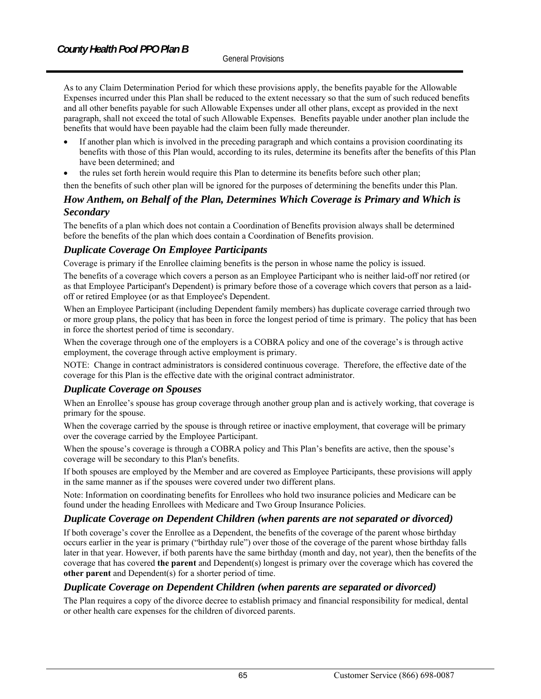As to any Claim Determination Period for which these provisions apply, the benefits payable for the Allowable Expenses incurred under this Plan shall be reduced to the extent necessary so that the sum of such reduced benefits and all other benefits payable for such Allowable Expenses under all other plans, except as provided in the next paragraph, shall not exceed the total of such Allowable Expenses. Benefits payable under another plan include the benefits that would have been payable had the claim been fully made thereunder.

- If another plan which is involved in the preceding paragraph and which contains a provision coordinating its benefits with those of this Plan would, according to its rules, determine its benefits after the benefits of this Plan have been determined; and
- the rules set forth herein would require this Plan to determine its benefits before such other plan;
- then the benefits of such other plan will be ignored for the purposes of determining the benefits under this Plan.

## *How Anthem, on Behalf of the Plan, Determines Which Coverage is Primary and Which is Secondary*

The benefits of a plan which does not contain a Coordination of Benefits provision always shall be determined before the benefits of the plan which does contain a Coordination of Benefits provision.

# *Duplicate Coverage On Employee Participants*

Coverage is primary if the Enrollee claiming benefits is the person in whose name the policy is issued.

The benefits of a coverage which covers a person as an Employee Participant who is neither laid-off nor retired (or as that Employee Participant's Dependent) is primary before those of a coverage which covers that person as a laidoff or retired Employee (or as that Employee's Dependent.

When an Employee Participant (including Dependent family members) has duplicate coverage carried through two or more group plans, the policy that has been in force the longest period of time is primary. The policy that has been in force the shortest period of time is secondary.

When the coverage through one of the employers is a COBRA policy and one of the coverage's is through active employment, the coverage through active employment is primary.

NOTE: Change in contract administrators is considered continuous coverage. Therefore, the effective date of the coverage for this Plan is the effective date with the original contract administrator.

# *Duplicate Coverage on Spouses*

When an Enrollee's spouse has group coverage through another group plan and is actively working, that coverage is primary for the spouse.

When the coverage carried by the spouse is through retiree or inactive employment, that coverage will be primary over the coverage carried by the Employee Participant.

When the spouse's coverage is through a COBRA policy and This Plan's benefits are active, then the spouse's coverage will be secondary to this Plan's benefits.

If both spouses are employed by the Member and are covered as Employee Participants, these provisions will apply in the same manner as if the spouses were covered under two different plans.

Note: Information on coordinating benefits for Enrollees who hold two insurance policies and Medicare can be found under the heading Enrollees with Medicare and Two Group Insurance Policies.

# *Duplicate Coverage on Dependent Children (when parents are not separated or divorced)*

If both coverage's cover the Enrollee as a Dependent, the benefits of the coverage of the parent whose birthday occurs earlier in the year is primary ("birthday rule") over those of the coverage of the parent whose birthday falls later in that year. However, if both parents have the same birthday (month and day, not year), then the benefits of the coverage that has covered **the parent** and Dependent(s) longest is primary over the coverage which has covered the **other parent** and Dependent(s) for a shorter period of time.

# *Duplicate Coverage on Dependent Children (when parents are separated or divorced)*

The Plan requires a copy of the divorce decree to establish primacy and financial responsibility for medical, dental or other health care expenses for the children of divorced parents.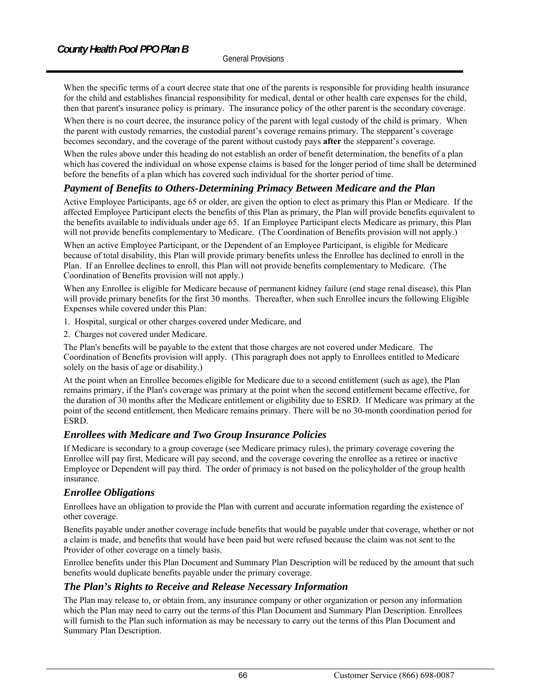When the specific terms of a court decree state that one of the parents is responsible for providing health insurance for the child and establishes financial responsibility for medical, dental or other health care expenses for the child, then that parent's insurance policy is primary. The insurance policy of the other parent is the secondary coverage.

When there is no court decree, the insurance policy of the parent with legal custody of the child is primary. When the parent with custody remarries, the custodial parent's coverage remains primary. The stepparent's coverage becomes secondary, and the coverage of the parent without custody pays **after** the stepparent's coverage.

When the rules above under this heading do not establish an order of benefit determination, the benefits of a plan which has covered the individual on whose expense claims is based for the longer period of time shall be determined before the benefits of a plan which has covered such individual for the shorter period of time.

## *Payment of Benefits to Others-Determining Primacy Between Medicare and the Plan*

Active Employee Participants, age 65 or older, are given the option to elect as primary this Plan or Medicare. If the affected Employee Participant elects the benefits of this Plan as primary, the Plan will provide benefits equivalent to the benefits available to individuals under age 65. If an Employee Participant elects Medicare as primary, this Plan will not provide benefits complementary to Medicare. (The Coordination of Benefits provision will not apply.)

When an active Employee Participant, or the Dependent of an Employee Participant, is eligible for Medicare because of total disability, this Plan will provide primary benefits unless the Enrollee has declined to enroll in the Plan. If an Enrollee declines to enroll, this Plan will not provide benefits complementary to Medicare. (The Coordination of Benefits provision will not apply.)

When any Enrollee is eligible for Medicare because of permanent kidney failure (end stage renal disease), this Plan will provide primary benefits for the first 30 months. Thereafter, when such Enrollee incurs the following Eligible Expenses while covered under this Plan:

- 1. Hospital, surgical or other charges covered under Medicare, and
- 2. Charges not covered under Medicare.

The Plan's benefits will be payable to the extent that those charges are not covered under Medicare. The Coordination of Benefits provision will apply. (This paragraph does not apply to Enrollees entitled to Medicare solely on the basis of age or disability.)

At the point when an Enrollee becomes eligible for Medicare due to a second entitlement (such as age), the Plan remains primary, if the Plan's coverage was primary at the point when the second entitlement became effective, for the duration of 30 months after the Medicare entitlement or eligibility due to ESRD. If Medicare was primary at the point of the second entitlement, then Medicare remains primary. There will be no 30-month coordination period for ESRD.

## *Enrollees with Medicare and Two Group Insurance Policies*

If Medicare is secondary to a group coverage (see Medicare primacy rules), the primary coverage covering the Enrollee will pay first, Medicare will pay second, and the coverage covering the enrollee as a retiree or inactive Employee or Dependent will pay third. The order of primacy is not based on the policyholder of the group health insurance.

#### *Enrollee Obligations*

Enrollees have an obligation to provide the Plan with current and accurate information regarding the existence of other coverage.

Benefits payable under another coverage include benefits that would be payable under that coverage, whether or not a claim is made, and benefits that would have been paid but were refused because the claim was not sent to the Provider of other coverage on a timely basis.

Enrollee benefits under this Plan Document and Summary Plan Description will be reduced by the amount that such benefits would duplicate benefits payable under the primary coverage.

## *The Plan's Rights to Receive and Release Necessary Information*

The Plan may release to, or obtain from, any insurance company or other organization or person any information which the Plan may need to carry out the terms of this Plan Document and Summary Plan Description. Enrollees will furnish to the Plan such information as may be necessary to carry out the terms of this Plan Document and Summary Plan Description.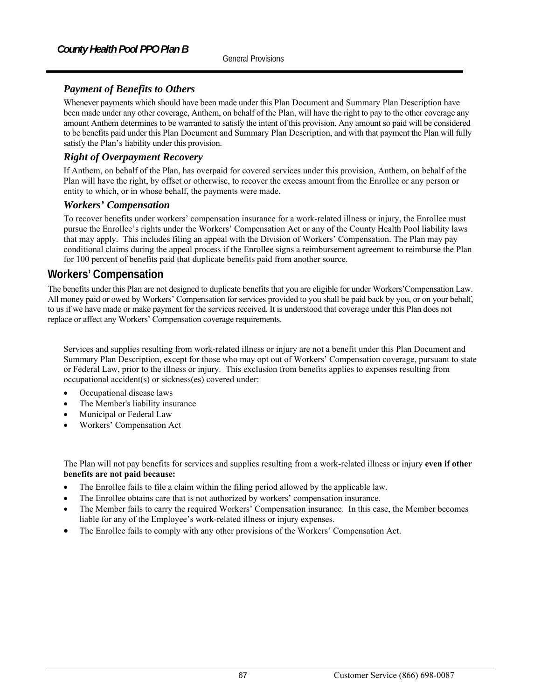# *Payment of Benefits to Others*

Whenever payments which should have been made under this Plan Document and Summary Plan Description have been made under any other coverage, Anthem, on behalf of the Plan, will have the right to pay to the other coverage any amount Anthem determines to be warranted to satisfy the intent of this provision. Any amount so paid will be considered to be benefits paid under this Plan Document and Summary Plan Description, and with that payment the Plan will fully satisfy the Plan's liability under this provision.

## *Right of Overpayment Recovery*

If Anthem, on behalf of the Plan, has overpaid for covered services under this provision, Anthem, on behalf of the Plan will have the right, by offset or otherwise, to recover the excess amount from the Enrollee or any person or entity to which, or in whose behalf, the payments were made.

### *Workers' Compensation*

To recover benefits under workers' compensation insurance for a work-related illness or injury, the Enrollee must pursue the Enrollee's rights under the Workers' Compensation Act or any of the County Health Pool liability laws that may apply. This includes filing an appeal with the Division of Workers' Compensation. The Plan may pay conditional claims during the appeal process if the Enrollee signs a reimbursement agreement to reimburse the Plan for 100 percent of benefits paid that duplicate benefits paid from another source.

# **Workers' Compensation**

The benefits under this Plan are not designed to duplicate benefits that you are eligible for under Workers'Compensation Law. All money paid or owed by Workers' Compensation for services provided to you shall be paid back by you, or on your behalf, to us if we have made or make payment for the services received. It is understood that coverage under this Plan does not replace or affect any Workers' Compensation coverage requirements.

Services and supplies resulting from work-related illness or injury are not a benefit under this Plan Document and Summary Plan Description, except for those who may opt out of Workers' Compensation coverage, pursuant to state or Federal Law, prior to the illness or injury. This exclusion from benefits applies to expenses resulting from occupational accident(s) or sickness(es) covered under:

- Occupational disease laws
- The Member's liability insurance
- Municipal or Federal Law
- Workers' Compensation Act

The Plan will not pay benefits for services and supplies resulting from a work-related illness or injury **even if other benefits are not paid because:**

- The Enrollee fails to file a claim within the filing period allowed by the applicable law.
- The Enrollee obtains care that is not authorized by workers' compensation insurance.
- The Member fails to carry the required Workers' Compensation insurance. In this case, the Member becomes liable for any of the Employee's work-related illness or injury expenses.
- The Enrollee fails to comply with any other provisions of the Workers' Compensation Act.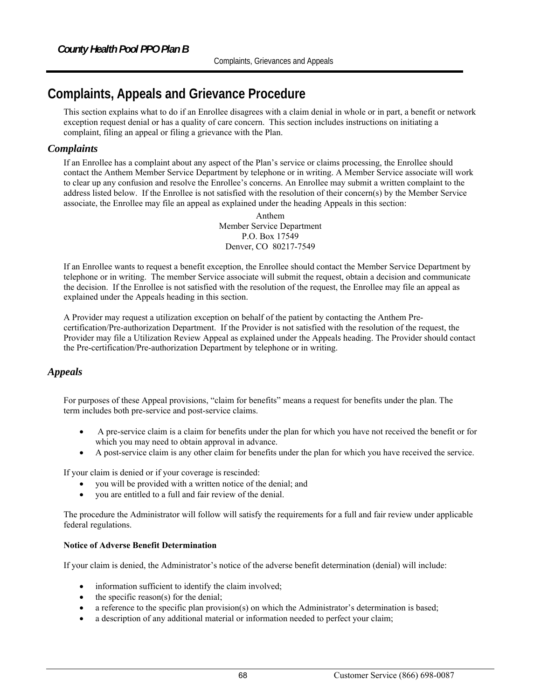# **Complaints, Appeals and Grievance Procedure**

This section explains what to do if an Enrollee disagrees with a claim denial in whole or in part, a benefit or network exception request denial or has a quality of care concern. This section includes instructions on initiating a complaint, filing an appeal or filing a grievance with the Plan.

## *Complaints*

If an Enrollee has a complaint about any aspect of the Plan's service or claims processing, the Enrollee should contact the Anthem Member Service Department by telephone or in writing. A Member Service associate will work to clear up any confusion and resolve the Enrollee's concerns. An Enrollee may submit a written complaint to the address listed below. If the Enrollee is not satisfied with the resolution of their concern(s) by the Member Service associate, the Enrollee may file an appeal as explained under the heading Appeal*s* in this section:

> Anthem Member Service Department P.O. Box 17549 Denver, CO 80217-7549

If an Enrollee wants to request a benefit exception, the Enrollee should contact the Member Service Department by telephone or in writing. The member Service associate will submit the request, obtain a decision and communicate the decision. If the Enrollee is not satisfied with the resolution of the request, the Enrollee may file an appeal as explained under the Appeal*s* heading in this section.

A Provider may request a utilization exception on behalf of the patient by contacting the Anthem Precertification/Pre-authorization Department. If the Provider is not satisfied with the resolution of the request, the Provider may file a Utilization Review Appeal as explained under the Appeal*s* heading. The Provider should contact the Pre-certification/Pre-authorization Department by telephone or in writing.

## *Appeals*

For purposes of these Appeal provisions, "claim for benefits" means a request for benefits under the plan. The term includes both pre-service and post-service claims.

- A pre-service claim is a claim for benefits under the plan for which you have not received the benefit or for which you may need to obtain approval in advance.
- A post-service claim is any other claim for benefits under the plan for which you have received the service.

If your claim is denied or if your coverage is rescinded:

- you will be provided with a written notice of the denial; and
- you are entitled to a full and fair review of the denial.

The procedure the Administrator will follow will satisfy the requirements for a full and fair review under applicable federal regulations.

#### **Notice of Adverse Benefit Determination**

If your claim is denied, the Administrator's notice of the adverse benefit determination (denial) will include:

- information sufficient to identify the claim involved;
- the specific reason(s) for the denial;
- a reference to the specific plan provision(s) on which the Administrator's determination is based;
- a description of any additional material or information needed to perfect your claim;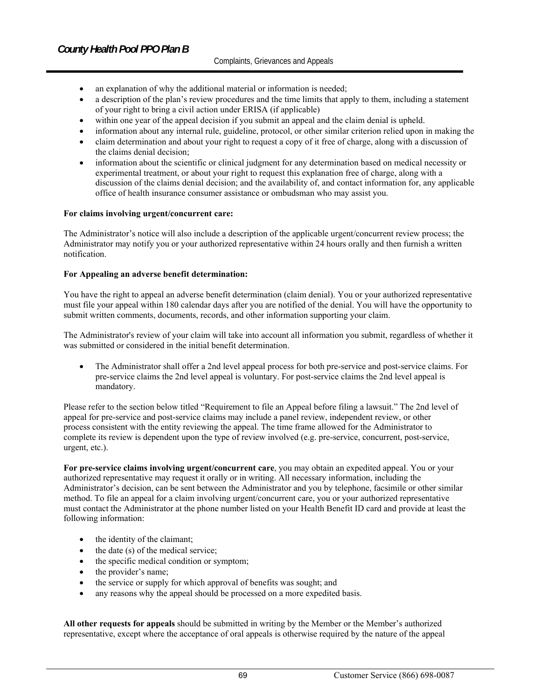- an explanation of why the additional material or information is needed;
- a description of the plan's review procedures and the time limits that apply to them, including a statement of your right to bring a civil action under ERISA (if applicable)
- within one year of the appeal decision if you submit an appeal and the claim denial is upheld.
- information about any internal rule, guideline, protocol, or other similar criterion relied upon in making the
- claim determination and about your right to request a copy of it free of charge, along with a discussion of the claims denial decision;
- information about the scientific or clinical judgment for any determination based on medical necessity or experimental treatment, or about your right to request this explanation free of charge, along with a discussion of the claims denial decision; and the availability of, and contact information for, any applicable office of health insurance consumer assistance or ombudsman who may assist you.

#### **For claims involving urgent/concurrent care:**

The Administrator's notice will also include a description of the applicable urgent/concurrent review process; the Administrator may notify you or your authorized representative within 24 hours orally and then furnish a written notification.

#### **For Appealing an adverse benefit determination:**

You have the right to appeal an adverse benefit determination (claim denial). You or your authorized representative must file your appeal within 180 calendar days after you are notified of the denial. You will have the opportunity to submit written comments, documents, records, and other information supporting your claim.

The Administrator's review of your claim will take into account all information you submit, regardless of whether it was submitted or considered in the initial benefit determination.

 The Administrator shall offer a 2nd level appeal process for both pre-service and post-service claims. For pre-service claims the 2nd level appeal is voluntary. For post-service claims the 2nd level appeal is mandatory.

Please refer to the section below titled "Requirement to file an Appeal before filing a lawsuit." The 2nd level of appeal for pre-service and post-service claims may include a panel review, independent review, or other process consistent with the entity reviewing the appeal. The time frame allowed for the Administrator to complete its review is dependent upon the type of review involved (e.g. pre-service, concurrent, post-service, urgent, etc.).

**For pre-service claims involving urgent/concurrent care**, you may obtain an expedited appeal. You or your authorized representative may request it orally or in writing. All necessary information, including the Administrator's decision, can be sent between the Administrator and you by telephone, facsimile or other similar method. To file an appeal for a claim involving urgent/concurrent care, you or your authorized representative must contact the Administrator at the phone number listed on your Health Benefit ID card and provide at least the following information:

- the identity of the claimant;
- the date (s) of the medical service;
- the specific medical condition or symptom;
- the provider's name;
- the service or supply for which approval of benefits was sought; and
- any reasons why the appeal should be processed on a more expedited basis.

**All other requests for appeals** should be submitted in writing by the Member or the Member's authorized representative, except where the acceptance of oral appeals is otherwise required by the nature of the appeal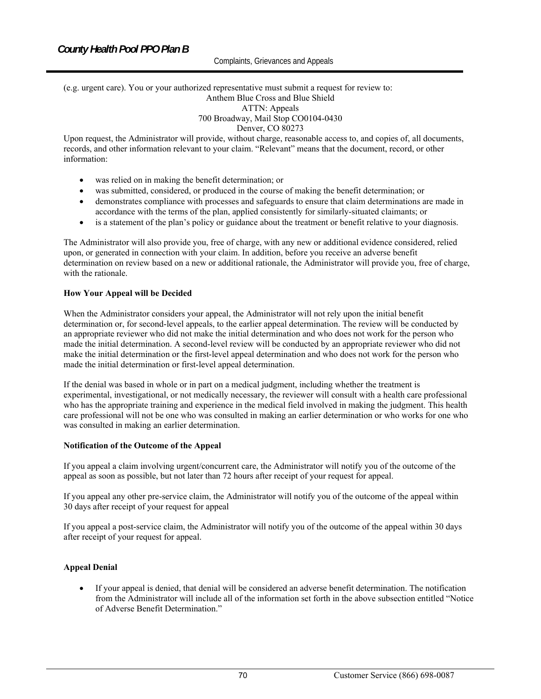#### (e.g. urgent care). You or your authorized representative must submit a request for review to: Anthem Blue Cross and Blue Shield ATTN: Appeals 700 Broadway, Mail Stop CO0104-0430

#### Denver, CO 80273

Upon request, the Administrator will provide, without charge, reasonable access to, and copies of, all documents, records, and other information relevant to your claim. "Relevant" means that the document, record, or other information:

- was relied on in making the benefit determination; or
- was submitted, considered, or produced in the course of making the benefit determination; or
- demonstrates compliance with processes and safeguards to ensure that claim determinations are made in accordance with the terms of the plan, applied consistently for similarly-situated claimants; or
- is a statement of the plan's policy or guidance about the treatment or benefit relative to your diagnosis.

The Administrator will also provide you, free of charge, with any new or additional evidence considered, relied upon, or generated in connection with your claim. In addition, before you receive an adverse benefit determination on review based on a new or additional rationale, the Administrator will provide you, free of charge, with the rationale.

#### **How Your Appeal will be Decided**

When the Administrator considers your appeal, the Administrator will not rely upon the initial benefit determination or, for second-level appeals, to the earlier appeal determination. The review will be conducted by an appropriate reviewer who did not make the initial determination and who does not work for the person who made the initial determination. A second-level review will be conducted by an appropriate reviewer who did not make the initial determination or the first-level appeal determination and who does not work for the person who made the initial determination or first-level appeal determination.

If the denial was based in whole or in part on a medical judgment, including whether the treatment is experimental, investigational, or not medically necessary, the reviewer will consult with a health care professional who has the appropriate training and experience in the medical field involved in making the judgment. This health care professional will not be one who was consulted in making an earlier determination or who works for one who was consulted in making an earlier determination.

#### **Notification of the Outcome of the Appeal**

If you appeal a claim involving urgent/concurrent care, the Administrator will notify you of the outcome of the appeal as soon as possible, but not later than 72 hours after receipt of your request for appeal.

If you appeal any other pre-service claim, the Administrator will notify you of the outcome of the appeal within 30 days after receipt of your request for appeal

If you appeal a post-service claim, the Administrator will notify you of the outcome of the appeal within 30 days after receipt of your request for appeal.

#### **Appeal Denial**

 If your appeal is denied, that denial will be considered an adverse benefit determination. The notification from the Administrator will include all of the information set forth in the above subsection entitled "Notice of Adverse Benefit Determination."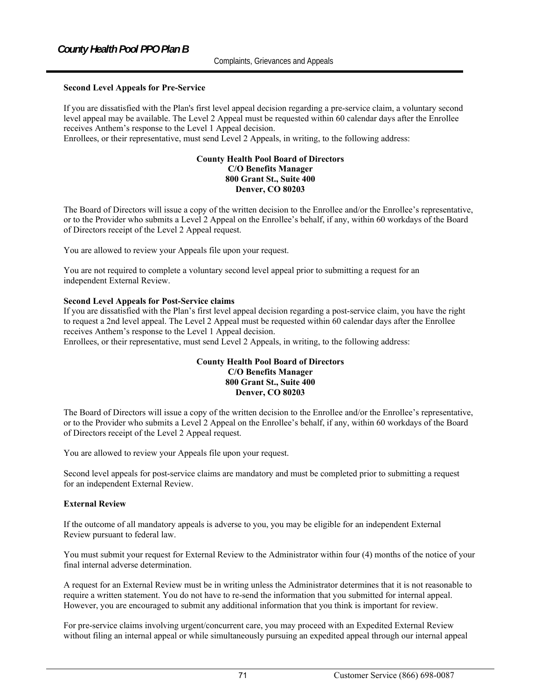#### **Second Level Appeals for Pre-Service**

If you are dissatisfied with the Plan's first level appeal decision regarding a pre-service claim, a voluntary second level appeal may be available. The Level 2 Appeal must be requested within 60 calendar days after the Enrollee receives Anthem's response to the Level 1 Appeal decision.

Enrollees, or their representative, must send Level 2 Appeals, in writing, to the following address:

#### **County Health Pool Board of Directors C/O Benefits Manager 800 Grant St., Suite 400 Denver, CO 80203**

The Board of Directors will issue a copy of the written decision to the Enrollee and/or the Enrollee's representative, or to the Provider who submits a Level 2 Appeal on the Enrollee's behalf, if any, within 60 workdays of the Board of Directors receipt of the Level 2 Appeal request.

You are allowed to review your Appeals file upon your request.

You are not required to complete a voluntary second level appeal prior to submitting a request for an independent External Review.

#### **Second Level Appeals for Post-Service claims**

If you are dissatisfied with the Plan's first level appeal decision regarding a post-service claim, you have the right to request a 2nd level appeal. The Level 2 Appeal must be requested within 60 calendar days after the Enrollee receives Anthem's response to the Level 1 Appeal decision.

Enrollees, or their representative, must send Level 2 Appeals, in writing, to the following address:

#### **County Health Pool Board of Directors C/O Benefits Manager 800 Grant St., Suite 400 Denver, CO 80203**

The Board of Directors will issue a copy of the written decision to the Enrollee and/or the Enrollee's representative, or to the Provider who submits a Level 2 Appeal on the Enrollee's behalf, if any, within 60 workdays of the Board of Directors receipt of the Level 2 Appeal request.

You are allowed to review your Appeals file upon your request.

Second level appeals for post-service claims are mandatory and must be completed prior to submitting a request for an independent External Review.

#### **External Review**

If the outcome of all mandatory appeals is adverse to you, you may be eligible for an independent External Review pursuant to federal law.

You must submit your request for External Review to the Administrator within four (4) months of the notice of your final internal adverse determination.

A request for an External Review must be in writing unless the Administrator determines that it is not reasonable to require a written statement. You do not have to re-send the information that you submitted for internal appeal. However, you are encouraged to submit any additional information that you think is important for review.

For pre-service claims involving urgent/concurrent care, you may proceed with an Expedited External Review without filing an internal appeal or while simultaneously pursuing an expedited appeal through our internal appeal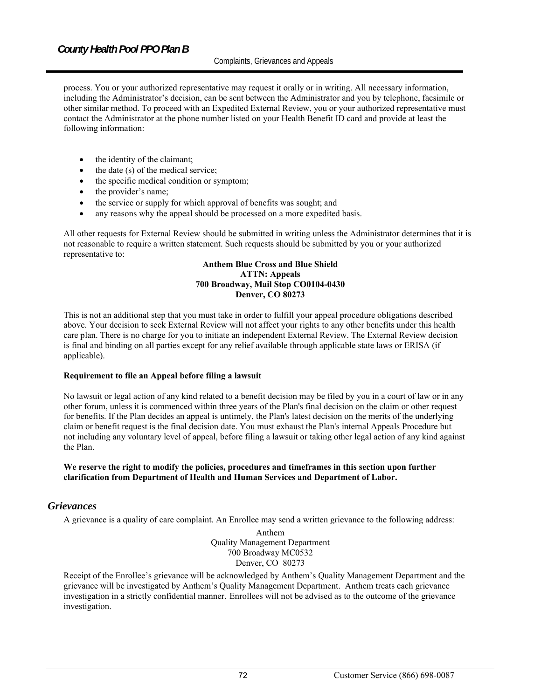#### Complaints, Grievances and Appeals

process. You or your authorized representative may request it orally or in writing. All necessary information, including the Administrator's decision, can be sent between the Administrator and you by telephone, facsimile or other similar method. To proceed with an Expedited External Review, you or your authorized representative must contact the Administrator at the phone number listed on your Health Benefit ID card and provide at least the following information:

- the identity of the claimant;
- the date (s) of the medical service;
- the specific medical condition or symptom;
- the provider's name;
- the service or supply for which approval of benefits was sought; and
- any reasons why the appeal should be processed on a more expedited basis.

All other requests for External Review should be submitted in writing unless the Administrator determines that it is not reasonable to require a written statement. Such requests should be submitted by you or your authorized representative to:

#### **Anthem Blue Cross and Blue Shield ATTN: Appeals 700 Broadway, Mail Stop CO0104-0430 Denver, CO 80273**

This is not an additional step that you must take in order to fulfill your appeal procedure obligations described above. Your decision to seek External Review will not affect your rights to any other benefits under this health care plan. There is no charge for you to initiate an independent External Review. The External Review decision is final and binding on all parties except for any relief available through applicable state laws or ERISA (if applicable).

#### **Requirement to file an Appeal before filing a lawsuit**

No lawsuit or legal action of any kind related to a benefit decision may be filed by you in a court of law or in any other forum, unless it is commenced within three years of the Plan's final decision on the claim or other request for benefits. If the Plan decides an appeal is untimely, the Plan's latest decision on the merits of the underlying claim or benefit request is the final decision date. You must exhaust the Plan's internal Appeals Procedure but not including any voluntary level of appeal, before filing a lawsuit or taking other legal action of any kind against the Plan.

#### **We reserve the right to modify the policies, procedures and timeframes in this section upon further clarification from Department of Health and Human Services and Department of Labor.**

#### *Grievances*

A grievance is a quality of care complaint. An Enrollee may send a written grievance to the following address:

Anthem Quality Management Department 700 Broadway MC0532 Denver, CO 80273

Receipt of the Enrollee's grievance will be acknowledged by Anthem's Quality Management Department and the grievance will be investigated by Anthem's Quality Management Department. Anthem treats each grievance investigation in a strictly confidential manner. Enrollees will not be advised as to the outcome of the grievance investigation.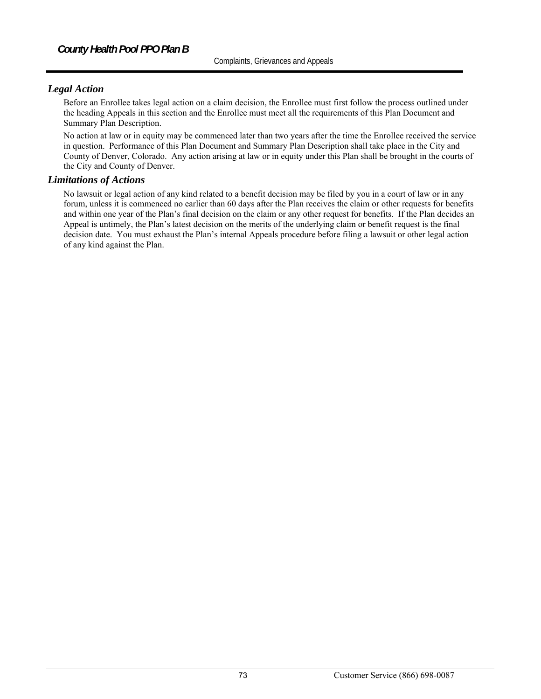# *Legal Action*

Before an Enrollee takes legal action on a claim decision, the Enrollee must first follow the process outlined under the heading Appeals in this section and the Enrollee must meet all the requirements of this Plan Document and Summary Plan Description.

No action at law or in equity may be commenced later than two years after the time the Enrollee received the service in question. Performance of this Plan Document and Summary Plan Description shall take place in the City and County of Denver, Colorado. Any action arising at law or in equity under this Plan shall be brought in the courts of the City and County of Denver.

### *Limitations of Actions*

No lawsuit or legal action of any kind related to a benefit decision may be filed by you in a court of law or in any forum, unless it is commenced no earlier than 60 days after the Plan receives the claim or other requests for benefits and within one year of the Plan's final decision on the claim or any other request for benefits. If the Plan decides an Appeal is untimely, the Plan's latest decision on the merits of the underlying claim or benefit request is the final decision date. You must exhaust the Plan's internal Appeals procedure before filing a lawsuit or other legal action of any kind against the Plan.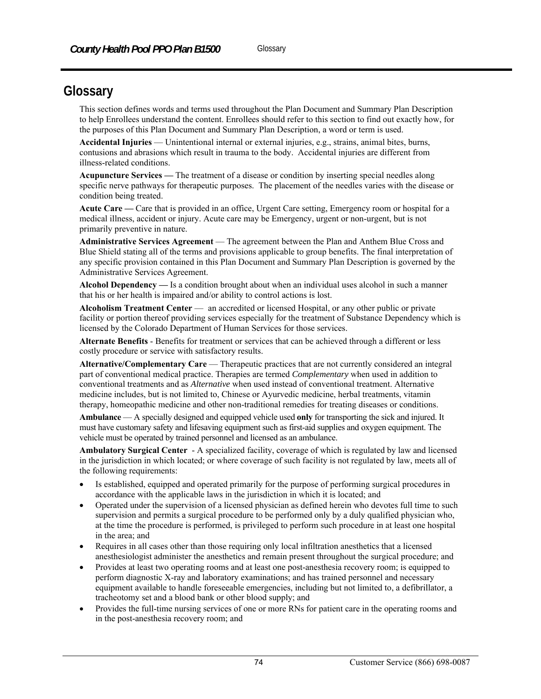# **Glossary**

This section defines words and terms used throughout the Plan Document and Summary Plan Description to help Enrollees understand the content. Enrollees should refer to this section to find out exactly how, for the purposes of this Plan Document and Summary Plan Description, a word or term is used.

**Accidental Injuries** — Unintentional internal or external injuries, e.g., strains, animal bites, burns, contusions and abrasions which result in trauma to the body. Accidental injuries are different from illness-related conditions.

**Acupuncture Services —** The treatment of a disease or condition by inserting special needles along specific nerve pathways for therapeutic purposes. The placement of the needles varies with the disease or condition being treated.

**Acute Care —** Care that is provided in an office, Urgent Care setting, Emergency room or hospital for a medical illness, accident or injury. Acute care may be Emergency, urgent or non-urgent, but is not primarily preventive in nature.

**Administrative Services Agreement** — The agreement between the Plan and Anthem Blue Cross and Blue Shield stating all of the terms and provisions applicable to group benefits. The final interpretation of any specific provision contained in this Plan Document and Summary Plan Description is governed by the Administrative Services Agreement.

**Alcohol Dependency —** Is a condition brought about when an individual uses alcohol in such a manner that his or her health is impaired and/or ability to control actions is lost.

**Alcoholism Treatment Center** — an accredited or licensed Hospital, or any other public or private facility or portion thereof providing services especially for the treatment of Substance Dependency which is licensed by the Colorado Department of Human Services for those services.

**Alternate Benefits** - Benefits for treatment or services that can be achieved through a different or less costly procedure or service with satisfactory results.

**Alternative/Complementary Care** — Therapeutic practices that are not currently considered an integral part of conventional medical practice. Therapies are termed *Complementary* when used in addition to conventional treatments and as *Alternative* when used instead of conventional treatment. Alternative medicine includes, but is not limited to, Chinese or Ayurvedic medicine, herbal treatments, vitamin therapy, homeopathic medicine and other non-traditional remedies for treating diseases or conditions.

**Ambulance** — A specially designed and equipped vehicle used **only** for transporting the sick and injured. It must have customary safety and lifesaving equipment such as first-aid supplies and oxygen equipment. The vehicle must be operated by trained personnel and licensed as an ambulance.

**Ambulatory Surgical Center** - A specialized facility, coverage of which is regulated by law and licensed in the jurisdiction in which located; or where coverage of such facility is not regulated by law, meets all of the following requirements:

- Is established, equipped and operated primarily for the purpose of performing surgical procedures in accordance with the applicable laws in the jurisdiction in which it is located; and
- Operated under the supervision of a licensed physician as defined herein who devotes full time to such supervision and permits a surgical procedure to be performed only by a duly qualified physician who, at the time the procedure is performed, is privileged to perform such procedure in at least one hospital in the area; and
- Requires in all cases other than those requiring only local infiltration anesthetics that a licensed anesthesiologist administer the anesthetics and remain present throughout the surgical procedure; and
- Provides at least two operating rooms and at least one post-anesthesia recovery room; is equipped to perform diagnostic X-ray and laboratory examinations; and has trained personnel and necessary equipment available to handle foreseeable emergencies, including but not limited to, a defibrillator, a tracheotomy set and a blood bank or other blood supply; and
- Provides the full-time nursing services of one or more RNs for patient care in the operating rooms and in the post-anesthesia recovery room; and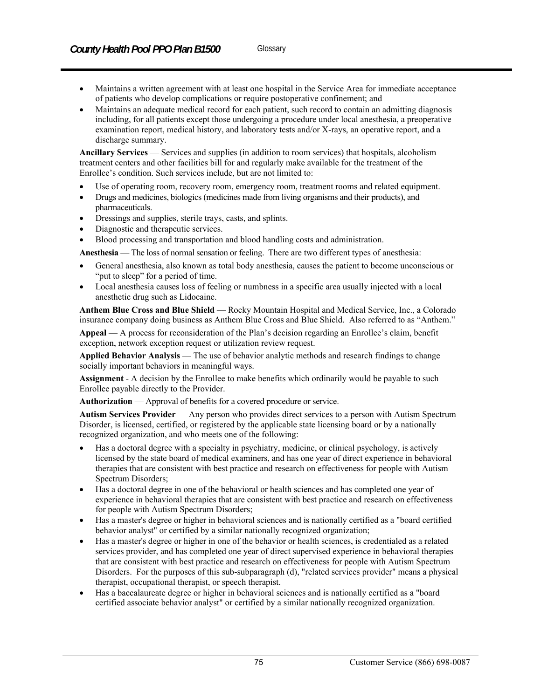- Maintains a written agreement with at least one hospital in the Service Area for immediate acceptance
- of patients who develop complications or require postoperative confinement; and
- Maintains an adequate medical record for each patient, such record to contain an admitting diagnosis including, for all patients except those undergoing a procedure under local anesthesia, a preoperative examination report, medical history, and laboratory tests and/or X-rays, an operative report, and a discharge summary.

**Ancillary Services** — Services and supplies (in addition to room services) that hospitals, alcoholism treatment centers and other facilities bill for and regularly make available for the treatment of the Enrollee's condition. Such services include, but are not limited to:

- Use of operating room, recovery room, emergency room, treatment rooms and related equipment.
- Drugs and medicines, biologics (medicines made from living organisms and their products), and pharmaceuticals.
- Dressings and supplies, sterile trays, casts, and splints.
- Diagnostic and therapeutic services.
- Blood processing and transportation and blood handling costs and administration.

**Anesthesia** — The loss of normal sensation or feeling. There are two different types of anesthesia:

- General anesthesia, also known as total body anesthesia, causes the patient to become unconscious or "put to sleep" for a period of time.
- Local anesthesia causes loss of feeling or numbness in a specific area usually injected with a local anesthetic drug such as Lidocaine.

**Anthem Blue Cross and Blue Shield** — Rocky Mountain Hospital and Medical Service, Inc., a Colorado insurance company doing business as Anthem Blue Cross and Blue Shield. Also referred to as "Anthem."

**Appeal** — A process for reconsideration of the Plan's decision regarding an Enrollee's claim, benefit exception, network exception request or utilization review request.

**Applied Behavior Analysis** — The use of behavior analytic methods and research findings to change socially important behaviors in meaningful ways.

**Assignment** - A decision by the Enrollee to make benefits which ordinarily would be payable to such Enrollee payable directly to the Provider.

**Authorization** — Approval of benefits for a covered procedure or service.

**Autism Services Provider** — Any person who provides direct services to a person with Autism Spectrum Disorder, is licensed, certified, or registered by the applicable state licensing board or by a nationally recognized organization, and who meets one of the following:

- Has a doctoral degree with a specialty in psychiatry, medicine, or clinical psychology, is actively licensed by the state board of medical examiners, and has one year of direct experience in behavioral therapies that are consistent with best practice and research on effectiveness for people with Autism Spectrum Disorders;
- Has a doctoral degree in one of the behavioral or health sciences and has completed one year of experience in behavioral therapies that are consistent with best practice and research on effectiveness for people with Autism Spectrum Disorders;
- Has a master's degree or higher in behavioral sciences and is nationally certified as a "board certified behavior analyst" or certified by a similar nationally recognized organization;
- Has a master's degree or higher in one of the behavior or health sciences, is credentialed as a related services provider, and has completed one year of direct supervised experience in behavioral therapies that are consistent with best practice and research on effectiveness for people with Autism Spectrum Disorders. For the purposes of this sub-subparagraph (d), "related services provider" means a physical therapist, occupational therapist, or speech therapist.
- Has a baccalaureate degree or higher in behavioral sciences and is nationally certified as a "board certified associate behavior analyst" or certified by a similar nationally recognized organization.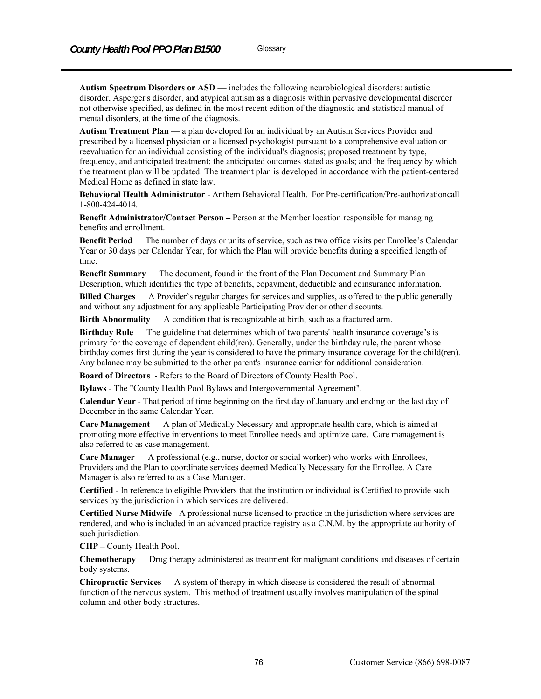**Autism Spectrum Disorders or ASD** — includes the following neurobiological disorders: autistic disorder, Asperger's disorder, and atypical autism as a diagnosis within pervasive developmental disorder not otherwise specified, as defined in the most recent edition of the diagnostic and statistical manual of mental disorders, at the time of the diagnosis.

**Autism Treatment Plan** — a plan developed for an individual by an Autism Services Provider and prescribed by a licensed physician or a licensed psychologist pursuant to a comprehensive evaluation or reevaluation for an individual consisting of the individual's diagnosis; proposed treatment by type, frequency, and anticipated treatment; the anticipated outcomes stated as goals; and the frequency by which the treatment plan will be updated. The treatment plan is developed in accordance with the patient-centered Medical Home as defined in state law.

**Behavioral Health Administrator** - Anthem Behavioral Health. For Pre-certification/Pre-authorizationcall 1-800-424-4014.

**Benefit Administrator/Contact Person –** Person at the Member location responsible for managing benefits and enrollment.

**Benefit Period** — The number of days or units of service, such as two office visits per Enrollee's Calendar Year or 30 days per Calendar Year, for which the Plan will provide benefits during a specified length of time.

**Benefit Summary** — The document, found in the front of the Plan Document and Summary Plan Description, which identifies the type of benefits, copayment, deductible and coinsurance information.

**Billed Charges** — A Provider's regular charges for services and supplies, as offered to the public generally and without any adjustment for any applicable Participating Provider or other discounts.

**Birth Abnormality** — A condition that is recognizable at birth, such as a fractured arm.

**Birthday Rule** — The guideline that determines which of two parents' health insurance coverage's is primary for the coverage of dependent child(ren). Generally, under the birthday rule, the parent whose birthday comes first during the year is considered to have the primary insurance coverage for the child(ren). Any balance may be submitted to the other parent's insurance carrier for additional consideration.

**Board of Directors** - Refers to the Board of Directors of County Health Pool.

**Bylaws** - The "County Health Pool Bylaws and Intergovernmental Agreement".

**Calendar Year** - That period of time beginning on the first day of January and ending on the last day of December in the same Calendar Year.

**Care Management** — A plan of Medically Necessary and appropriate health care, which is aimed at promoting more effective interventions to meet Enrollee needs and optimize care. Care management is also referred to as case management.

**Care Manager** — A professional (e.g., nurse, doctor or social worker) who works with Enrollees, Providers and the Plan to coordinate services deemed Medically Necessary for the Enrollee. A Care Manager is also referred to as a Case Manager.

**Certified** - In reference to eligible Providers that the institution or individual is Certified to provide such services by the jurisdiction in which services are delivered.

**Certified Nurse Midwife** - A professional nurse licensed to practice in the jurisdiction where services are rendered, and who is included in an advanced practice registry as a C.N.M. by the appropriate authority of such jurisdiction.

**CHP –** County Health Pool.

**Chemotherapy** — Drug therapy administered as treatment for malignant conditions and diseases of certain body systems.

**Chiropractic Services** — A system of therapy in which disease is considered the result of abnormal function of the nervous system. This method of treatment usually involves manipulation of the spinal column and other body structures.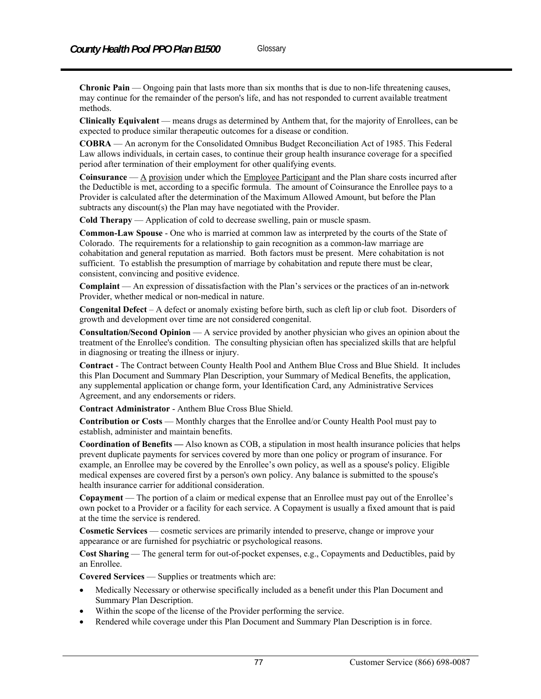**Chronic Pain** — Ongoing pain that lasts more than six months that is due to non-life threatening causes, may continue for the remainder of the person's life, and has not responded to current available treatment methods.

**Clinically Equivalent** — means drugs as determined by Anthem that, for the majority of Enrollees, can be expected to produce similar therapeutic outcomes for a disease or condition.

**COBRA** — An acronym for the Consolidated Omnibus Budget Reconciliation Act of 1985. This Federal Law allows individuals, in certain cases, to continue their group health insurance coverage for a specified period after termination of their employment for other qualifying events.

**Coinsurance** — A provision under which the Employee Participant and the Plan share costs incurred after the Deductible is met, according to a specific formula. The amount of Coinsurance the Enrollee pays to a Provider is calculated after the determination of the Maximum Allowed Amount, but before the Plan subtracts any discount(s) the Plan may have negotiated with the Provider.

**Cold Therapy** — Application of cold to decrease swelling, pain or muscle spasm.

**Common-Law Spouse** - One who is married at common law as interpreted by the courts of the State of Colorado. The requirements for a relationship to gain recognition as a common-law marriage are cohabitation and general reputation as married. Both factors must be present. Mere cohabitation is not sufficient. To establish the presumption of marriage by cohabitation and repute there must be clear, consistent, convincing and positive evidence.

**Complaint** — An expression of dissatisfaction with the Plan's services or the practices of an in-network Provider, whether medical or non-medical in nature.

**Congenital Defect** – A defect or anomaly existing before birth, such as cleft lip or club foot. Disorders of growth and development over time are not considered congenital.

**Consultation/Second Opinion** — A service provided by another physician who gives an opinion about the treatment of the Enrollee's condition. The consulting physician often has specialized skills that are helpful in diagnosing or treating the illness or injury.

**Contract** - The Contract between County Health Pool and Anthem Blue Cross and Blue Shield. It includes this Plan Document and Summary Plan Description, your Summary of Medical Benefits, the application, any supplemental application or change form, your Identification Card, any Administrative Services Agreement, and any endorsements or riders.

**Contract Administrator** - Anthem Blue Cross Blue Shield.

**Contribution or Costs** — Monthly charges that the Enrollee and/or County Health Pool must pay to establish, administer and maintain benefits.

**Coordination of Benefits —** Also known as COB, a stipulation in most health insurance policies that helps prevent duplicate payments for services covered by more than one policy or program of insurance. For example, an Enrollee may be covered by the Enrollee's own policy, as well as a spouse's policy. Eligible medical expenses are covered first by a person's own policy. Any balance is submitted to the spouse's health insurance carrier for additional consideration.

**Copayment** — The portion of a claim or medical expense that an Enrollee must pay out of the Enrollee's own pocket to a Provider or a facility for each service. A Copayment is usually a fixed amount that is paid at the time the service is rendered.

**Cosmetic Services** — cosmetic services are primarily intended to preserve, change or improve your appearance or are furnished for psychiatric or psychological reasons.

**Cost Sharing** — The general term for out-of-pocket expenses, e.g., Copayments and Deductibles, paid by an Enrollee.

**Covered Services** — Supplies or treatments which are:

- Medically Necessary or otherwise specifically included as a benefit under this Plan Document and Summary Plan Description.
- Within the scope of the license of the Provider performing the service.
- Rendered while coverage under this Plan Document and Summary Plan Description is in force.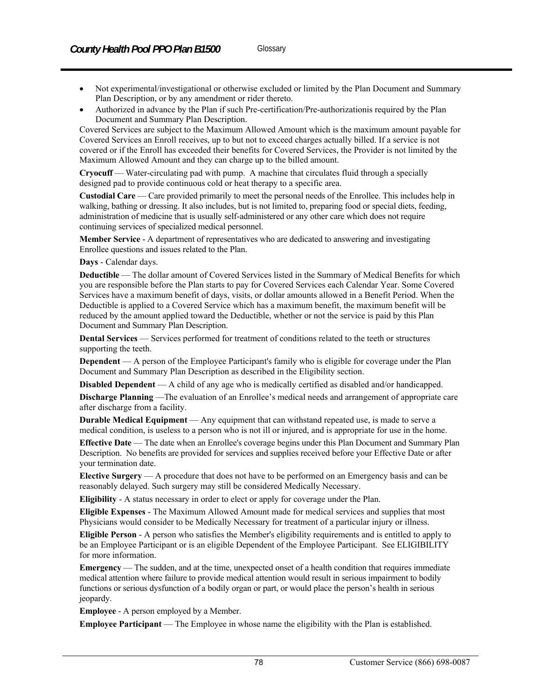- Not experimental/investigational or otherwise excluded or limited by the Plan Document and Summary Plan Description, or by any amendment or rider thereto.
- Authorized in advance by the Plan if such Pre-certification/Pre-authorizationis required by the Plan Document and Summary Plan Description.

Covered Services are subject to the Maximum Allowed Amount which is the maximum amount payable for Covered Services an Enroll receives, up to but not to exceed charges actually billed. If a service is not covered or if the Enroll has exceeded their benefits for Covered Services, the Provider is not limited by the Maximum Allowed Amount and they can charge up to the billed amount.

**Cryocuff** — Water-circulating pad with pump. A machine that circulates fluid through a specially designed pad to provide continuous cold or heat therapy to a specific area.

**Custodial Care** — Care provided primarily to meet the personal needs of the Enrollee. This includes help in walking, bathing or dressing. It also includes, but is not limited to, preparing food or special diets, feeding, administration of medicine that is usually self-administered or any other care which does not require continuing services of specialized medical personnel.

**Member Service** - A department of representatives who are dedicated to answering and investigating Enrollee questions and issues related to the Plan.

#### **Days** - Calendar days.

**Deductible** — The dollar amount of Covered Services listed in the Summary of Medical Benefits for which you are responsible before the Plan starts to pay for Covered Services each Calendar Year. Some Covered Services have a maximum benefit of days, visits, or dollar amounts allowed in a Benefit Period. When the Deductible is applied to a Covered Service which has a maximum benefit, the maximum benefit will be reduced by the amount applied toward the Deductible, whether or not the service is paid by this Plan Document and Summary Plan Description.

**Dental Services** — Services performed for treatment of conditions related to the teeth or structures supporting the teeth.

**Dependent** — A person of the Employee Participant's family who is eligible for coverage under the Plan Document and Summary Plan Description as described in the Eligibility section.

**Disabled Dependent** — A child of any age who is medically certified as disabled and/or handicapped.

**Discharge Planning** —The evaluation of an Enrollee's medical needs and arrangement of appropriate care after discharge from a facility.

**Durable Medical Equipment** — Any equipment that can withstand repeated use, is made to serve a medical condition, is useless to a person who is not ill or injured, and is appropriate for use in the home.

**Effective Date** — The date when an Enrollee's coverage begins under this Plan Document and Summary Plan Description. No benefits are provided for services and supplies received before your Effective Date or after your termination date.

**Elective Surgery** — A procedure that does not have to be performed on an Emergency basis and can be reasonably delayed. Such surgery may still be considered Medically Necessary.

**Eligibility** - A status necessary in order to elect or apply for coverage under the Plan.

**Eligible Expenses** - The Maximum Allowed Amount made for medical services and supplies that most Physicians would consider to be Medically Necessary for treatment of a particular injury or illness.

**Eligible Person** - A person who satisfies the Member's eligibility requirements and is entitled to apply to be an Employee Participant or is an eligible Dependent of the Employee Participant. See ELIGIBILITY for more information.

**Emergency** — The sudden, and at the time, unexpected onset of a health condition that requires immediate medical attention where failure to provide medical attention would result in serious impairment to bodily functions or serious dysfunction of a bodily organ or part, or would place the person's health in serious jeopardy.

**Employee** - A person employed by a Member.

**Employee Participant** — The Employee in whose name the eligibility with the Plan is established.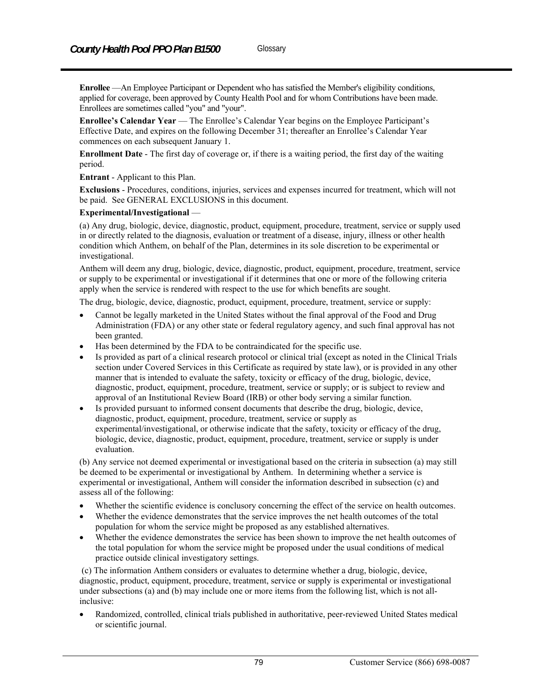**Enrollee** —An Employee Participant or Dependent who has satisfied the Member's eligibility conditions, applied for coverage, been approved by County Health Pool and for whom Contributions have been made. Enrollees are sometimes called "you" and "your".

**Enrollee's Calendar Year** — The Enrollee's Calendar Year begins on the Employee Participant's Effective Date, and expires on the following December 31; thereafter an Enrollee's Calendar Year commences on each subsequent January 1.

**Enrollment Date** - The first day of coverage or, if there is a waiting period, the first day of the waiting period.

**Entrant** - Applicant to this Plan.

**Exclusions** - Procedures, conditions, injuries, services and expenses incurred for treatment, which will not be paid. See GENERAL EXCLUSIONS in this document.

#### **Experimental/Investigational** —

(a) Any drug, biologic, device, diagnostic, product, equipment, procedure, treatment, service or supply used in or directly related to the diagnosis, evaluation or treatment of a disease, injury, illness or other health condition which Anthem, on behalf of the Plan, determines in its sole discretion to be experimental or investigational.

Anthem will deem any drug, biologic, device, diagnostic, product, equipment, procedure, treatment, service or supply to be experimental or investigational if it determines that one or more of the following criteria apply when the service is rendered with respect to the use for which benefits are sought.

The drug, biologic, device, diagnostic, product, equipment, procedure, treatment, service or supply:

- Cannot be legally marketed in the United States without the final approval of the Food and Drug Administration (FDA) or any other state or federal regulatory agency, and such final approval has not been granted.
- Has been determined by the FDA to be contraindicated for the specific use.
- Is provided as part of a clinical research protocol or clinical trial (except as noted in the Clinical Trials section under Covered Services in this Certificate as required by state law), or is provided in any other manner that is intended to evaluate the safety, toxicity or efficacy of the drug, biologic, device, diagnostic, product, equipment, procedure, treatment, service or supply; or is subject to review and approval of an Institutional Review Board (IRB) or other body serving a similar function.
- Is provided pursuant to informed consent documents that describe the drug, biologic, device, diagnostic, product, equipment, procedure, treatment, service or supply as experimental/investigational, or otherwise indicate that the safety, toxicity or efficacy of the drug, biologic, device, diagnostic, product, equipment, procedure, treatment, service or supply is under evaluation.

(b) Any service not deemed experimental or investigational based on the criteria in subsection (a) may still be deemed to be experimental or investigational by Anthem. In determining whether a service is experimental or investigational, Anthem will consider the information described in subsection (c) and assess all of the following:

- Whether the scientific evidence is conclusory concerning the effect of the service on health outcomes.
- Whether the evidence demonstrates that the service improves the net health outcomes of the total population for whom the service might be proposed as any established alternatives.
- Whether the evidence demonstrates the service has been shown to improve the net health outcomes of the total population for whom the service might be proposed under the usual conditions of medical practice outside clinical investigatory settings.

 (c) The information Anthem considers or evaluates to determine whether a drug, biologic, device, diagnostic, product, equipment, procedure, treatment, service or supply is experimental or investigational under subsections (a) and (b) may include one or more items from the following list, which is not allinclusive:

 Randomized, controlled, clinical trials published in authoritative, peer-reviewed United States medical or scientific journal.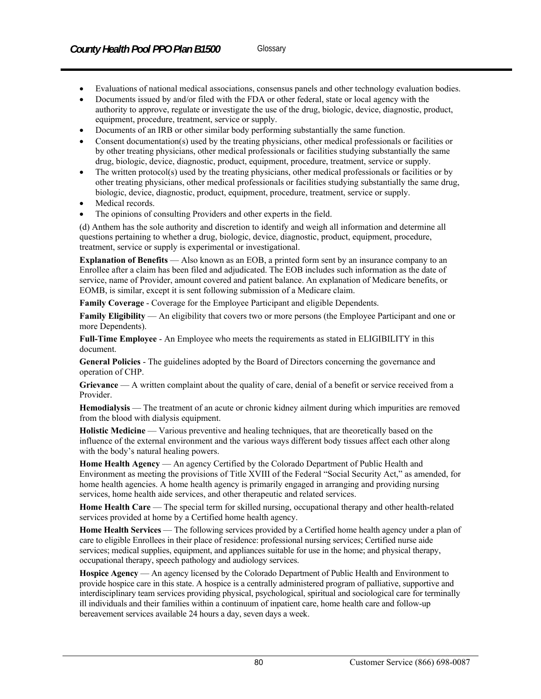- Evaluations of national medical associations, consensus panels and other technology evaluation bodies.
- Documents issued by and/or filed with the FDA or other federal, state or local agency with the authority to approve, regulate or investigate the use of the drug, biologic, device, diagnostic, product, equipment, procedure, treatment, service or supply.
- Documents of an IRB or other similar body performing substantially the same function.
- Consent documentation(s) used by the treating physicians, other medical professionals or facilities or by other treating physicians, other medical professionals or facilities studying substantially the same drug, biologic, device, diagnostic, product, equipment, procedure, treatment, service or supply.
- The written protocol(s) used by the treating physicians, other medical professionals or facilities or by other treating physicians, other medical professionals or facilities studying substantially the same drug, biologic, device, diagnostic, product, equipment, procedure, treatment, service or supply.
- Medical records.
- The opinions of consulting Providers and other experts in the field.

(d) Anthem has the sole authority and discretion to identify and weigh all information and determine all questions pertaining to whether a drug, biologic, device, diagnostic, product, equipment, procedure, treatment, service or supply is experimental or investigational.

**Explanation of Benefits** — Also known as an EOB, a printed form sent by an insurance company to an Enrollee after a claim has been filed and adjudicated. The EOB includes such information as the date of service, name of Provider, amount covered and patient balance. An explanation of Medicare benefits, or EOMB, is similar, except it is sent following submission of a Medicare claim.

**Family Coverage** - Coverage for the Employee Participant and eligible Dependents.

**Family Eligibility** — An eligibility that covers two or more persons (the Employee Participant and one or more Dependents).

**Full-Time Employee** - An Employee who meets the requirements as stated in ELIGIBILITY in this document.

**General Policies** - The guidelines adopted by the Board of Directors concerning the governance and operation of CHP.

**Grievance** — A written complaint about the quality of care, denial of a benefit or service received from a Provider.

**Hemodialysis** — The treatment of an acute or chronic kidney ailment during which impurities are removed from the blood with dialysis equipment.

**Holistic Medicine** — Various preventive and healing techniques, that are theoretically based on the influence of the external environment and the various ways different body tissues affect each other along with the body's natural healing powers.

**Home Health Agency** — An agency Certified by the Colorado Department of Public Health and Environment as meeting the provisions of Title XVIII of the Federal "Social Security Act," as amended, for home health agencies. A home health agency is primarily engaged in arranging and providing nursing services, home health aide services, and other therapeutic and related services.

**Home Health Care** — The special term for skilled nursing, occupational therapy and other health-related services provided at home by a Certified home health agency.

**Home Health Services** — The following services provided by a Certified home health agency under a plan of care to eligible Enrollees in their place of residence: professional nursing services; Certified nurse aide services; medical supplies, equipment, and appliances suitable for use in the home; and physical therapy, occupational therapy, speech pathology and audiology services.

**Hospice Agency** — An agency licensed by the Colorado Department of Public Health and Environment to provide hospice care in this state. A hospice is a centrally administered program of palliative, supportive and interdisciplinary team services providing physical, psychological, spiritual and sociological care for terminally ill individuals and their families within a continuum of inpatient care, home health care and follow-up bereavement services available 24 hours a day, seven days a week.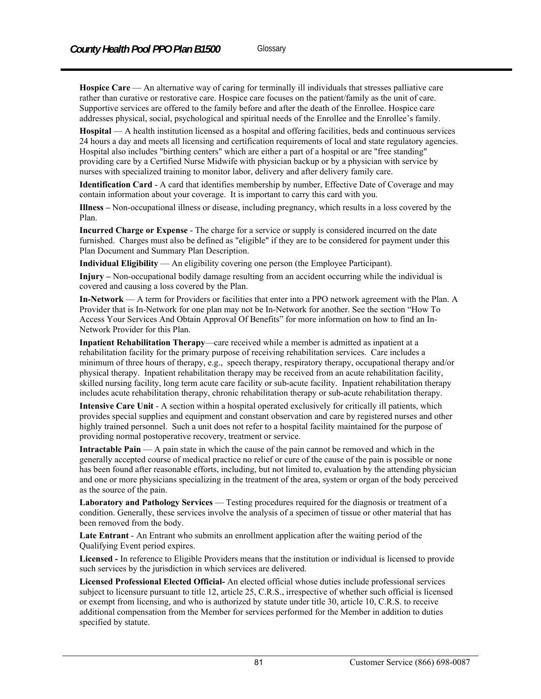**Hospice Care** — An alternative way of caring for terminally ill individuals that stresses palliative care rather than curative or restorative care. Hospice care focuses on the patient/family as the unit of care. Supportive services are offered to the family before and after the death of the Enrollee. Hospice care addresses physical, social, psychological and spiritual needs of the Enrollee and the Enrollee's family.

**Hospital** — A health institution licensed as a hospital and offering facilities, beds and continuous services 24 hours a day and meets all licensing and certification requirements of local and state regulatory agencies. Hospital also includes "birthing centers" which are either a part of a hospital or are "free standing" providing care by a Certified Nurse Midwife with physician backup or by a physician with service by nurses with specialized training to monitor labor, delivery and after delivery family care.

**Identification Card** - A card that identifies membership by number, Effective Date of Coverage and may contain information about your coverage. It is important to carry this card with you.

**Illness –** Non-occupational illness or disease, including pregnancy, which results in a loss covered by the Plan.

**Incurred Charge or Expense** - The charge for a service or supply is considered incurred on the date furnished. Charges must also be defined as "eligible" if they are to be considered for payment under this Plan Document and Summary Plan Description.

**Individual Eligibility** — An eligibility covering one person (the Employee Participant).

**Injury –** Non-occupational bodily damage resulting from an accident occurring while the individual is covered and causing a loss covered by the Plan.

**In-Network** — A term for Providers or facilities that enter into a PPO network agreement with the Plan. A Provider that is In-Network for one plan may not be In-Network for another. See the section "How To Access Your Services And Obtain Approval Of Benefits" for more information on how to find an In-Network Provider for this Plan.

**Inpatient Rehabilitation Therapy**—care received while a member is admitted as inpatient at a rehabilitation facility for the primary purpose of receiving rehabilitation services. Care includes a minimum of three hours of therapy, e.g., speech therapy, respiratory therapy, occupational therapy and/or physical therapy. Inpatient rehabilitation therapy may be received from an acute rehabilitation facility, skilled nursing facility, long term acute care facility or sub-acute facility. Inpatient rehabilitation therapy includes acute rehabilitation therapy, chronic rehabilitation therapy or sub-acute rehabilitation therapy.

**Intensive Care Unit** - A section within a hospital operated exclusively for critically ill patients, which provides special supplies and equipment and constant observation and care by registered nurses and other highly trained personnel. Such a unit does not refer to a hospital facility maintained for the purpose of providing normal postoperative recovery, treatment or service.

**Intractable Pain** — A pain state in which the cause of the pain cannot be removed and which in the generally accepted course of medical practice no relief or cure of the cause of the pain is possible or none has been found after reasonable efforts, including, but not limited to, evaluation by the attending physician and one or more physicians specializing in the treatment of the area, system or organ of the body perceived as the source of the pain.

Laboratory and Pathology Services — Testing procedures required for the diagnosis or treatment of a condition. Generally, these services involve the analysis of a specimen of tissue or other material that has been removed from the body.

**Late Entrant** - An Entrant who submits an enrollment application after the waiting period of the Qualifying Event period expires.

**Licensed -** In reference to Eligible Providers means that the institution or individual is licensed to provide such services by the jurisdiction in which services are delivered.

**Licensed Professional Elected Official-** An elected official whose duties include professional services subject to licensure pursuant to title 12, article 25, C.R.S., irrespective of whether such official is licensed or exempt from licensing, and who is authorized by statute under title 30, article 10, C.R.S. to receive additional compensation from the Member for services performed for the Member in addition to duties specified by statute.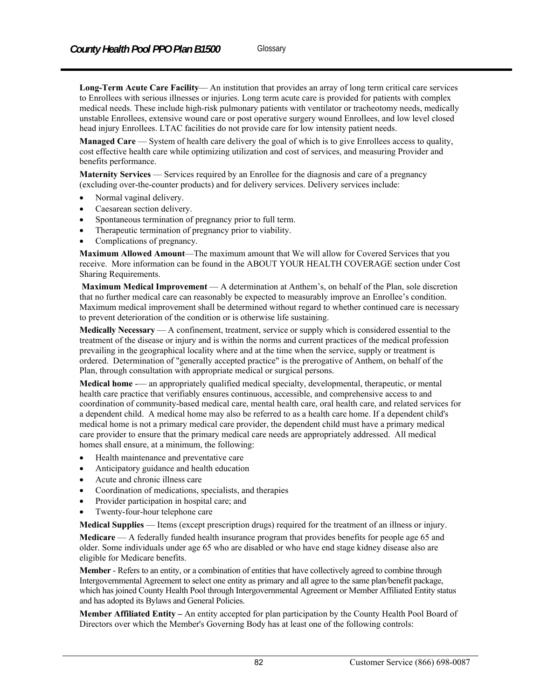**Long-Term Acute Care Facility**— An institution that provides an array of long term critical care services to Enrollees with serious illnesses or injuries. Long term acute care is provided for patients with complex medical needs. These include high-risk pulmonary patients with ventilator or tracheotomy needs, medically unstable Enrollees, extensive wound care or post operative surgery wound Enrollees, and low level closed head injury Enrollees. LTAC facilities do not provide care for low intensity patient needs.

**Managed Care** — System of health care delivery the goal of which is to give Enrollees access to quality, cost effective health care while optimizing utilization and cost of services, and measuring Provider and benefits performance.

**Maternity Services** — Services required by an Enrollee for the diagnosis and care of a pregnancy (excluding over-the-counter products) and for delivery services. Delivery services include:

- Normal vaginal delivery.
- Caesarean section delivery.
- Spontaneous termination of pregnancy prior to full term.
- Therapeutic termination of pregnancy prior to viability.
- Complications of pregnancy.

**Maximum Allowed Amount**—The maximum amount that We will allow for Covered Services that you receive. More information can be found in the ABOUT YOUR HEALTH COVERAGE section under Cost Sharing Requirements.

**Maximum Medical Improvement** — A determination at Anthem's, on behalf of the Plan, sole discretion that no further medical care can reasonably be expected to measurably improve an Enrollee's condition. Maximum medical improvement shall be determined without regard to whether continued care is necessary to prevent deterioration of the condition or is otherwise life sustaining.

**Medically Necessary** — A confinement, treatment, service or supply which is considered essential to the treatment of the disease or injury and is within the norms and current practices of the medical profession prevailing in the geographical locality where and at the time when the service, supply or treatment is ordered. Determination of "generally accepted practice" is the prerogative of Anthem, on behalf of the Plan, through consultation with appropriate medical or surgical persons.

**Medical home** -— an appropriately qualified medical specialty, developmental, therapeutic, or mental health care practice that verifiably ensures continuous, accessible, and comprehensive access to and coordination of community-based medical care, mental health care, oral health care, and related services for a dependent child. A medical home may also be referred to as a health care home. If a dependent child's medical home is not a primary medical care provider, the dependent child must have a primary medical care provider to ensure that the primary medical care needs are appropriately addressed. All medical homes shall ensure, at a minimum, the following:

- Health maintenance and preventative care
- Anticipatory guidance and health education
- Acute and chronic illness care
- Coordination of medications, specialists, and therapies
- Provider participation in hospital care; and
- Twenty-four-hour telephone care

**Medical Supplies** — Items (except prescription drugs) required for the treatment of an illness or injury.

**Medicare** — A federally funded health insurance program that provides benefits for people age 65 and older. Some individuals under age 65 who are disabled or who have end stage kidney disease also are eligible for Medicare benefits.

**Member** - Refers to an entity, or a combination of entities that have collectively agreed to combine through Intergovernmental Agreement to select one entity as primary and all agree to the same plan/benefit package, which has joined County Health Pool through Intergovernmental Agreement or Member Affiliated Entity status and has adopted its Bylaws and General Policies.

**Member Affiliated Entity –** An entity accepted for plan participation by the County Health Pool Board of Directors over which the Member's Governing Body has at least one of the following controls: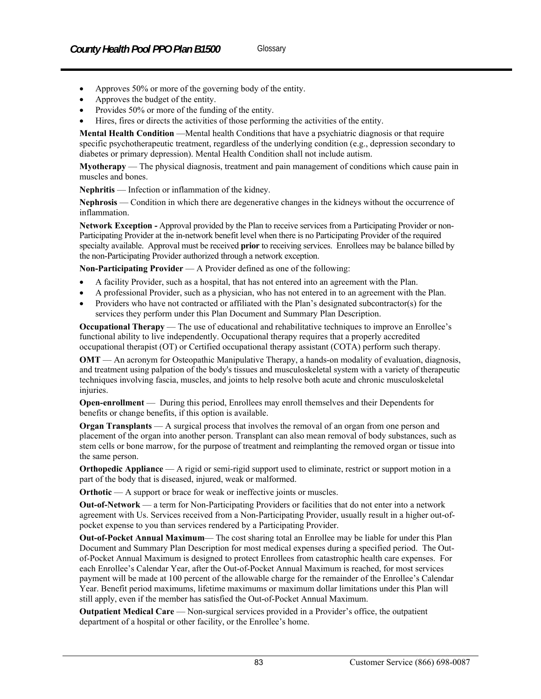- Approves 50% or more of the governing body of the entity.
- Approves the budget of the entity.
- Provides 50% or more of the funding of the entity.
- Hires, fires or directs the activities of those performing the activities of the entity.

**Mental Health Condition** —Mental health Conditions that have a psychiatric diagnosis or that require specific psychotherapeutic treatment, regardless of the underlying condition (e.g., depression secondary to diabetes or primary depression). Mental Health Condition shall not include autism.

**Myotherapy** — The physical diagnosis, treatment and pain management of conditions which cause pain in muscles and bones.

**Nephritis** — Infection or inflammation of the kidney.

**Nephrosis** — Condition in which there are degenerative changes in the kidneys without the occurrence of inflammation.

**Network Exception -** Approval provided by the Plan to receive services from a Participating Provider or non-Participating Provider at the in-network benefit level when there is no Participating Provider of the required specialty available. Approval must be received **prior** to receiving services. Enrollees may be balance billed by the non-Participating Provider authorized through a network exception.

**Non-Participating Provider** — A Provider defined as one of the following:

- A facility Provider, such as a hospital, that has not entered into an agreement with the Plan.
- A professional Provider, such as a physician, who has not entered in to an agreement with the Plan.
- Providers who have not contracted or affiliated with the Plan's designated subcontractor(s) for the services they perform under this Plan Document and Summary Plan Description.

**Occupational Therapy** — The use of educational and rehabilitative techniques to improve an Enrollee's functional ability to live independently. Occupational therapy requires that a properly accredited occupational therapist (OT) or Certified occupational therapy assistant (COTA) perform such therapy.

**OMT** — An acronym for Osteopathic Manipulative Therapy, a hands-on modality of evaluation, diagnosis, and treatment using palpation of the body's tissues and musculoskeletal system with a variety of therapeutic techniques involving fascia, muscles, and joints to help resolve both acute and chronic musculoskeletal injuries.

**Open-enrollment** — During this period, Enrollees may enroll themselves and their Dependents for benefits or change benefits, if this option is available.

**Organ Transplants** — A surgical process that involves the removal of an organ from one person and placement of the organ into another person. Transplant can also mean removal of body substances, such as stem cells or bone marrow, for the purpose of treatment and reimplanting the removed organ or tissue into the same person.

**Orthopedic Appliance** — A rigid or semi-rigid support used to eliminate, restrict or support motion in a part of the body that is diseased, injured, weak or malformed.

**Orthotic** — A support or brace for weak or ineffective joints or muscles.

**Out-of-Network** — a term for Non-Participating Providers or facilities that do not enter into a network agreement with Us. Services received from a Non-Participating Provider, usually result in a higher out-ofpocket expense to you than services rendered by a Participating Provider.

**Out-of-Pocket Annual Maximum**— The cost sharing total an Enrollee may be liable for under this Plan Document and Summary Plan Description for most medical expenses during a specified period. The Outof-Pocket Annual Maximum is designed to protect Enrollees from catastrophic health care expenses. For each Enrollee's Calendar Year, after the Out-of-Pocket Annual Maximum is reached, for most services payment will be made at 100 percent of the allowable charge for the remainder of the Enrollee's Calendar Year. Benefit period maximums, lifetime maximums or maximum dollar limitations under this Plan will still apply, even if the member has satisfied the Out-of-Pocket Annual Maximum.

**Outpatient Medical Care** — Non-surgical services provided in a Provider's office, the outpatient department of a hospital or other facility, or the Enrollee's home.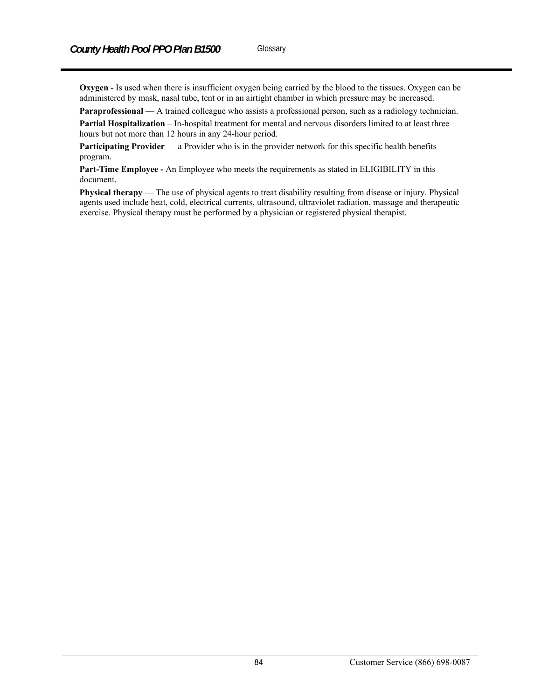**Oxygen** - Is used when there is insufficient oxygen being carried by the blood to the tissues. Oxygen can be administered by mask, nasal tube, tent or in an airtight chamber in which pressure may be increased.

**Paraprofessional** — A trained colleague who assists a professional person, such as a radiology technician.

**Partial Hospitalization** – In-hospital treatment for mental and nervous disorders limited to at least three hours but not more than 12 hours in any 24-hour period.

**Participating Provider** — a Provider who is in the provider network for this specific health benefits program.

**Part-Time Employee -** An Employee who meets the requirements as stated in ELIGIBILITY in this document.

**Physical therapy** — The use of physical agents to treat disability resulting from disease or injury. Physical agents used include heat, cold, electrical currents, ultrasound, ultraviolet radiation, massage and therapeutic exercise. Physical therapy must be performed by a physician or registered physical therapist.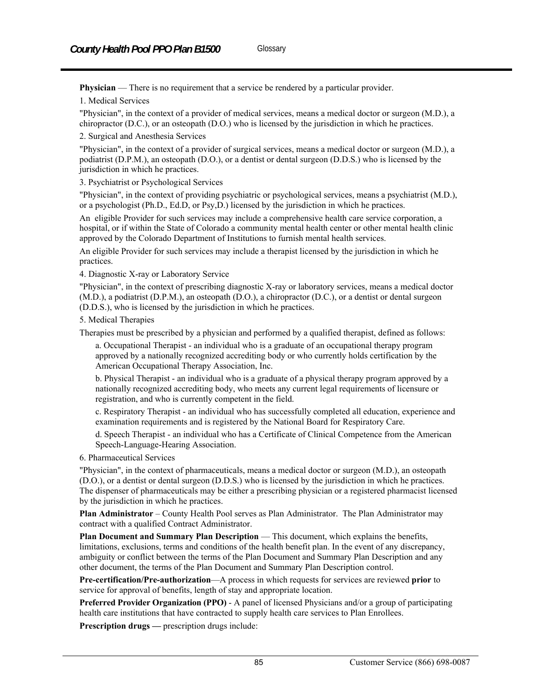**Physician** — There is no requirement that a service be rendered by a particular provider.

1. Medical Services

"Physician", in the context of a provider of medical services, means a medical doctor or surgeon (M.D.), a chiropractor (D.C.), or an osteopath (D.O.) who is licensed by the jurisdiction in which he practices.

2. Surgical and Anesthesia Services

"Physician", in the context of a provider of surgical services, means a medical doctor or surgeon (M.D.), a podiatrist (D.P.M.), an osteopath (D.O.), or a dentist or dental surgeon (D.D.S.) who is licensed by the jurisdiction in which he practices.

3. Psychiatrist or Psychological Services

"Physician", in the context of providing psychiatric or psychological services, means a psychiatrist (M.D.), or a psychologist (Ph.D., Ed.D, or Psy,D.) licensed by the jurisdiction in which he practices.

An eligible Provider for such services may include a comprehensive health care service corporation, a hospital, or if within the State of Colorado a community mental health center or other mental health clinic approved by the Colorado Department of Institutions to furnish mental health services.

An eligible Provider for such services may include a therapist licensed by the jurisdiction in which he practices.

4. Diagnostic X-ray or Laboratory Service

"Physician", in the context of prescribing diagnostic X-ray or laboratory services, means a medical doctor (M.D.), a podiatrist (D.P.M.), an osteopath (D.O.), a chiropractor (D.C.), or a dentist or dental surgeon (D.D.S.), who is licensed by the jurisdiction in which he practices.

5. Medical Therapies

Therapies must be prescribed by a physician and performed by a qualified therapist, defined as follows:

a. Occupational Therapist - an individual who is a graduate of an occupational therapy program approved by a nationally recognized accrediting body or who currently holds certification by the American Occupational Therapy Association, Inc.

b. Physical Therapist - an individual who is a graduate of a physical therapy program approved by a nationally recognized accrediting body, who meets any current legal requirements of licensure or registration, and who is currently competent in the field.

c. Respiratory Therapist - an individual who has successfully completed all education, experience and examination requirements and is registered by the National Board for Respiratory Care.

d. Speech Therapist - an individual who has a Certificate of Clinical Competence from the American Speech-Language-Hearing Association.

6. Pharmaceutical Services

"Physician", in the context of pharmaceuticals, means a medical doctor or surgeon (M.D.), an osteopath (D.O.), or a dentist or dental surgeon (D.D.S.) who is licensed by the jurisdiction in which he practices. The dispenser of pharmaceuticals may be either a prescribing physician or a registered pharmacist licensed by the jurisdiction in which he practices.

**Plan Administrator** – County Health Pool serves as Plan Administrator. The Plan Administrator may contract with a qualified Contract Administrator.

**Plan Document and Summary Plan Description** — This document, which explains the benefits, limitations, exclusions, terms and conditions of the health benefit plan. In the event of any discrepancy, ambiguity or conflict between the terms of the Plan Document and Summary Plan Description and any other document, the terms of the Plan Document and Summary Plan Description control.

**Pre-certification/Pre-authorization**—A process in which requests for services are reviewed **prior** to service for approval of benefits, length of stay and appropriate location.

**Preferred Provider Organization (PPO)** - A panel of licensed Physicians and/or a group of participating health care institutions that have contracted to supply health care services to Plan Enrollees.

**Prescription drugs** — prescription drugs include: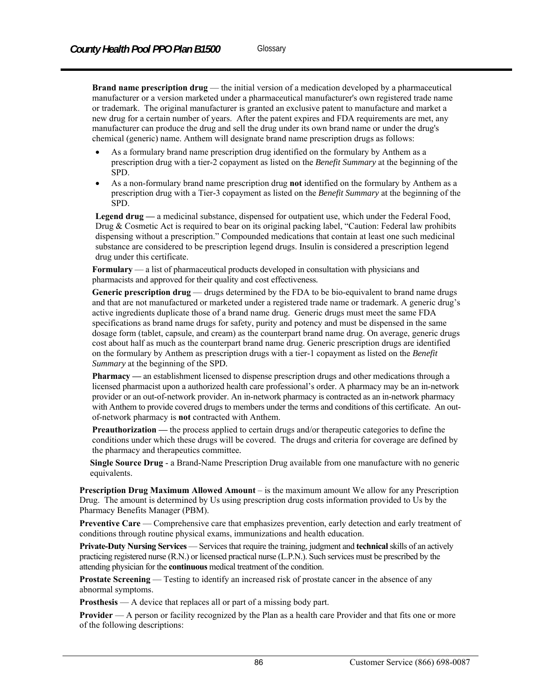**Brand name prescription drug** — the initial version of a medication developed by a pharmaceutical manufacturer or a version marketed under a pharmaceutical manufacturer's own registered trade name or trademark. The original manufacturer is granted an exclusive patent to manufacture and market a new drug for a certain number of years. After the patent expires and FDA requirements are met, any manufacturer can produce the drug and sell the drug under its own brand name or under the drug's chemical (generic) name. Anthem will designate brand name prescription drugs as follows:

- As a formulary brand name prescription drug identified on the formulary by Anthem as a prescription drug with a tier-2 copayment as listed on the *Benefit Summary* at the beginning of the SPD.
- As a non-formulary brand name prescription drug **not** identified on the formulary by Anthem as a prescription drug with a Tier-3 copayment as listed on the *Benefit Summary* at the beginning of the SPD.

**Legend drug —** a medicinal substance, dispensed for outpatient use, which under the Federal Food, Drug & Cosmetic Act is required to bear on its original packing label, "Caution: Federal law prohibits dispensing without a prescription." Compounded medications that contain at least one such medicinal substance are considered to be prescription legend drugs. Insulin is considered a prescription legend drug under this certificate.

**Formulary** — a list of pharmaceutical products developed in consultation with physicians and pharmacists and approved for their quality and cost effectiveness*.*

**Generic prescription drug** — drugs determined by the FDA to be bio-equivalent to brand name drugs and that are not manufactured or marketed under a registered trade name or trademark. A generic drug's active ingredients duplicate those of a brand name drug. Generic drugs must meet the same FDA specifications as brand name drugs for safety, purity and potency and must be dispensed in the same dosage form (tablet, capsule, and cream) as the counterpart brand name drug. On average, generic drugs cost about half as much as the counterpart brand name drug. Generic prescription drugs are identified on the formulary by Anthem as prescription drugs with a tier-1 copayment as listed on the *Benefit Summary* at the beginning of the SPD*.*

**Pharmacy —** an establishment licensed to dispense prescription drugs and other medications through a licensed pharmacist upon a authorized health care professional's order. A pharmacy may be an in-network provider or an out-of-network provider. An in-network pharmacy is contracted as an in-network pharmacy with Anthem to provide covered drugs to members under the terms and conditions of this certificate. An outof-network pharmacy is **not** contracted with Anthem.

**Preauthorization** — the process applied to certain drugs and/or therapeutic categories to define the conditions under which these drugs will be covered. The drugs and criteria for coverage are defined by the pharmacy and therapeutics committee*.* 

**Single Source Drug** - a Brand-Name Prescription Drug available from one manufacture with no generic equivalents.

**Prescription Drug Maximum Allowed Amount** – is the maximum amount We allow for any Prescription Drug. The amount is determined by Us using prescription drug costs information provided to Us by the Pharmacy Benefits Manager (PBM).

Preventive Care — Comprehensive care that emphasizes prevention, early detection and early treatment of conditions through routine physical exams, immunizations and health education.

**Private-Duty Nursing Services** — Services that require the training, judgment and **technical** skills of an actively practicing registered nurse (R.N.) or licensed practical nurse (L.P.N.). Such services must be prescribed by the attending physician for the **continuous** medical treatment of the condition.

**Prostate Screening** — Testing to identify an increased risk of prostate cancer in the absence of any abnormal symptoms.

**Prosthesis** — A device that replaces all or part of a missing body part.

**Provider** — A person or facility recognized by the Plan as a health care Provider and that fits one or more of the following descriptions: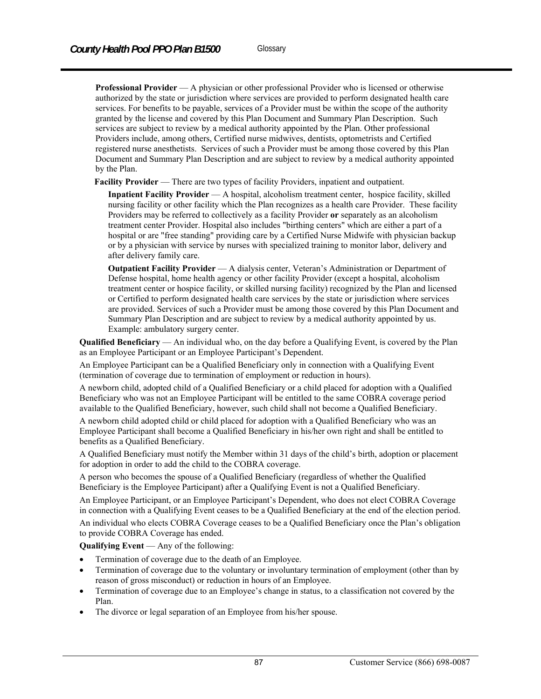**Professional Provider** — A physician or other professional Provider who is licensed or otherwise authorized by the state or jurisdiction where services are provided to perform designated health care services. For benefits to be payable, services of a Provider must be within the scope of the authority granted by the license and covered by this Plan Document and Summary Plan Description. Such services are subject to review by a medical authority appointed by the Plan. Other professional Providers include, among others, Certified nurse midwives, dentists, optometrists and Certified registered nurse anesthetists. Services of such a Provider must be among those covered by this Plan Document and Summary Plan Description and are subject to review by a medical authority appointed by the Plan.

**Facility Provider** — There are two types of facility Providers, inpatient and outpatient.

 **Inpatient Facility Provider** — A hospital, alcoholism treatment center, hospice facility, skilled nursing facility or other facility which the Plan recognizes as a health care Provider. These facility Providers may be referred to collectively as a facility Provider **or** separately as an alcoholism treatment center Provider. Hospital also includes "birthing centers" which are either a part of a hospital or are "free standing" providing care by a Certified Nurse Midwife with physician backup or by a physician with service by nurses with specialized training to monitor labor, delivery and after delivery family care.

 **Outpatient Facility Provider** — A dialysis center, Veteran's Administration or Department of Defense hospital, home health agency or other facility Provider (except a hospital, alcoholism treatment center or hospice facility, or skilled nursing facility) recognized by the Plan and licensed or Certified to perform designated health care services by the state or jurisdiction where services are provided. Services of such a Provider must be among those covered by this Plan Document and Summary Plan Description and are subject to review by a medical authority appointed by us. Example: ambulatory surgery center.

**Qualified Beneficiary** — An individual who, on the day before a Qualifying Event, is covered by the Plan as an Employee Participant or an Employee Participant's Dependent.

An Employee Participant can be a Qualified Beneficiary only in connection with a Qualifying Event (termination of coverage due to termination of employment or reduction in hours).

A newborn child, adopted child of a Qualified Beneficiary or a child placed for adoption with a Qualified Beneficiary who was not an Employee Participant will be entitled to the same COBRA coverage period available to the Qualified Beneficiary, however, such child shall not become a Qualified Beneficiary.

A newborn child adopted child or child placed for adoption with a Qualified Beneficiary who was an Employee Participant shall become a Qualified Beneficiary in his/her own right and shall be entitled to benefits as a Qualified Beneficiary.

A Qualified Beneficiary must notify the Member within 31 days of the child's birth, adoption or placement for adoption in order to add the child to the COBRA coverage.

A person who becomes the spouse of a Qualified Beneficiary (regardless of whether the Qualified Beneficiary is the Employee Participant) after a Qualifying Event is not a Qualified Beneficiary.

An Employee Participant, or an Employee Participant's Dependent, who does not elect COBRA Coverage in connection with a Qualifying Event ceases to be a Qualified Beneficiary at the end of the election period.

An individual who elects COBRA Coverage ceases to be a Qualified Beneficiary once the Plan's obligation to provide COBRA Coverage has ended.

**Qualifying Event** — Any of the following:

- Termination of coverage due to the death of an Employee.
- Termination of coverage due to the voluntary or involuntary termination of employment (other than by reason of gross misconduct) or reduction in hours of an Employee.
- Termination of coverage due to an Employee's change in status, to a classification not covered by the Plan.
- The divorce or legal separation of an Employee from his/her spouse.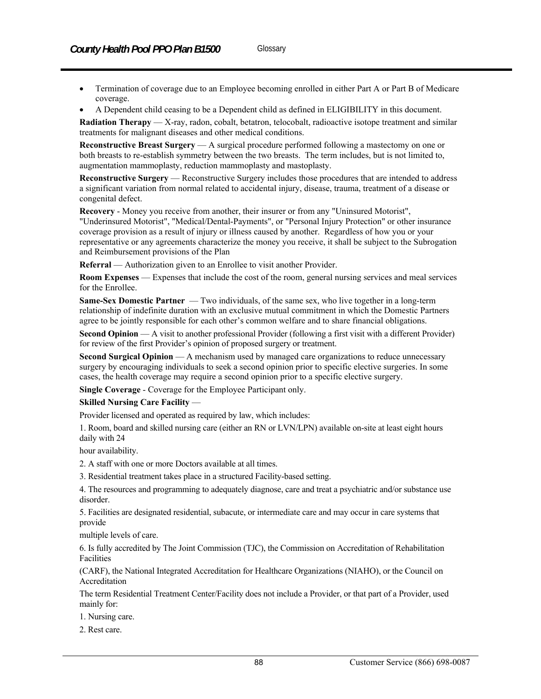- Termination of coverage due to an Employee becoming enrolled in either Part A or Part B of Medicare coverage.
- A Dependent child ceasing to be a Dependent child as defined in ELIGIBILITY in this document.

**Radiation Therapy** — X-ray, radon, cobalt, betatron, telocobalt, radioactive isotope treatment and similar treatments for malignant diseases and other medical conditions.

**Reconstructive Breast Surgery** — A surgical procedure performed following a mastectomy on one or both breasts to re-establish symmetry between the two breasts. The term includes, but is not limited to, augmentation mammoplasty, reduction mammoplasty and mastoplasty.

**Reconstructive Surgery** — Reconstructive Surgery includes those procedures that are intended to address a significant variation from normal related to accidental injury, disease, trauma, treatment of a disease or congenital defect.

**Recovery** - Money you receive from another, their insurer or from any "Uninsured Motorist", "Underinsured Motorist", "Medical/Dental-Payments", or "Personal Injury Protection" or other insurance coverage provision as a result of injury or illness caused by another. Regardless of how you or your representative or any agreements characterize the money you receive, it shall be subject to the Subrogation and Reimbursement provisions of the Plan

**Referral** — Authorization given to an Enrollee to visit another Provider.

**Room Expenses** — Expenses that include the cost of the room, general nursing services and meal services for the Enrollee.

**Same-Sex Domestic Partner** — Two individuals, of the same sex, who live together in a long-term relationship of indefinite duration with an exclusive mutual commitment in which the Domestic Partners agree to be jointly responsible for each other's common welfare and to share financial obligations.

**Second Opinion** — A visit to another professional Provider (following a first visit with a different Provider) for review of the first Provider's opinion of proposed surgery or treatment.

**Second Surgical Opinion** — A mechanism used by managed care organizations to reduce unnecessary surgery by encouraging individuals to seek a second opinion prior to specific elective surgeries. In some cases, the health coverage may require a second opinion prior to a specific elective surgery.

**Single Coverage** - Coverage for the Employee Participant only.

#### **Skilled Nursing Care Facility** —

Provider licensed and operated as required by law, which includes:

1. Room, board and skilled nursing care (either an RN or LVN/LPN) available on-site at least eight hours daily with 24

hour availability.

2. A staff with one or more Doctors available at all times.

3. Residential treatment takes place in a structured Facility-based setting.

4. The resources and programming to adequately diagnose, care and treat a psychiatric and/or substance use disorder.

5. Facilities are designated residential, subacute, or intermediate care and may occur in care systems that provide

multiple levels of care.

6. Is fully accredited by The Joint Commission (TJC), the Commission on Accreditation of Rehabilitation Facilities

(CARF), the National Integrated Accreditation for Healthcare Organizations (NIAHO), or the Council on Accreditation

The term Residential Treatment Center/Facility does not include a Provider, or that part of a Provider, used mainly for:

1. Nursing care.

2. Rest care.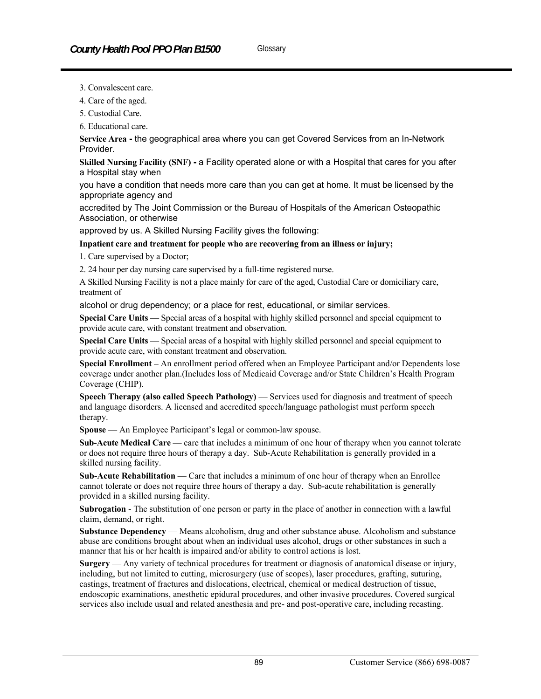- 3. Convalescent care.
- 4. Care of the aged.
- 5. Custodial Care.
- 6. Educational care.

**Service Area -** the geographical area where you can get Covered Services from an In-Network Provider.

**Skilled Nursing Facility (SNF) -** a Facility operated alone or with a Hospital that cares for you after a Hospital stay when

you have a condition that needs more care than you can get at home. It must be licensed by the appropriate agency and

accredited by The Joint Commission or the Bureau of Hospitals of the American Osteopathic Association, or otherwise

approved by us. A Skilled Nursing Facility gives the following:

#### **Inpatient care and treatment for people who are recovering from an illness or injury;**

1. Care supervised by a Doctor;

2. 24 hour per day nursing care supervised by a full-time registered nurse.

A Skilled Nursing Facility is not a place mainly for care of the aged, Custodial Care or domiciliary care, treatment of

alcohol or drug dependency; or a place for rest, educational, or similar services.

**Special Care Units** — Special areas of a hospital with highly skilled personnel and special equipment to provide acute care, with constant treatment and observation.

**Special Care Units** — Special areas of a hospital with highly skilled personnel and special equipment to provide acute care, with constant treatment and observation.

**Special Enrollment –** An enrollment period offered when an Employee Participant and/or Dependents lose coverage under another plan.(Includes loss of Medicaid Coverage and/or State Children's Health Program Coverage (CHIP).

**Speech Therapy (also called Speech Pathology) — Services used for diagnosis and treatment of speech** and language disorders. A licensed and accredited speech/language pathologist must perform speech therapy.

**Spouse** — An Employee Participant's legal or common-law spouse.

**Sub-Acute Medical Care** — care that includes a minimum of one hour of therapy when you cannot tolerate or does not require three hours of therapy a day. Sub-Acute Rehabilitation is generally provided in a skilled nursing facility.

**Sub-Acute Rehabilitation** — Care that includes a minimum of one hour of therapy when an Enrollee cannot tolerate or does not require three hours of therapy a day. Sub-acute rehabilitation is generally provided in a skilled nursing facility.

**Subrogation** - The substitution of one person or party in the place of another in connection with a lawful claim, demand, or right.

**Substance Dependency** — Means alcoholism, drug and other substance abuse. Alcoholism and substance abuse are conditions brought about when an individual uses alcohol, drugs or other substances in such a manner that his or her health is impaired and/or ability to control actions is lost.

**Surgery** — Any variety of technical procedures for treatment or diagnosis of anatomical disease or injury, including, but not limited to cutting, microsurgery (use of scopes), laser procedures, grafting, suturing, castings, treatment of fractures and dislocations, electrical, chemical or medical destruction of tissue, endoscopic examinations, anesthetic epidural procedures, and other invasive procedures. Covered surgical services also include usual and related anesthesia and pre- and post-operative care, including recasting.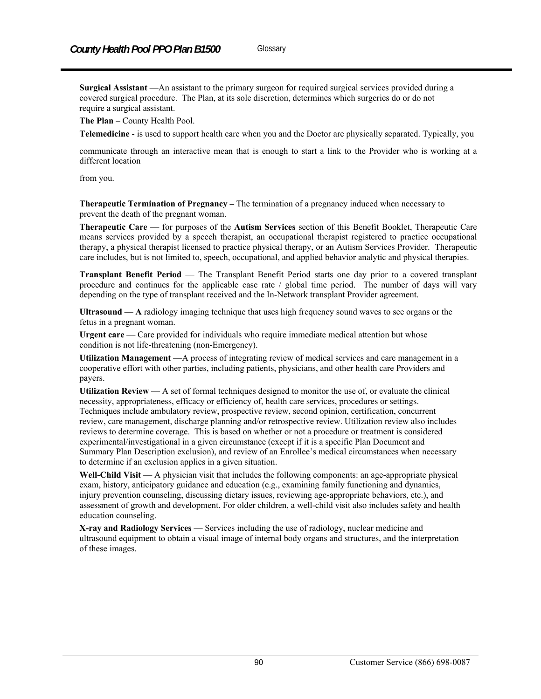**Surgical Assistant** —An assistant to the primary surgeon for required surgical services provided during a covered surgical procedure. The Plan, at its sole discretion, determines which surgeries do or do not require a surgical assistant.

**The Plan** – County Health Pool.

**Telemedicine** - is used to support health care when you and the Doctor are physically separated. Typically, you

communicate through an interactive mean that is enough to start a link to the Provider who is working at a different location

from you.

**Therapeutic Termination of Pregnancy –** The termination of a pregnancy induced when necessary to prevent the death of the pregnant woman.

**Therapeutic Care** — for purposes of the **Autism Services** section of this Benefit Booklet, Therapeutic Care means services provided by a speech therapist, an occupational therapist registered to practice occupational therapy, a physical therapist licensed to practice physical therapy, or an Autism Services Provider. Therapeutic care includes, but is not limited to, speech, occupational, and applied behavior analytic and physical therapies.

**Transplant Benefit Period** — The Transplant Benefit Period starts one day prior to a covered transplant procedure and continues for the applicable case rate / global time period. The number of days will vary depending on the type of transplant received and the In-Network transplant Provider agreement.

**Ultrasound** — **A** radiology imaging technique that uses high frequency sound waves to see organs or the fetus in a pregnant woman.

Urgent care — Care provided for individuals who require immediate medical attention but whose condition is not life-threatening (non-Emergency).

**Utilization Management** —A process of integrating review of medical services and care management in a cooperative effort with other parties, including patients, physicians, and other health care Providers and payers.

**Utilization Review** — A set of formal techniques designed to monitor the use of, or evaluate the clinical necessity, appropriateness, efficacy or efficiency of, health care services, procedures or settings. Techniques include ambulatory review, prospective review, second opinion, certification, concurrent review, care management, discharge planning and/or retrospective review. Utilization review also includes reviews to determine coverage. This is based on whether or not a procedure or treatment is considered experimental/investigational in a given circumstance (except if it is a specific Plan Document and Summary Plan Description exclusion), and review of an Enrollee's medical circumstances when necessary to determine if an exclusion applies in a given situation.

**Well-Child Visit** — A physician visit that includes the following components: an age-appropriate physical exam, history, anticipatory guidance and education (e.g., examining family functioning and dynamics, injury prevention counseling, discussing dietary issues, reviewing age-appropriate behaviors, etc.), and assessment of growth and development. For older children, a well-child visit also includes safety and health education counseling.

**X-ray and Radiology Services** — Services including the use of radiology, nuclear medicine and ultrasound equipment to obtain a visual image of internal body organs and structures, and the interpretation of these images.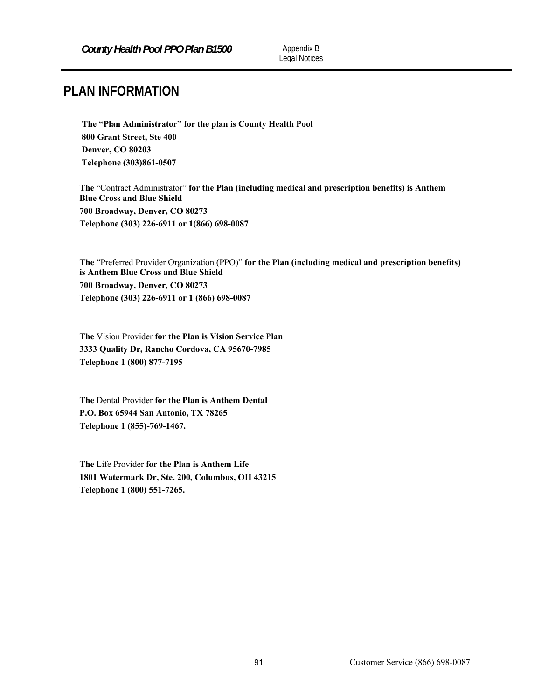# **PLAN INFORMATION**

**The "Plan Administrator" for the plan is County Health Pool 800 Grant Street, Ste 400 Denver, CO 80203 Telephone (303)861-0507** 

**The** "Contract Administrator" **for the Plan (including medical and prescription benefits) is Anthem Blue Cross and Blue Shield 700 Broadway, Denver, CO 80273 Telephone (303) 226-6911 or 1(866) 698-0087** 

**The** "Preferred Provider Organization (PPO)" **for the Plan (including medical and prescription benefits) is Anthem Blue Cross and Blue Shield 700 Broadway, Denver, CO 80273 Telephone (303) 226-6911 or 1 (866) 698-0087** 

**The** Vision Provider **for the Plan is Vision Service Plan 3333 Quality Dr, Rancho Cordova, CA 95670-7985 Telephone 1 (800) 877-7195** 

**The** Dental Provider **for the Plan is Anthem Dental P.O. Box 65944 San Antonio, TX 78265 Telephone 1 (855)-769-1467.** 

**The** Life Provider **for the Plan is Anthem Life 1801 Watermark Dr, Ste. 200, Columbus, OH 43215 Telephone 1 (800) 551-7265.**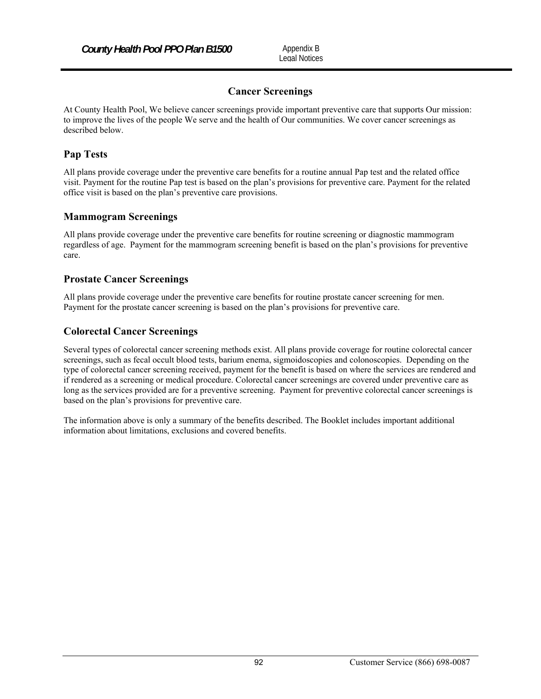# **Cancer Screenings**

At County Health Pool, We believe cancer screenings provide important preventive care that supports Our mission: to improve the lives of the people We serve and the health of Our communities. We cover cancer screenings as described below.

# **Pap Tests**

All plans provide coverage under the preventive care benefits for a routine annual Pap test and the related office visit. Payment for the routine Pap test is based on the plan's provisions for preventive care. Payment for the related office visit is based on the plan's preventive care provisions.

# **Mammogram Screenings**

All plans provide coverage under the preventive care benefits for routine screening or diagnostic mammogram regardless of age. Payment for the mammogram screening benefit is based on the plan's provisions for preventive care.

# **Prostate Cancer Screenings**

All plans provide coverage under the preventive care benefits for routine prostate cancer screening for men. Payment for the prostate cancer screening is based on the plan's provisions for preventive care.

# **Colorectal Cancer Screenings**

Several types of colorectal cancer screening methods exist. All plans provide coverage for routine colorectal cancer screenings, such as fecal occult blood tests, barium enema, sigmoidoscopies and colonoscopies. Depending on the type of colorectal cancer screening received, payment for the benefit is based on where the services are rendered and if rendered as a screening or medical procedure. Colorectal cancer screenings are covered under preventive care as long as the services provided are for a preventive screening. Payment for preventive colorectal cancer screenings is based on the plan's provisions for preventive care.

The information above is only a summary of the benefits described. The Booklet includes important additional information about limitations, exclusions and covered benefits.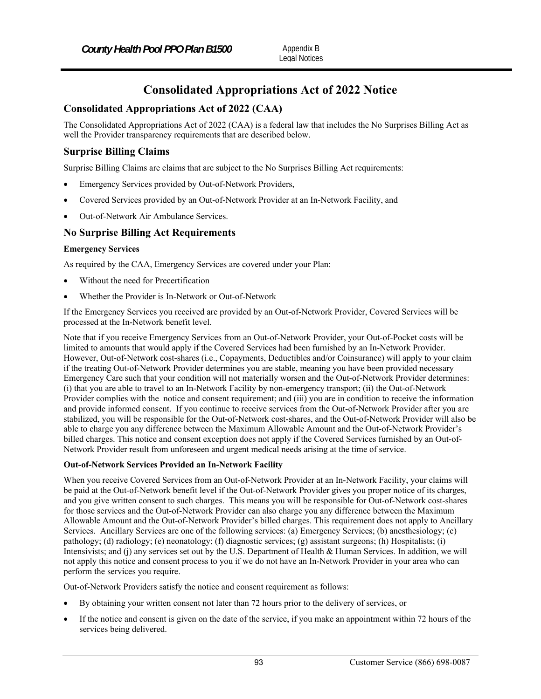# **Consolidated Appropriations Act of 2022 Notice**

# **Consolidated Appropriations Act of 2022 (CAA)**

The Consolidated Appropriations Act of 2022 (CAA) is a federal law that includes the No Surprises Billing Act as well the Provider transparency requirements that are described below.

## **Surprise Billing Claims**

Surprise Billing Claims are claims that are subject to the No Surprises Billing Act requirements:

- Emergency Services provided by Out-of-Network Providers,
- Covered Services provided by an Out-of-Network Provider at an In-Network Facility, and
- Out-of-Network Air Ambulance Services.

## **No Surprise Billing Act Requirements**

#### **Emergency Services**

As required by the CAA, Emergency Services are covered under your Plan:

- Without the need for Precertification
- Whether the Provider is In-Network or Out-of-Network

If the Emergency Services you received are provided by an Out-of-Network Provider, Covered Services will be processed at the In-Network benefit level.

Note that if you receive Emergency Services from an Out-of-Network Provider, your Out-of-Pocket costs will be limited to amounts that would apply if the Covered Services had been furnished by an In-Network Provider. However, Out-of-Network cost-shares (i.e., Copayments, Deductibles and/or Coinsurance) will apply to your claim if the treating Out-of-Network Provider determines you are stable, meaning you have been provided necessary Emergency Care such that your condition will not materially worsen and the Out-of-Network Provider determines: (i) that you are able to travel to an In-Network Facility by non-emergency transport; (ii) the Out-of-Network Provider complies with the notice and consent requirement; and (iii) you are in condition to receive the information and provide informed consent. If you continue to receive services from the Out-of-Network Provider after you are stabilized, you will be responsible for the Out-of-Network cost-shares, and the Out-of-Network Provider will also be able to charge you any difference between the Maximum Allowable Amount and the Out-of-Network Provider's billed charges. This notice and consent exception does not apply if the Covered Services furnished by an Out-of-Network Provider result from unforeseen and urgent medical needs arising at the time of service.

#### **Out-of-Network Services Provided an In-Network Facility**

When you receive Covered Services from an Out-of-Network Provider at an In-Network Facility, your claims will be paid at the Out-of-Network benefit level if the Out-of-Network Provider gives you proper notice of its charges, and you give written consent to such charges. This means you will be responsible for Out-of-Network cost-shares for those services and the Out-of-Network Provider can also charge you any difference between the Maximum Allowable Amount and the Out-of-Network Provider's billed charges. This requirement does not apply to Ancillary Services. Ancillary Services are one of the following services: (a) Emergency Services; (b) anesthesiology; (c) pathology; (d) radiology; (e) neonatology; (f) diagnostic services; (g) assistant surgeons; (h) Hospitalists; (i) Intensivists; and (j) any services set out by the U.S. Department of Health & Human Services. In addition, we will not apply this notice and consent process to you if we do not have an In-Network Provider in your area who can perform the services you require.

Out-of-Network Providers satisfy the notice and consent requirement as follows:

- By obtaining your written consent not later than 72 hours prior to the delivery of services, or
- If the notice and consent is given on the date of the service, if you make an appointment within 72 hours of the services being delivered.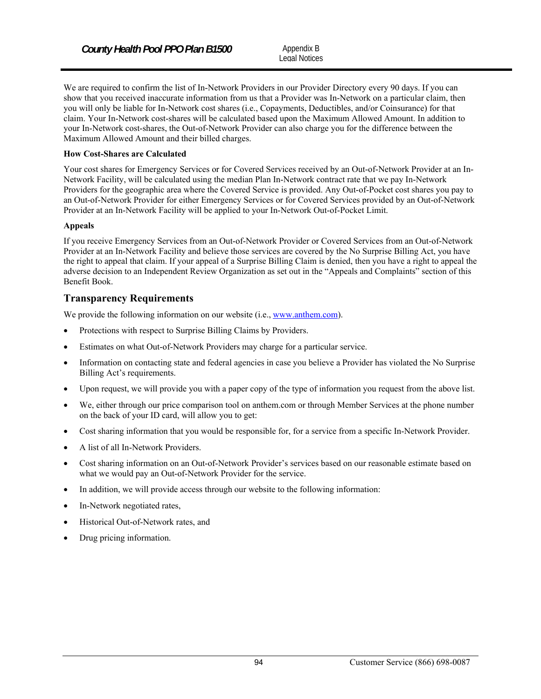Legal Notices

We are required to confirm the list of In-Network Providers in our Provider Directory every 90 days. If you can show that you received inaccurate information from us that a Provider was In-Network on a particular claim, then you will only be liable for In-Network cost shares (i.e., Copayments, Deductibles, and/or Coinsurance) for that claim. Your In-Network cost-shares will be calculated based upon the Maximum Allowed Amount. In addition to your In-Network cost-shares, the Out-of-Network Provider can also charge you for the difference between the Maximum Allowed Amount and their billed charges.

#### **How Cost-Shares are Calculated**

Your cost shares for Emergency Services or for Covered Services received by an Out-of-Network Provider at an In-Network Facility, will be calculated using the median Plan In-Network contract rate that we pay In-Network Providers for the geographic area where the Covered Service is provided. Any Out-of-Pocket cost shares you pay to an Out-of-Network Provider for either Emergency Services or for Covered Services provided by an Out-of-Network Provider at an In-Network Facility will be applied to your In-Network Out-of-Pocket Limit.

#### **Appeals**

If you receive Emergency Services from an Out-of-Network Provider or Covered Services from an Out-of-Network Provider at an In-Network Facility and believe those services are covered by the No Surprise Billing Act, you have the right to appeal that claim. If your appeal of a Surprise Billing Claim is denied, then you have a right to appeal the adverse decision to an Independent Review Organization as set out in the "Appeals and Complaints" section of this Benefit Book.

## **Transparency Requirements**

We provide the following information on our website (i.e., www.anthem.com).

- Protections with respect to Surprise Billing Claims by Providers.
- Estimates on what Out-of-Network Providers may charge for a particular service.
- Information on contacting state and federal agencies in case you believe a Provider has violated the No Surprise Billing Act's requirements.
- Upon request, we will provide you with a paper copy of the type of information you request from the above list.
- We, either through our price comparison tool on anthem.com or through Member Services at the phone number on the back of your ID card, will allow you to get:
- Cost sharing information that you would be responsible for, for a service from a specific In-Network Provider.
- A list of all In-Network Providers.
- Cost sharing information on an Out-of-Network Provider's services based on our reasonable estimate based on what we would pay an Out-of-Network Provider for the service.
- In addition, we will provide access through our website to the following information:
- In-Network negotiated rates,
- Historical Out-of-Network rates, and
- Drug pricing information.